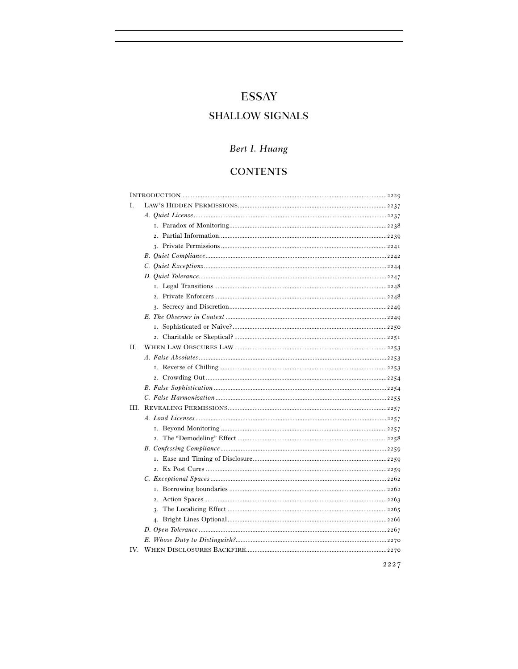# **ESSAY**

# **SHALLOW SIGNALS**

# Bert I. Huang

# **CONTENTS**

| L   |  |
|-----|--|
|     |  |
|     |  |
|     |  |
|     |  |
|     |  |
|     |  |
|     |  |
|     |  |
|     |  |
|     |  |
|     |  |
|     |  |
|     |  |
| H.  |  |
|     |  |
|     |  |
|     |  |
|     |  |
|     |  |
| Ш   |  |
|     |  |
|     |  |
|     |  |
|     |  |
|     |  |
|     |  |
|     |  |
|     |  |
|     |  |
|     |  |
|     |  |
|     |  |
|     |  |
| IV. |  |
|     |  |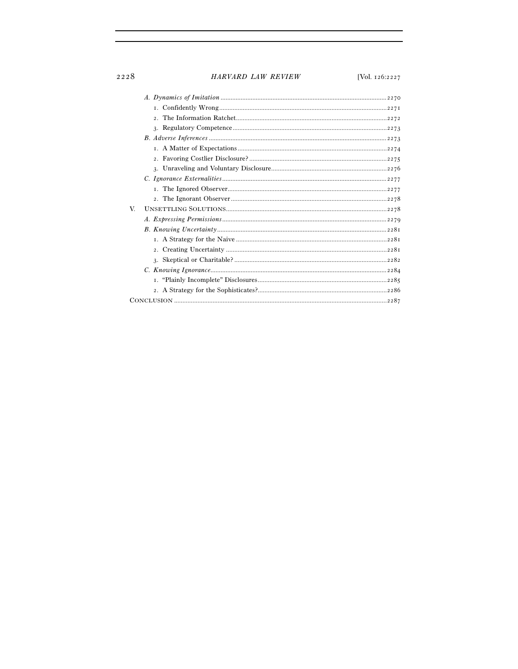# HARVARD LAW REVIEW

[Vol. 126:2227]

| V. |
|----|
|    |
|    |
|    |
|    |
|    |
|    |
|    |
|    |
|    |
|    |

2228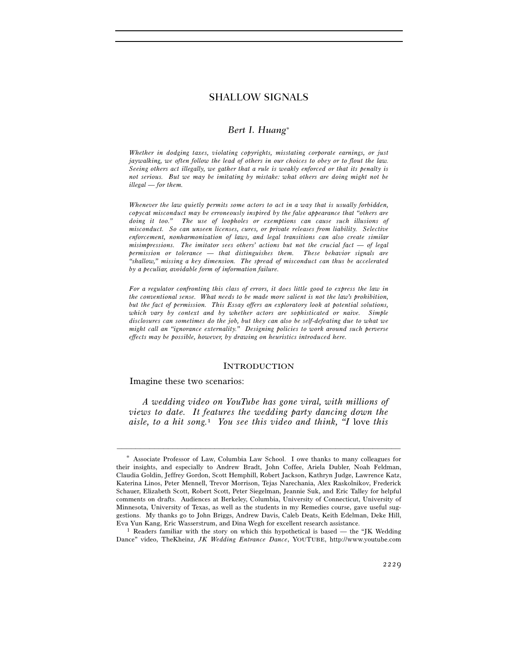# *Bert I. Huang*<sup>∗</sup>

*Whether in dodging taxes, violating copyrights, misstating corporate earnings, or just jaywalking, we often follow the lead of others in our choices to obey or to flout the law. Seeing others act illegally, we gather that a rule is weakly enforced or that its penalty is not serious. But we may be imitating by mistake: what others are doing might not be illegal — for them.* 

*Whenever the law quietly permits some actors to act in a way that is usually forbidden, copycat misconduct may be erroneously inspired by the false appearance that "others are doing it too." The use of loopholes or exemptions can cause such illusions of misconduct. So can unseen licenses, cures, or private releases from liability. Selective enforcement, nonharmonization of laws, and legal transitions can also create similar misimpressions. The imitator sees others' actions but not the crucial fact — of legal permission or tolerance — that distinguishes them. These behavior signals are "shallow," missing a key dimension. The spread of misconduct can thus be accelerated by a peculiar, avoidable form of information failure.* 

*For a regulator confronting this class of errors, it does little good to express the law in the conventional sense. What needs to be made more salient is not the law's prohibition, but the fact of permission. This Essay offers an exploratory look at potential solutions, which vary by context and by whether actors are sophisticated or naive. Simple disclosures can sometimes do the job, but they can also be self-defeating due to what we might call an "ignorance externality." Designing policies to work around such perverse effects may be possible, however, by drawing on heuristics introduced here.* 

## INTRODUCTION

Imagine these two scenarios:

*A wedding video on YouTube has gone viral, with millions of views to date. It features the wedding party dancing down the aisle, to a hit song.*1 *You see this video and think, "I* love *this* 

<sup>∗</sup> Associate Professor of Law, Columbia Law School. I owe thanks to many colleagues for their insights, and especially to Andrew Bradt, John Coffee, Ariela Dubler, Noah Feldman, Claudia Goldin, Jeffrey Gordon, Scott Hemphill, Robert Jackson, Kathryn Judge, Lawrence Katz, Katerina Linos, Peter Mennell, Trevor Morrison, Tejas Narechania, Alex Raskolnikov, Frederick Schauer, Elizabeth Scott, Robert Scott, Peter Siegelman, Jeannie Suk, and Eric Talley for helpful comments on drafts. Audiences at Berkeley, Columbia, University of Connecticut, University of Minnesota, University of Texas, as well as the students in my Remedies course, gave useful suggestions. My thanks go to John Briggs, Andrew Davis, Caleb Deats, Keith Edelman, Deke Hill, Eva Yun Kang, Eric Wasserstrum, and Dina Wegh for excellent research assistance.<br><sup>1</sup> Readers familiar with the story on which this hypothetical is based — the "JK Wedding"

Dance" video, TheKheinz, *JK Wedding Entrance Dance*, YOUTUBE, http://www.youtube.com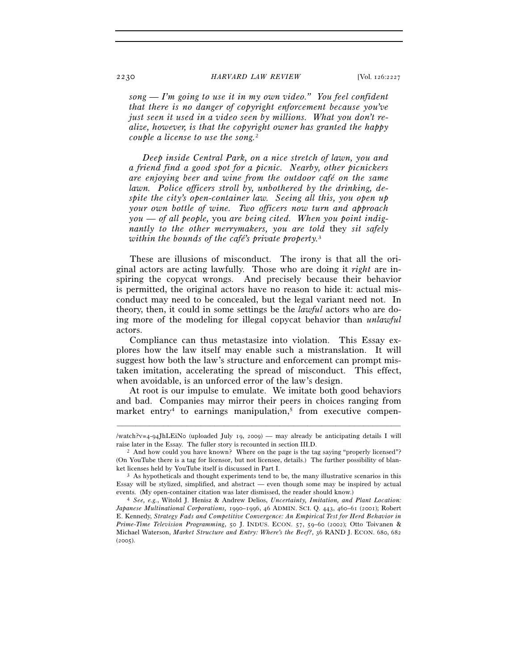*song — I'm going to use it in my own video." You feel confident that there is no danger of copyright enforcement because you've just seen it used in a video seen by millions. What you don't realize, however, is that the copyright owner has granted the happy couple a license to use the song.*<sup>2</sup>

*Deep inside Central Park, on a nice stretch of lawn, you and a friend find a good spot for a picnic. Nearby, other picnickers are enjoying beer and wine from the outdoor café on the same lawn. Police officers stroll by, unbothered by the drinking, despite the city's open-container law. Seeing all this, you open up your own bottle of wine. Two officers now turn and approach you — of all people,* you *are being cited. When you point indignantly to the other merrymakers, you are told* they *sit safely within the bounds of the café's private property.*<sup>3</sup>

These are illusions of misconduct. The irony is that all the original actors are acting lawfully. Those who are doing it *right* are inspiring the copycat wrongs. And precisely because their behavior is permitted, the original actors have no reason to hide it: actual misconduct may need to be concealed, but the legal variant need not. In theory, then, it could in some settings be the *lawful* actors who are doing more of the modeling for illegal copycat behavior than *unlawful* actors.

Compliance can thus metastasize into violation. This Essay explores how the law itself may enable such a mistranslation. It will suggest how both the law's structure and enforcement can prompt mistaken imitation, accelerating the spread of misconduct. This effect, when avoidable, is an unforced error of the law's design.

At root is our impulse to emulate. We imitate both good behaviors and bad. Companies may mirror their peers in choices ranging from market entry<sup>4</sup> to earnings manipulation,<sup>5</sup> from executive compen-

<sup>–––––––––––––––––––––––––––––––––––––––––––––––––––––––––––––</sup> /watch?v=4-94JhLEiNo (uploaded July 19, 2009) — may already be anticipating details I will raise later in the Essay. The fuller story is recounted in section III.D.<br><sup>2</sup> And how could you have known? Where on the page is the tag saying "properly licensed"?

<sup>(</sup>On YouTube there is a tag for licensor, but not licensee, details.) The further possibility of blanket licenses held by YouTube itself is discussed in Part I.<br><sup>3</sup> As hypotheticals and thought experiments tend to be, the many illustrative scenarios in this

Essay will be stylized, simplified, and abstract  $-$  even though some may be inspired by actual events. (My open-container citation was later dismissed, the reader should know.) 4 *See, e.g.*, Witold J. Henisz & Andrew Delios, *Uncertainty, Imitation, and Plant Location:* 

*Japanese Multinational Corporations,* 1990*–*1996, 46 ADMIN. SCI. Q. 443, 460–61 (2001); Robert E. Kennedy, *Strategy Fads and Competitive Convergence: An Empirical Test for Herd Behavior in Prime-Time Television Programming*, 50 J. INDUS. ECON. 57, 59–60 (2002); Otto Toivanen & Michael Waterson, *Market Structure and Entry: Where's the Beef?*, 36 RAND J. ECON. 680, 682  $(2005)$ .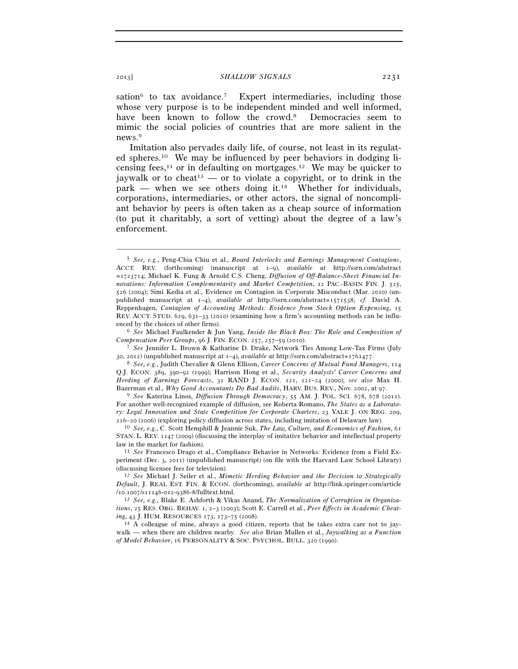sation<sup>6</sup> to tax avoidance.<sup>7</sup> Expert intermediaries, including those whose very purpose is to be independent minded and well informed, have been known to follow the crowd.<sup>8</sup> Democracies seem to mimic the social policies of countries that are more salient in the news.9

Imitation also pervades daily life, of course, not least in its regulated spheres.10 We may be influenced by peer behaviors in dodging licensing fees,<sup>11</sup> or in defaulting on mortgages.<sup>12</sup> We may be quicker to jaywalk or to cheat<sup>13</sup> — or to violate a copyright, or to drink in the park — when we see others doing it.14 Whether for individuals, corporations, intermediaries, or other actors, the signal of noncompliant behavior by peers is often taken as a cheap source of information (to put it charitably, a sort of vetting) about the degree of a law's enforcement.

–––––––––––––––––––––––––––––––––––––––––––––––––––––––––––––

enced by the choices of other firms). 6 *See* Michael Faulkender & Jun Yang, *Inside the Black Box: The Role and Composition of* 

Q.J. ECON. 389, 390–92 (1999); Harrison Hong et al., *Security Analysts' Career Concerns and Herding of Earnings Forecasts*, 31 RAND J. ECON. 121, 121–24 (2000); *see also* Max H.

Bazerman et al., *Why Good Accountants Do Bad Audits*, HARV. BUS. REV., Nov. 2002, at 97. 9 *See* Katerina Linos, *Diffusion Through Democracy*, 55 AM. J. POL. SCI. 678, 678 (2011). For another well-recognized example of diffusion, see Roberta Romano, *The States as a Laboratory: Legal Innovation and State Competition for Corporate Charters*, 23 YALE J. ON REG. 209, <sup>216</sup>–20 (2006) (exploring policy diffusion across states, including imitation of Delaware law). 10 *See, e.g.*, C. Scott Hemphill & Jeannie Suk, *The Law, Culture, and Economics of Fashion*, <sup>61</sup>

periment (Dec. 3, 2011) (unpublished manuscript) (on file with the Harvard Law School Library) (discussing licensee fees for television). 12 *See* Michael J. Seiler et al., *Mimetic Herding Behavior and the Decision to Strategically* 

<sup>5</sup> *See, e.g.*, Peng-Chia Chiu et al., *Board Interlocks and Earnings Management Contagions*, ACCT. REV. (forthcoming) (manuscript at 1–9), *available at* http://ssrn.com/abstract =1723714; Michael K. Fung & Arnold C.S. Cheng, *Diffusion of Off-Balance-Sheet Financial Innovations: Information Complementarity and Market Competition*, 12 PAC.-BASIN FIN. J. 525, 526 (2004); Simi Kedia et al., Evidence on Contagion in Corporate Misconduct (Mar. 2010) (unpublished manuscript at 1–4), *available at* http://ssrn.com/abstract=1571538; *cf.* David A. Reppenhagen, *Contagion of Accounting Methods: Evidence from Stock Option Expensing*, 15 REV. ACCT. STUD. 629, 631–33 (2010) (examining how a firm's accounting methods can be influ-

*Compensation Peer Groups*, 96 J. FIN. ECON. 257, 257–59 (2010). 7 *See* Jennifer L. Brown & Katharine D. Drake, Network Ties Among Low-Tax Firms (July <sup>30</sup>, 2012) (unpublished manuscript at 1–4), *available at* http://ssrn.com/abstract=1761477. 8 *See, e.g.*, Judith Chevalier & Glenn Ellison, *Career Concerns of Mutual Fund Managers*, <sup>114</sup>

STAN. L. REV. 1147 (2009) (discussing the interplay of imitative behavior and intellectual property law in the market for fashion). 11 *See* Francesco Drago et al., Compliance Behavior in Networks: Evidence from a Field Ex-

*Default*, J. REAL EST. FIN. & ECON. (forthcoming), *available at* http://link.springer.com/article /10.1007/s11146-012-9386-8/fulltext.html. 13 *See, e.g.*, Blake E. Ashforth & Vikas Anand, *The Normalization of Corruption in Organiza-*

*tions*, 25 RES. ORG. BEHAV. 1, 2–3 (2003); Scott E. Carrell et al., *Peer Effects in Academic Cheating*, 43 J. HUM. RESOURCES 173, 173–75 (2008). <sup>14</sup> A colleague of mine, always a good citizen, reports that he takes extra care not to jay-

walk — when there are children nearby. *See also* Brian Mullen et al., *Jaywalking as a Function of Model Behavior*, 16 PERSONALITY & SOC. PSYCHOL. BULL. 320 (1990).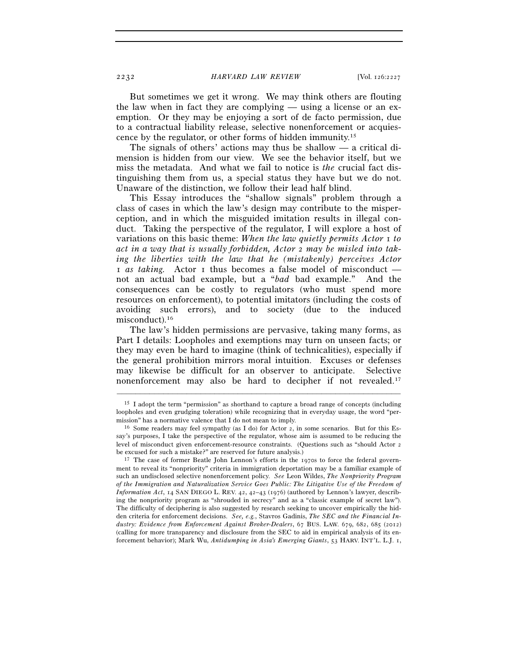But sometimes we get it wrong. We may think others are flouting the law when in fact they are complying — using a license or an exemption. Or they may be enjoying a sort of de facto permission, due to a contractual liability release, selective nonenforcement or acquiescence by the regulator, or other forms of hidden immunity.15

The signals of others' actions may thus be shallow — a critical dimension is hidden from our view. We see the behavior itself, but we miss the metadata. And what we fail to notice is *the* crucial fact distinguishing them from us, a special status they have but we do not. Unaware of the distinction, we follow their lead half blind.

This Essay introduces the "shallow signals" problem through a class of cases in which the law's design may contribute to the misperception, and in which the misguided imitation results in illegal conduct. Taking the perspective of the regulator, I will explore a host of variations on this basic theme: *When the law quietly permits Actor* 1 *to act in a way that is usually forbidden, Actor* 2 *may be misled into taking the liberties with the law that he (mistakenly) perceives Actor*  1 *as taking.* Actor 1 thus becomes a false model of misconduct not an actual bad example, but a "*bad* bad example." And the consequences can be costly to regulators (who must spend more resources on enforcement), to potential imitators (including the costs of avoiding such errors), and to society (due to the induced misconduct).16

The law's hidden permissions are pervasive, taking many forms, as Part I details: Loopholes and exemptions may turn on unseen facts; or they may even be hard to imagine (think of technicalities), especially if the general prohibition mirrors moral intuition. Excuses or defenses may likewise be difficult for an observer to anticipate. Selective nonenforcement may also be hard to decipher if not revealed.17

<sup>&</sup>lt;sup>15</sup> I adopt the term "permission" as shorthand to capture a broad range of concepts (including loopholes and even grudging toleration) while recognizing that in everyday usage, the word "permission" has a normative valence that I do not mean to imply.<br><sup>16</sup> Some readers may feel sympathy (as I do) for Actor 2, in some scenarios. But for this Es-

say's purposes, I take the perspective of the regulator, whose aim is assumed to be reducing the level of misconduct given enforcement-resource constraints. (Questions such as "should Actor 2 be excused for such a mistake?" are reserved for future analysis.)<br><sup>17</sup> The case of former Beatle John Lennon's efforts in the 1970s to force the federal govern-

ment to reveal its "nonpriority" criteria in immigration deportation may be a familiar example of such an undisclosed selective nonenforcement policy. *See* Leon Wildes, *The Nonpriority Program of the Immigration and Naturalization Service Goes Public: The Litigative Use of the Freedom of Information Act*, 14 SAN DIEGO L. REV. 42, 42–43 (1976) (authored by Lennon's lawyer, describing the nonpriority program as "shrouded in secrecy" and as a "classic example of secret law"). The difficulty of deciphering is also suggested by research seeking to uncover empirically the hidden criteria for enforcement decisions. *See, e.g.*, Stavros Gadinis, *The SEC and the Financial Industry: Evidence from Enforcement Against Broker-Dealers*, 67 BUS. LAW. 679, 682, 685 (2012) (calling for more transparency and disclosure from the SEC to aid in empirical analysis of its enforcement behavior); Mark Wu, *Antidumping in Asia's Emerging Giants*, 53 HARV. INT'L. L.J. 1,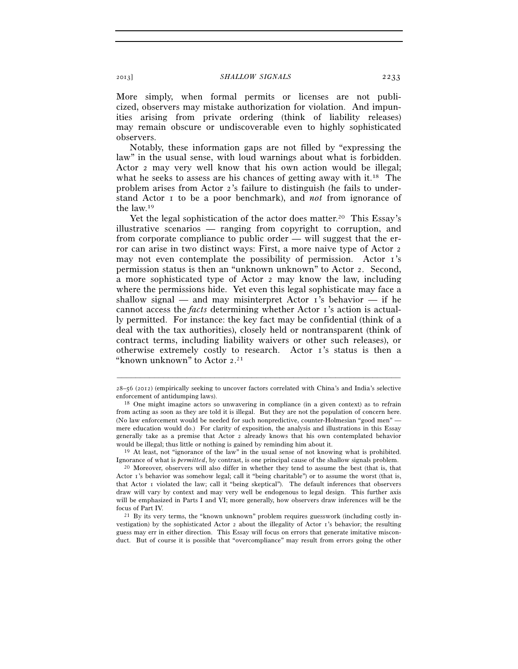More simply, when formal permits or licenses are not publicized, observers may mistake authorization for violation. And impunities arising from private ordering (think of liability releases) may remain obscure or undiscoverable even to highly sophisticated observers.

Notably, these information gaps are not filled by "expressing the law" in the usual sense, with loud warnings about what is forbidden. Actor 2 may very well know that his own action would be illegal; what he seeks to assess are his chances of getting away with it.<sup>18</sup> The problem arises from Actor 2's failure to distinguish (he fails to understand Actor 1 to be a poor benchmark), and *not* from ignorance of the law.19

Yet the legal sophistication of the actor does matter.<sup>20</sup> This Essay's illustrative scenarios — ranging from copyright to corruption, and from corporate compliance to public order — will suggest that the error can arise in two distinct ways: First, a more naive type of Actor 2 may not even contemplate the possibility of permission. Actor 1's permission status is then an "unknown unknown" to Actor 2. Second, a more sophisticated type of Actor 2 may know the law, including where the permissions hide. Yet even this legal sophisticate may face a shallow signal — and may misinterpret Actor  $\mathbf{r}'$ 's behavior — if he cannot access the *facts* determining whether Actor 1's action is actually permitted. For instance: the key fact may be confidential (think of a deal with the tax authorities), closely held or nontransparent (think of contract terms, including liability waivers or other such releases), or otherwise extremely costly to research. Actor 1's status is then a "known unknown" to Actor 2.<sup>21</sup>

Ignorance of what is *permitted*, by contrast, is one principal cause of the shallow signals problem. 20 Moreover, observers will also differ in whether they tend to assume the best (that is, that

<sup>–––––––––––––––––––––––––––––––––––––––––––––––––––––––––––––</sup> 28–56 (2012) (empirically seeking to uncover factors correlated with China's and India's selective enforcement of antidumping laws).<br><sup>18</sup> One might imagine actors so unwavering in compliance (in a given context) as to refrain

from acting as soon as they are told it is illegal. But they are not the population of concern here. (No law enforcement would be needed for such nonpredictive, counter-Holmesian "good men" mere education would do.) For clarity of exposition, the analysis and illustrations in this Essay generally take as a premise that Actor 2 already knows that his own contemplated behavior would be illegal; thus little or nothing is gained by reminding him about it.<br><sup>19</sup> At least, not "ignorance of the law" in the usual sense of not knowing what is prohibited.

Actor 1's behavior was somehow legal; call it "being charitable") or to assume the worst (that is, that Actor 1 violated the law; call it "being skeptical"). The default inferences that observers draw will vary by context and may very well be endogenous to legal design. This further axis will be emphasized in Parts I and VI; more generally, how observers draw inferences will be the focus of Part IV.<br><sup>21</sup> By its very terms, the "known unknown" problem requires guesswork (including costly in-

vestigation) by the sophisticated Actor  $\alpha$  about the illegality of Actor  $\alpha$ 's behavior; the resulting guess may err in either direction. This Essay will focus on errors that generate imitative misconduct. But of course it is possible that "overcompliance" may result from errors going the other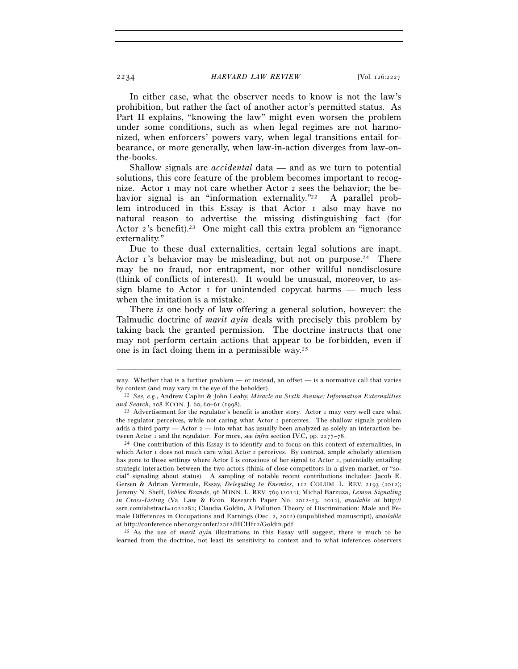In either case, what the observer needs to know is not the law's prohibition, but rather the fact of another actor's permitted status. As Part II explains, "knowing the law" might even worsen the problem under some conditions, such as when legal regimes are not harmonized, when enforcers' powers vary, when legal transitions entail forbearance, or more generally, when law-in-action diverges from law-onthe-books.

Shallow signals are *accidental* data — and as we turn to potential solutions, this core feature of the problem becomes important to recognize. Actor  $\bar{1}$  may not care whether Actor  $\bar{2}$  sees the behavior; the behavior signal is an "information externality."<sup>22</sup> A parallel problem introduced in this Essay is that Actor I also may have no natural reason to advertise the missing distinguishing fact (for Actor 2's benefit).23 One might call this extra problem an "ignorance externality."

Due to these dual externalities, certain legal solutions are inapt. Actor 1's behavior may be misleading, but not on purpose.<sup>24</sup> There may be no fraud, nor entrapment, nor other willful nondisclosure (think of conflicts of interest). It would be unusual, moreover, to assign blame to Actor  $\bar{1}$  for unintended copycat harms — much less when the imitation is a mistake.

There *is* one body of law offering a general solution, however: the Talmudic doctrine of *marit ayin* deals with precisely this problem by taking back the granted permission. The doctrine instructs that one may not perform certain actions that appear to be forbidden, even if one is in fact doing them in a permissible way.25

<sup>25</sup> As the use of *marit ayin* illustrations in this Essay will suggest, there is much to be learned from the doctrine, not least its sensitivity to context and to what inferences observers

<sup>–––––––––––––––––––––––––––––––––––––––––––––––––––––––––––––</sup> way. Whether that is a further problem — or instead, an offset — is a normative call that varies

by context (and may vary in the eye of the beholder). 22 *See, e.g.*, Andrew Caplin & John Leahy, *Miracle on Sixth Avenue: Information Externalities* 

<sup>&</sup>lt;sup>23</sup> Advertisement for the regulator's benefit is another story. Actor 1 may very well care what the regulator perceives, while not caring what Actor 2 perceives. The shallow signals problem adds a third party  $-$  Actor  $\alpha$   $-$  into what has usually been analyzed as solely an interaction between Actor 1 and the regulator. For more, see *infra* section IV.C, pp. 2277–78.<br><sup>24</sup> One contribution of this Essay is to identify and to focus on this context of externalities, in

which Actor 1 does not much care what Actor 2 perceives. By contrast, ample scholarly attention has gone to those settings where Actor I is conscious of her signal to Actor 2, potentially entailing strategic interaction between the two actors (think of close competitors in a given market, or "social" signaling about status). A sampling of notable recent contributions includes: Jacob E. Gersen & Adrian Vermeule, Essay, *Delegating to Enemies*, 112 COLUM. L. REV. 2193 (2012); Jeremy N. Sheff, *Veblen Brands*, 96 MINN. L. REV. 769 (2012); Michal Barzuza, *Lemon Signaling in Cross-Listing* (Va. Law & Econ. Research Paper No. 2012-13, 2012), *available at* http:// ssrn.com/abstract=1022282; Claudia Goldin, A Pollution Theory of Discrimination: Male and Female Differences in Occupations and Earnings (Dec. 2, 2012) (unpublished manuscript), *available*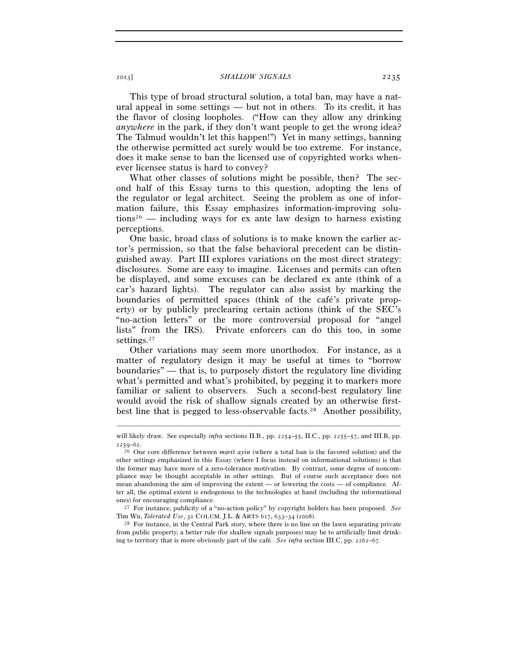This type of broad structural solution, a total ban, may have a natural appeal in some settings — but not in others. To its credit, it has the flavor of closing loopholes. ("How can they allow any drinking *anywhere* in the park, if they don't want people to get the wrong idea? The Talmud wouldn't let this happen!") Yet in many settings, banning the otherwise permitted act surely would be too extreme. For instance, does it make sense to ban the licensed use of copyrighted works whenever licensee status is hard to convey?

What other classes of solutions might be possible, then? The second half of this Essay turns to this question, adopting the lens of the regulator or legal architect. Seeing the problem as one of information failure, this Essay emphasizes information-improving solu $tions<sup>26</sup>$  — including ways for ex ante law design to harness existing perceptions.

One basic, broad class of solutions is to make known the earlier actor's permission, so that the false behavioral precedent can be distinguished away. Part III explores variations on the most direct strategy: disclosures. Some are easy to imagine. Licenses and permits can often be displayed, and some excuses can be declared ex ante (think of a car's hazard lights). The regulator can also assist by marking the boundaries of permitted spaces (think of the café's private property) or by publicly preclearing certain actions (think of the SEC's "no-action letters" or the more controversial proposal for "angel lists" from the IRS). Private enforcers can do this too, in some settings.<sup>27</sup>

Other variations may seem more unorthodox. For instance, as a matter of regulatory design it may be useful at times to "borrow boundaries" — that is, to purposely distort the regulatory line dividing what's permitted and what's prohibited, by pegging it to markers more familiar or salient to observers. Such a second-best regulatory line would avoid the risk of shallow signals created by an otherwise firstbest line that is pegged to less-observable facts.28 Another possibility,

Tim Wu, *Tolerated Use*, 31 COLUM. J.L. & ARTS 617, 633–34 (2008).<br><sup>28</sup> For instance, in the Central Park story, where there is no line on the lawn separating private

from public property, a better rule (for shallow signals purposes) may be to artificially limit drinking to territory that is more obviously part of the café. *See infra* section III.C, pp. 2262–67.

<sup>–––––––––––––––––––––––––––––––––––––––––––––––––––––––––––––</sup> will likely draw. See especially *infra* sections II.B., pp. 2254–55, II.C., pp. 2255–57, and III.B, pp. <sup>2259</sup>–62. 26 One core difference between *marit ayin* (where a total ban is the favored solution) and the

other settings emphasized in this Essay (where I focus instead on informational solutions) is that the former may have more of a zero-tolerance motivation. By contrast, some degree of noncompliance may be thought acceptable in other settings. But of course such acceptance does not mean abandoning the aim of improving the extent — or lowering the costs — of compliance. After all, the optimal extent is endogenous to the technologies at hand (including the informational ones) for encouraging compliance. 27 For instance, publicity of a "no-action policy" by copyright holders has been proposed. *See*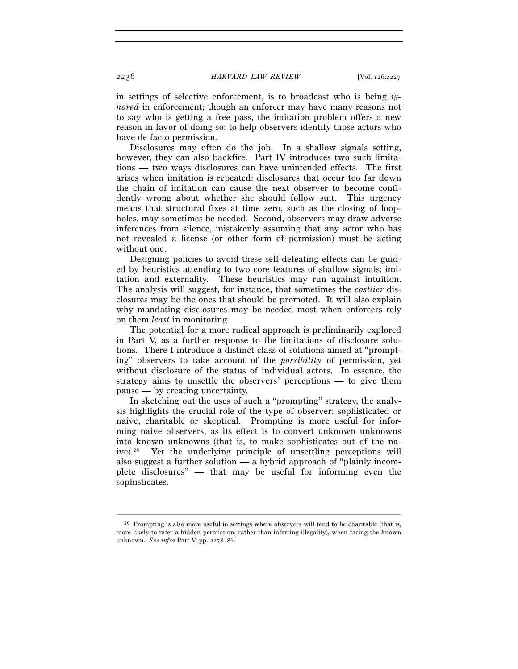in settings of selective enforcement, is to broadcast who is being *ignored* in enforcement; though an enforcer may have many reasons not to say who is getting a free pass, the imitation problem offers a new reason in favor of doing so: to help observers identify those actors who have de facto permission.

Disclosures may often do the job. In a shallow signals setting, however, they can also backfire. Part IV introduces two such limitations — two ways disclosures can have unintended effects. The first arises when imitation is repeated: disclosures that occur too far down the chain of imitation can cause the next observer to become confidently wrong about whether she should follow suit. This urgency means that structural fixes at time zero, such as the closing of loopholes, may sometimes be needed. Second, observers may draw adverse inferences from silence, mistakenly assuming that any actor who has not revealed a license (or other form of permission) must be acting without one.

Designing policies to avoid these self-defeating effects can be guided by heuristics attending to two core features of shallow signals: imitation and externality. These heuristics may run against intuition. The analysis will suggest, for instance, that sometimes the *costlier* disclosures may be the ones that should be promoted. It will also explain why mandating disclosures may be needed most when enforcers rely on them *least* in monitoring.

The potential for a more radical approach is preliminarily explored in Part V, as a further response to the limitations of disclosure solutions. There I introduce a distinct class of solutions aimed at "prompting" observers to take account of the *possibility* of permission, yet without disclosure of the status of individual actors. In essence, the strategy aims to unsettle the observers' perceptions — to give them pause — by creating uncertainty.

In sketching out the uses of such a "prompting" strategy, the analysis highlights the crucial role of the type of observer: sophisticated or naive, charitable or skeptical. Prompting is more useful for informing naive observers, as its effect is to convert unknown unknowns into known unknowns (that is, to make sophisticates out of the naive).29 Yet the underlying principle of unsettling perceptions will also suggest a further solution  $\frac{a}{b}$  a hybrid approach of "plainly incomplete disclosures" — that may be useful for informing even the sophisticates.

 $^{29}$  Prompting is also more useful in settings where observers will tend to be charitable (that is, more likely to infer a hidden permission, rather than inferring illegality), when facing the known unknown. *See infra* Part V, pp. 2278–86.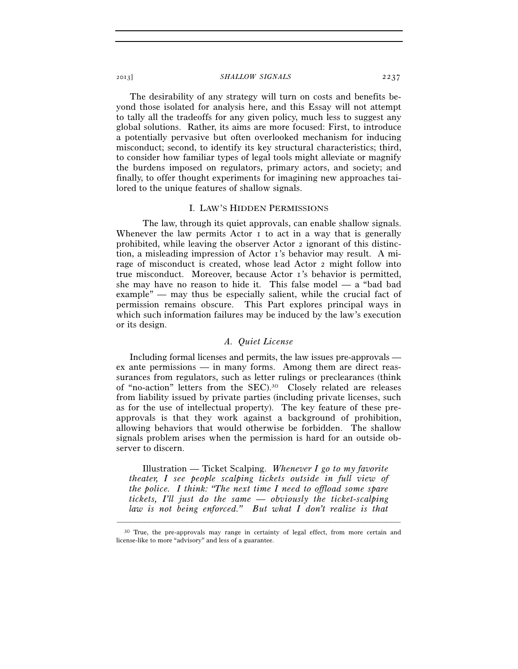The desirability of any strategy will turn on costs and benefits beyond those isolated for analysis here, and this Essay will not attempt to tally all the tradeoffs for any given policy, much less to suggest any global solutions. Rather, its aims are more focused: First, to introduce a potentially pervasive but often overlooked mechanism for inducing misconduct; second, to identify its key structural characteristics; third, to consider how familiar types of legal tools might alleviate or magnify the burdens imposed on regulators, primary actors, and society; and finally, to offer thought experiments for imagining new approaches tailored to the unique features of shallow signals.

### I. LAW'S HIDDEN PERMISSIONS

 The law, through its quiet approvals, can enable shallow signals. Whenever the law permits Actor I to act in a way that is generally prohibited, while leaving the observer Actor 2 ignorant of this distinction, a misleading impression of Actor 1's behavior may result. A mirage of misconduct is created, whose lead Actor 2 might follow into true misconduct. Moreover, because Actor 1's behavior is permitted, she may have no reason to hide it. This false model — a "bad bad example" — may thus be especially salient, while the crucial fact of permission remains obscure. This Part explores principal ways in which such information failures may be induced by the law's execution or its design.

## *A. Quiet License*

Including formal licenses and permits, the law issues pre-approvals ex ante permissions — in many forms. Among them are direct reassurances from regulators, such as letter rulings or preclearances (think of "no-action" letters from the SEC).30 Closely related are releases from liability issued by private parties (including private licenses, such as for the use of intellectual property). The key feature of these preapprovals is that they work against a background of prohibition, allowing behaviors that would otherwise be forbidden. The shallow signals problem arises when the permission is hard for an outside observer to discern.

Illustration — Ticket Scalping. *Whenever I go to my favorite theater, I see people scalping tickets outside in full view of the police. I think: "The next time I need to offload some spare tickets, I'll just do the same — obviously the ticket-scalping law is not being enforced." But what I don't realize is that* 

<sup>–––––––––––––––––––––––––––––––––––––––––––––––––––––––––––––</sup> 30 True, the pre-approvals may range in certainty of legal effect, from more certain and license-like to more "advisory" and less of a guarantee.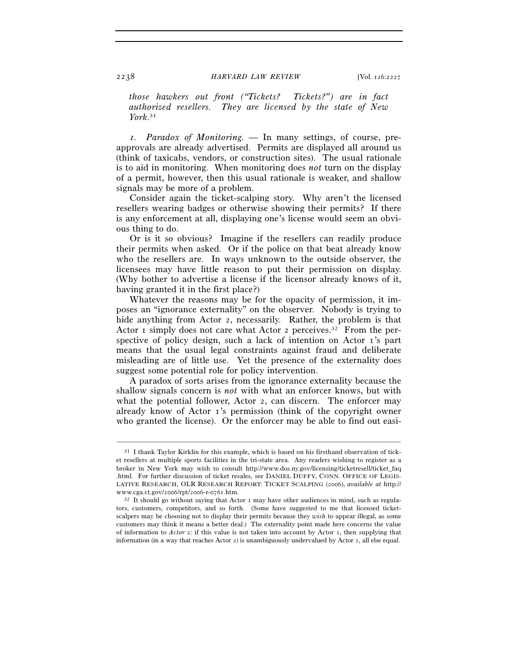*those hawkers out front ("Tickets? Tickets?") are in fact authorized resellers. They are licensed by the state of New York*. 31

*1. Paradox of Monitoring. —* In many settings, of course, preapprovals are already advertised. Permits are displayed all around us (think of taxicabs, vendors, or construction sites). The usual rationale is to aid in monitoring. When monitoring does *not* turn on the display of a permit, however, then this usual rationale is weaker, and shallow signals may be more of a problem.

Consider again the ticket-scalping story. Why aren't the licensed resellers wearing badges or otherwise showing their permits? If there is any enforcement at all, displaying one's license would seem an obvious thing to do.

Or is it so obvious? Imagine if the resellers can readily produce their permits when asked. Or if the police on that beat already know who the resellers are. In ways unknown to the outside observer, the licensees may have little reason to put their permission on display. (Why bother to advertise a license if the licensor already knows of it, having granted it in the first place?)

Whatever the reasons may be for the opacity of permission, it imposes an "ignorance externality" on the observer. Nobody is trying to hide anything from Actor 2, necessarily. Rather, the problem is that Actor 1 simply does not care what Actor 2 perceives.<sup>32</sup> From the perspective of policy design, such a lack of intention on Actor 1's part means that the usual legal constraints against fraud and deliberate misleading are of little use. Yet the presence of the externality does suggest some potential role for policy intervention.

A paradox of sorts arises from the ignorance externality because the shallow signals concern is *not* with what an enforcer knows, but with what the potential follower, Actor 2, can discern. The enforcer may already know of Actor 1's permission (think of the copyright owner who granted the license). Or the enforcer may be able to find out easi-

<sup>&</sup>lt;sup>31</sup> I thank Taylor Kirklin for this example, which is based on his firsthand observation of ticket resellers at multiple sports facilities in the tri-state area. Any readers wishing to register as a broker in New York may wish to consult http://www.dos.ny.gov/licensing/ticketresell/ticket\_faq .html. For further discussion of ticket resales, see DANIEL DUFFY, CONN. OFFICE OF LEGIS-LATIVE RESEARCH, OLR RESEARCH REPORT: TICKET SCALPING (2006), *available at* http:// www.cga.ct.gov/2006/rpt/2006-r-0761.htm.<br><sup>32</sup> It should go without saying that Actor 1 may have other audiences in mind, such as regula-

tors, customers, competitors, and so forth. (Some have suggested to me that licensed ticketscalpers may be choosing not to display their permits because they *wish* to appear illegal, as some customers may think it means a better deal.) The externality point made here concerns the value of information to *Actor* 2: if this value is not taken into account by Actor 1, then supplying that information (in a way that reaches Actor 2) is unambiguously undervalued by Actor  $\tau$ , all else equal.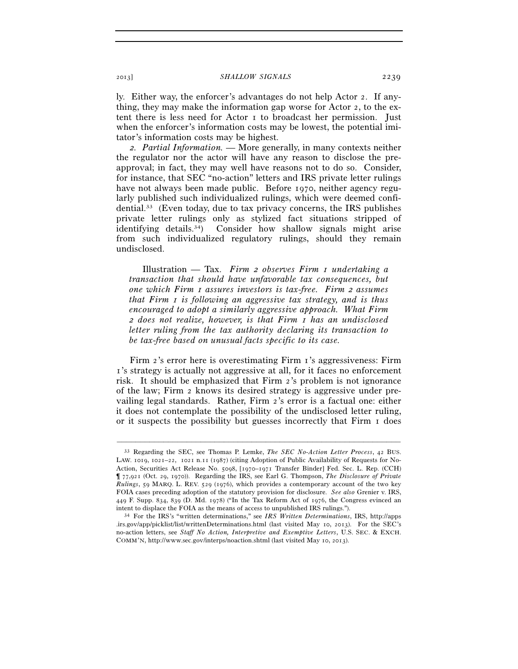ly. Either way, the enforcer's advantages do not help Actor 2. If anything, they may make the information gap worse for Actor 2, to the extent there is less need for Actor 1 to broadcast her permission. Just when the enforcer's information costs may be lowest, the potential imitator's information costs may be highest.

*2. Partial Information.* — More generally, in many contexts neither the regulator nor the actor will have any reason to disclose the preapproval; in fact, they may well have reasons not to do so. Consider, for instance, that SEC "no-action" letters and IRS private letter rulings have not always been made public. Before 1970, neither agency regularly published such individualized rulings, which were deemed confidential.33 (Even today, due to tax privacy concerns, the IRS publishes private letter rulings only as stylized fact situations stripped of identifying details.34) Consider how shallow signals might arise from such individualized regulatory rulings, should they remain undisclosed.

Illustration — Tax. *Firm 2 observes Firm 1 undertaking a transaction that should have unfavorable tax consequences, but one which Firm 1 assures investors is tax-free. Firm 2 assumes that Firm 1 is following an aggressive tax strategy, and is thus encouraged to adopt a similarly aggressive approach. What Firm 2 does not realize, however, is that Firm 1 has an undisclosed letter ruling from the tax authority declaring its transaction to be tax-free based on unusual facts specific to its case.*

Firm 2's error here is overestimating Firm 1's aggressiveness: Firm 1's strategy is actually not aggressive at all, for it faces no enforcement risk. It should be emphasized that Firm 2's problem is not ignorance of the law; Firm 2 knows its desired strategy is aggressive under prevailing legal standards. Rather, Firm 2's error is a factual one: either it does not contemplate the possibility of the undisclosed letter ruling, or it suspects the possibility but guesses incorrectly that Firm 1 does

<sup>33</sup> Regarding the SEC, see Thomas P. Lemke, *The SEC No-Action Letter Process*, 42 BUS. LAW. 1019, 1021–22, 1021 n.11 (1987) (citing Adoption of Public Availability of Requests for No-Action, Securities Act Release No. 5098, [1970–1971 Transfer Binder] Fed. Sec. L. Rep. (CCH) ¶ 77,921 (Oct. 29, 1970)). Regarding the IRS, see Earl G. Thompson, *The Disclosure of Private Rulings*, 59 MARQ. L. REV. 529 (1976), which provides a contemporary account of the two key FOIA cases preceding adoption of the statutory provision for disclosure. *See also* Grenier v. IRS, 449 F. Supp. 834, 839 (D. Md. 1978) ("In the Tax Reform Act of 1976, the Congress evinced an

intent to displace the FOIA as the means of access to unpublished IRS rulings."). 34 For the IRS's "written determinations," see *IRS Written Determinations*, IRS, http://apps .irs.gov/app/picklist/list/writtenDeterminations.html (last visited May 10, 2013). For the SEC's no-action letters, see *Staff No Action, Interpretive and Exemptive Letters*, U.S. SEC. & EXCH. COMM'N, http://www.sec.gov/interps/noaction.shtml (last visited May 10, 2013).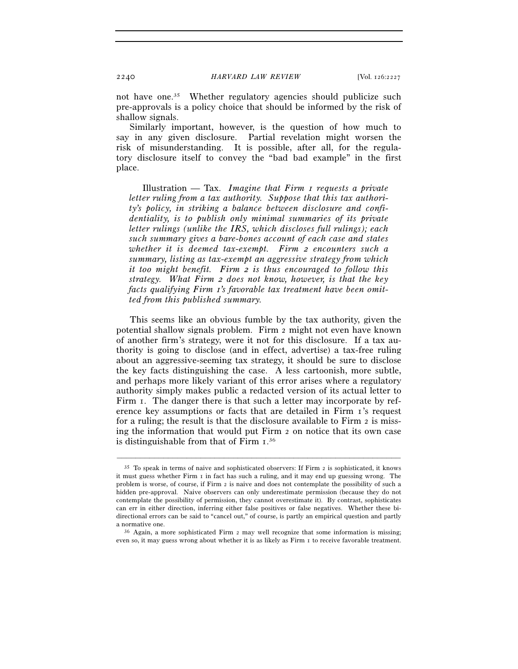not have one.<sup>35</sup> Whether regulatory agencies should publicize such pre-approvals is a policy choice that should be informed by the risk of shallow signals.

Similarly important, however, is the question of how much to say in any given disclosure. Partial revelation might worsen the risk of misunderstanding. It is possible, after all, for the regulatory disclosure itself to convey the "bad bad example" in the first place.

Illustration — Tax. *Imagine that Firm 1 requests a private letter ruling from a tax authority. Suppose that this tax authority's policy, in striking a balance between disclosure and confidentiality, is to publish only minimal summaries of its private letter rulings (unlike the IRS, which discloses full rulings); each such summary gives a bare-bones account of each case and states whether it is deemed tax-exempt. Firm 2 encounters such a summary, listing as tax-exempt an aggressive strategy from which it too might benefit. Firm 2 is thus encouraged to follow this strategy. What Firm 2 does not know, however, is that the key facts qualifying Firm 1's favorable tax treatment have been omitted from this published summary.*

This seems like an obvious fumble by the tax authority, given the potential shallow signals problem. Firm 2 might not even have known of another firm's strategy, were it not for this disclosure. If a tax authority is going to disclose (and in effect, advertise) a tax-free ruling about an aggressive-seeming tax strategy, it should be sure to disclose the key facts distinguishing the case. A less cartoonish, more subtle, and perhaps more likely variant of this error arises where a regulatory authority simply makes public a redacted version of its actual letter to Firm 1. The danger there is that such a letter may incorporate by reference key assumptions or facts that are detailed in Firm 1's request for a ruling; the result is that the disclosure available to Firm  $\alpha$  is missing the information that would put Firm 2 on notice that its own case is distinguishable from that of Firm 1. 36

<sup>35</sup> To speak in terms of naive and sophisticated observers: If Firm 2 is sophisticated, it knows it must guess whether Firm 1 in fact has such a ruling, and it may end up guessing wrong. The problem is worse, of course, if Firm 2 is naive and does not contemplate the possibility of such a hidden pre-approval. Naive observers can only underestimate permission (because they do not contemplate the possibility of permission, they cannot overestimate it). By contrast, sophisticates can err in either direction, inferring either false positives or false negatives. Whether these bidirectional errors can be said to "cancel out," of course, is partly an empirical question and partly a normative one.

 $36$  Again, a more sophisticated Firm 2 may well recognize that some information is missing; even so, it may guess wrong about whether it is as likely as Firm 1 to receive favorable treatment.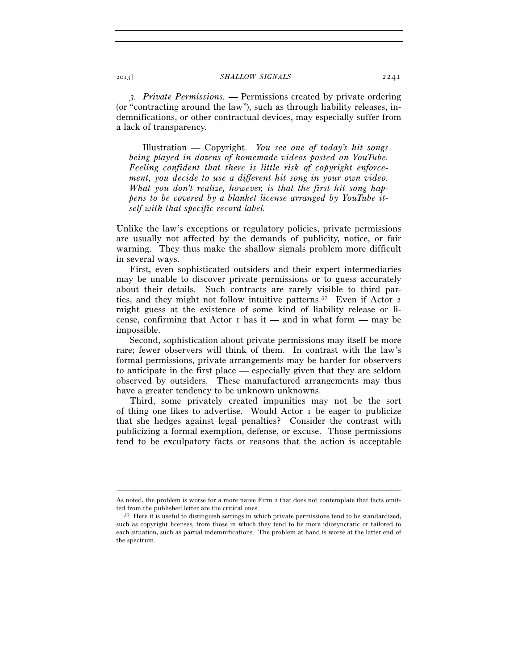*3. Private Permissions.* — Permissions created by private ordering (or "contracting around the law"), such as through liability releases, indemnifications, or other contractual devices, may especially suffer from a lack of transparency.

Illustration — Copyright. *You see one of today's hit songs being played in dozens of homemade videos posted on YouTube. Feeling confident that there is little risk of copyright enforcement, you decide to use a different hit song in your own video. What you don't realize, however, is that the first hit song happens to be covered by a blanket license arranged by YouTube itself with that specific record label.*

Unlike the law's exceptions or regulatory policies, private permissions are usually not affected by the demands of publicity, notice, or fair warning. They thus make the shallow signals problem more difficult in several ways.

First, even sophisticated outsiders and their expert intermediaries may be unable to discover private permissions or to guess accurately about their details. Such contracts are rarely visible to third parties, and they might not follow intuitive patterns.37 Even if Actor 2 might guess at the existence of some kind of liability release or license, confirming that Actor  $\bar{I}$  has it — and in what form — may be impossible.

Second, sophistication about private permissions may itself be more rare; fewer observers will think of them. In contrast with the law's formal permissions, private arrangements may be harder for observers to anticipate in the first place — especially given that they are seldom observed by outsiders. These manufactured arrangements may thus have a greater tendency to be unknown unknowns.

Third, some privately created impunities may not be the sort of thing one likes to advertise. Would Actor 1 be eager to publicize that she hedges against legal penalties? Consider the contrast with publicizing a formal exemption, defense, or excuse. Those permissions tend to be exculpatory facts or reasons that the action is acceptable

<sup>–––––––––––––––––––––––––––––––––––––––––––––––––––––––––––––</sup> As noted, the problem is worse for a more naive Firm 2 that does not contemplate that facts omitted from the published letter are the critical ones.<br><sup>37</sup> Here it is useful to distinguish settings in which private permissions tend to be standardized,

such as copyright licenses, from those in which they tend to be more idiosyncratic or tailored to each situation, such as partial indemnifications. The problem at hand is worse at the latter end of the spectrum.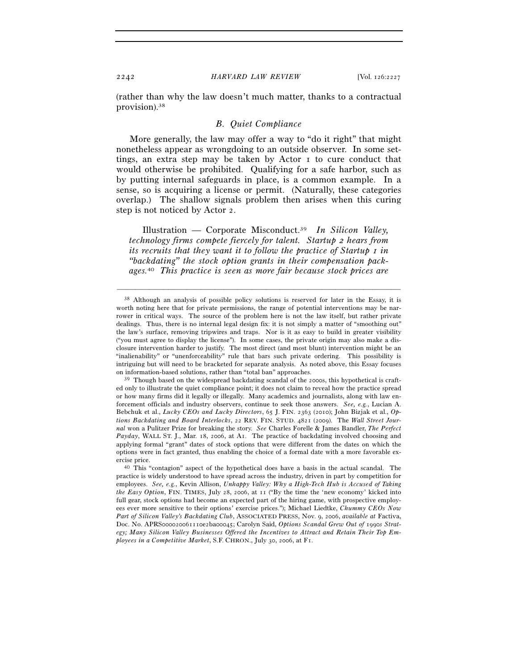(rather than why the law doesn't much matter, thanks to a contractual provision).38

## *B. Quiet Compliance*

More generally, the law may offer a way to "do it right" that might nonetheless appear as wrongdoing to an outside observer. In some settings, an extra step may be taken by Actor 1 to cure conduct that would otherwise be prohibited. Qualifying for a safe harbor, such as by putting internal safeguards in place, is a common example. In a sense, so is acquiring a license or permit. (Naturally, these categories overlap.) The shallow signals problem then arises when this curing step is not noticed by Actor 2.

Illustration — Corporate Misconduct.39 *In Silicon Valley, technology firms compete fiercely for talent. Startup 2 hears from its recruits that they want it to follow the practice of Startup I in "backdating" the stock option grants in their compensation packages.*40 *This practice is seen as more fair because stock prices are* 

<sup>38</sup> Although an analysis of possible policy solutions is reserved for later in the Essay, it is worth noting here that for private permissions, the range of potential interventions may be narrower in critical ways. The source of the problem here is not the law itself, but rather private dealings. Thus, there is no internal legal design fix: it is not simply a matter of "smoothing out" the law's surface, removing tripwires and traps. Nor is it as easy to build in greater visibility ("you must agree to display the license"). In some cases, the private origin may also make a disclosure intervention harder to justify. The most direct (and most blunt) intervention might be an "inalienability" or "unenforceability" rule that bars such private ordering. This possibility is intriguing but will need to be bracketed for separate analysis. As noted above, this Essay focuses on information-based solutions, rather than "total ban" approaches.<br><sup>39</sup> Though based on the widespread backdating scandal of the 2000s, this hypothetical is craft-

ed only to illustrate the quiet compliance point; it does not claim to reveal how the practice spread or how many firms did it legally or illegally. Many academics and journalists, along with law enforcement officials and industry observers, continue to seek those answers. *See, e.g.*, Lucian A. Bebchuk et al., *Lucky CEOs and Lucky Directors*, 65 J. FIN. 2363 (2010); John Bizjak et al., *Options Backdating and Board Interlocks*, 22 REV. FIN. STUD. 4821 (2009). The *Wall Street Journal* won a Pulitzer Prize for breaking the story. *See* Charles Forelle & James Bandler, *The Perfect Payday*, WALL ST. J., Mar. 18, 2006, at A1. The practice of backdating involved choosing and applying formal "grant" dates of stock options that were different from the dates on which the options were in fact granted, thus enabling the choice of a formal date with a more favorable exercise price.<br><sup>40</sup> This "contagion" aspect of the hypothetical does have a basis in the actual scandal. The

practice is widely understood to have spread across the industry, driven in part by competition for employees. *See, e.g.*, Kevin Allison, *Unhappy Valley: Why a High-Tech Hub is Accused of Taking the Easy Option*, FIN. TIMES, July 28, 2006, at 11 ("By the time the 'new economy' kicked into full gear, stock options had become an expected part of the hiring game, with prospective employees ever more sensitive to their options' exercise prices."); Michael Liedtke, *Chummy CEOs Now Part of Silicon Valley's Backdating Club*, ASSOCIATED PRESS, Nov. 9, 2006, *available at* Factiva, Doc. No. APRS000020061110e2ba00045; Carolyn Said, *Options Scandal Grew Out of* 1990*s Strategy; Many Silicon Valley Businesses Offered the Incentives to Attract and Retain Their Top Employees in a Competitive Market*, S.F. CHRON., July 30, 2006, at F1.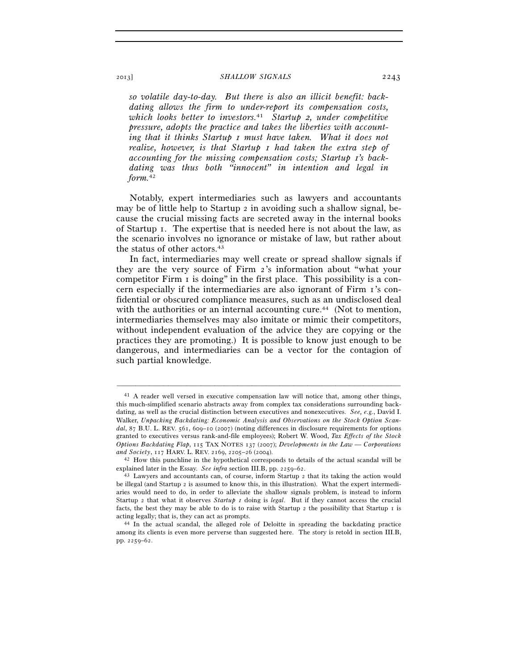*so volatile day-to-day. But there is also an illicit benefit: backdating allows the firm to under-report its compensation costs, which looks better to investors.*41 *Startup 2, under competitive pressure, adopts the practice and takes the liberties with accounting that it thinks Startup 1 must have taken. What it does not realize, however, is that Startup 1 had taken the extra step of accounting for the missing compensation costs; Startup 1's backdating was thus both "innocent" in intention and legal in form.*<sup>42</sup>

Notably, expert intermediaries such as lawyers and accountants may be of little help to Startup 2 in avoiding such a shallow signal, because the crucial missing facts are secreted away in the internal books of Startup 1. The expertise that is needed here is not about the law, as the scenario involves no ignorance or mistake of law, but rather about the status of other actors.<sup>43</sup>

In fact, intermediaries may well create or spread shallow signals if they are the very source of Firm 2's information about "what your competitor Firm 1 is doing" in the first place. This possibility is a concern especially if the intermediaries are also ignorant of Firm 1's confidential or obscured compliance measures, such as an undisclosed deal with the authorities or an internal accounting cure.<sup>44</sup> (Not to mention, intermediaries themselves may also imitate or mimic their competitors, without independent evaluation of the advice they are copying or the practices they are promoting.) It is possible to know just enough to be dangerous, and intermediaries can be a vector for the contagion of such partial knowledge.

<sup>41</sup> A reader well versed in executive compensation law will notice that, among other things, this much-simplified scenario abstracts away from complex tax considerations surrounding backdating, as well as the crucial distinction between executives and nonexecutives. *See, e.g.*, David I. Walker, *Unpacking Backdating: Economic Analysis and Observations on the Stock Option Scandal*, 87 B.U. L. REV. 561, 609–10 (2007) (noting differences in disclosure requirements for options granted to executives versus rank-and-file employees); Robert W. Wood, *Tax Effects of the Stock Options Backdating Flap*, 115 TAX NOTES 137 (2007); *Developments in the Law — Corporations and Society*, 117 HARV. L. REV. 2169, 2205–26 (2004). 42 How this punchline in the hypothetical corresponds to details of the actual scandal will be

explained later in the Essay. *See infra* section III.B, pp. 2259–62. 43 Lawyers and accountants can, of course, inform Startup 2 that its taking the action would

be illegal (and Startup 2 is assumed to know this, in this illustration). What the expert intermediaries would need to do, in order to alleviate the shallow signals problem, is instead to inform Startup 2 that what it observes *Startup 1* doing is *legal*. But if they cannot access the crucial facts, the best they may be able to do is to raise with Startup  $\alpha$  is the possibility that Startup  $\alpha$  is acting legally; that is, they can act as prompts. 44 In the actual scandal, the alleged role of Deloitte in spreading the backdating practice

among its clients is even more perverse than suggested here. The story is retold in section III.B, pp. 2259–62.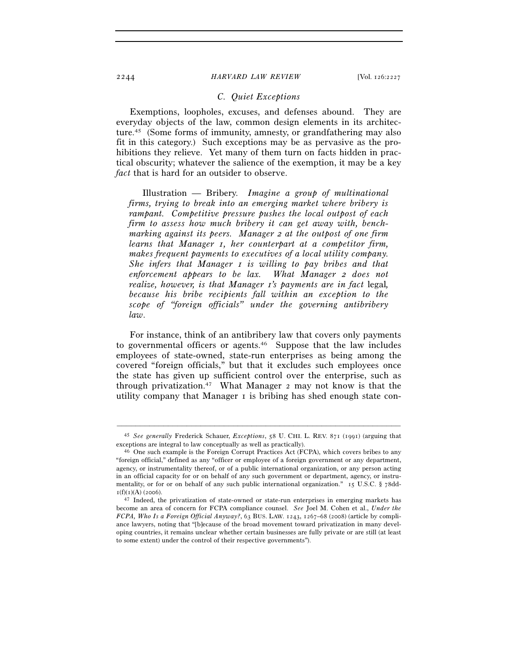## *C. Quiet Exceptions*

Exemptions, loopholes, excuses, and defenses abound. They are everyday objects of the law, common design elements in its architecture.45 (Some forms of immunity, amnesty, or grandfathering may also fit in this category.) Such exceptions may be as pervasive as the prohibitions they relieve. Yet many of them turn on facts hidden in practical obscurity; whatever the salience of the exemption, it may be a key *fact* that is hard for an outsider to observe.

Illustration — Bribery. *Imagine a group of multinational firms, trying to break into an emerging market where bribery is rampant. Competitive pressure pushes the local outpost of each firm to assess how much bribery it can get away with, benchmarking against its peers. Manager 2 at the outpost of one firm learns that Manager 1, her counterpart at a competitor firm, makes frequent payments to executives of a local utility company. She infers that Manager 1 is willing to pay bribes and that enforcement appears to be lax. What Manager 2 does not realize, however, is that Manager 1's payments are in fact* legal*, because his bribe recipients fall within an exception to the scope of "foreign officials" under the governing antibribery law*.

For instance, think of an antibribery law that covers only payments to governmental officers or agents.46 Suppose that the law includes employees of state-owned, state-run enterprises as being among the covered "foreign officials," but that it excludes such employees once the state has given up sufficient control over the enterprise, such as through privatization.47 What Manager 2 may not know is that the utility company that Manager 1 is bribing has shed enough state con-

<sup>–––––––––––––––––––––––––––––––––––––––––––––––––––––––––––––</sup> 45 *See generally* Frederick Schauer, *Exceptions*, 58 U. CHI. L. REV. 871 (1991) (arguing that

 $46$  One such example is the Foreign Corrupt Practices Act (FCPA), which covers bribes to any "foreign official," defined as any "officer or employee of a foreign government or any department, agency, or instrumentality thereof, or of a public international organization, or any person acting in an official capacity for or on behalf of any such government or department, agency, or instrumentality, or for or on behalf of any such public international organization." 15 U.S.C. § 78dd- $I(f)(I)(A)$  (2006).<br><sup>47</sup> Indeed, the privatization of state-owned or state-run enterprises in emerging markets has

become an area of concern for FCPA compliance counsel. *See* Joel M. Cohen et al., *Under the FCPA, Who Is a Foreign Official Anyway?*, 63 BUS. LAW. 1243, 1267–68 (2008) (article by compliance lawyers, noting that "[b]ecause of the broad movement toward privatization in many developing countries, it remains unclear whether certain businesses are fully private or are still (at least to some extent) under the control of their respective governments").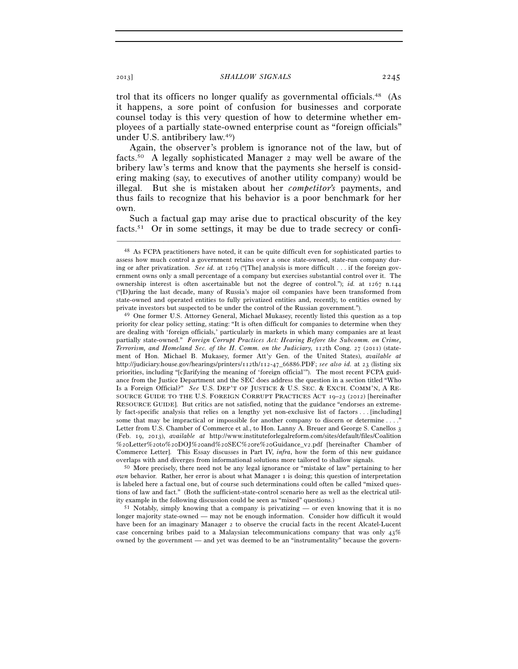trol that its officers no longer qualify as governmental officials.48 (As it happens, a sore point of confusion for businesses and corporate counsel today is this very question of how to determine whether employees of a partially state-owned enterprise count as "foreign officials" under U.S. antibribery law.49)

Again, the observer's problem is ignorance not of the law, but of facts.50 A legally sophisticated Manager 2 may well be aware of the bribery law's terms and know that the payments she herself is considering making (say, to executives of another utility company) would be illegal. But she is mistaken about her *competitor's* payments, and thus fails to recognize that his behavior is a poor benchmark for her own.

Such a factual gap may arise due to practical obscurity of the key facts.<sup>51</sup> Or in some settings, it may be due to trade secrecy or confi-

–––––––––––––––––––––––––––––––––––––––––––––––––––––––––––––

*own* behavior. Rather, her error is about what Manager 1 is doing; this question of interpretation is labeled here a factual one, but of course such determinations could often be called "mixed questions of law and fact." (Both the sufficient-state-control scenario here as well as the electrical utility example in the following discussion could be seen as "mixed" questions.) 51 Notably, simply knowing that a company is privatizing — or even knowing that it is no

longer majority state-owned — may not be enough information. Consider how difficult it would have been for an imaginary Manager 2 to observe the crucial facts in the recent Alcatel-Lucent case concerning bribes paid to a Malaysian telecommunications company that was only  $43\%$ owned by the government — and yet was deemed to be an "instrumentality" because the govern-

<sup>48</sup> As FCPA practitioners have noted, it can be quite difficult even for sophisticated parties to assess how much control a government retains over a once state-owned, state-run company during or after privatization. *See id.* at 1269 ("[The] analysis is more difficult . . . if the foreign government owns only a small percentage of a company but exercises substantial control over it. The ownership interest is often ascertainable but not the degree of control."); *id.* at 1267 n.144 ("[D]uring the last decade, many of Russia's major oil companies have been transformed from state-owned and operated entities to fully privatized entities and, recently, to entities owned by private investors but suspected to be under the control of the Russian government.").<br><sup>49</sup> One former U.S. Attorney General, Michael Mukasey, recently listed this question as a top

priority for clear policy setting, stating: "It is often difficult for companies to determine when they are dealing with 'foreign officials,' particularly in markets in which many companies are at least partially state-owned." *Foreign Corrupt Practices Act: Hearing Before the Subcomm. on Crime, Terrorism, and Homeland Sec. of the H. Comm. on the Judiciary, 112th Cong. 27 (2011)* (statement of Hon. Michael B. Mukasey, former Att'y Gen. of the United States), *available at* http://judiciary.house.gov/hearings/printers/112th/112-47\_66886.PDF; *see also id.* at 23 (listing six priorities, including "[c]larifying the meaning of 'foreign official'"). The most recent FCPA guidance from the Justice Department and the SEC does address the question in a section titled "Who Is a Foreign Official?" *See* U.S. DEP'T OF JUSTICE & U.S. SEC. & EXCH. COMM'N, A RE-SOURCE GUIDE TO THE U.S. FOREIGN CORRUPT PRACTICES ACT 19–23 (2012) [hereinafter RESOURCE GUIDE]. But critics are not satisfied, noting that the guidance "endorses an extremely fact-specific analysis that relies on a lengthy yet non-exclusive list of factors . . . [including] some that may be impractical or impossible for another company to discern or determine  $\dots$ . Letter from U.S. Chamber of Commerce et al., to Hon. Lanny A. Breuer and George S. Canellos 3 (Feb. 19, 2013), *available at* http://www.instituteforlegalreform.com/sites/default/files/Coalition %20Letter%20to%20DOJ%20and%20SEC%20re%20Guidance\_v2.pdf [hereinafter Chamber of Commerce Letter]. This Essay discusses in Part IV, *infra*, how the form of this new guidance overlaps with and diverges from informational solutions more tailored to shallow signals. 50 More precisely, there need not be any legal ignorance or "mistake of law" pertaining to her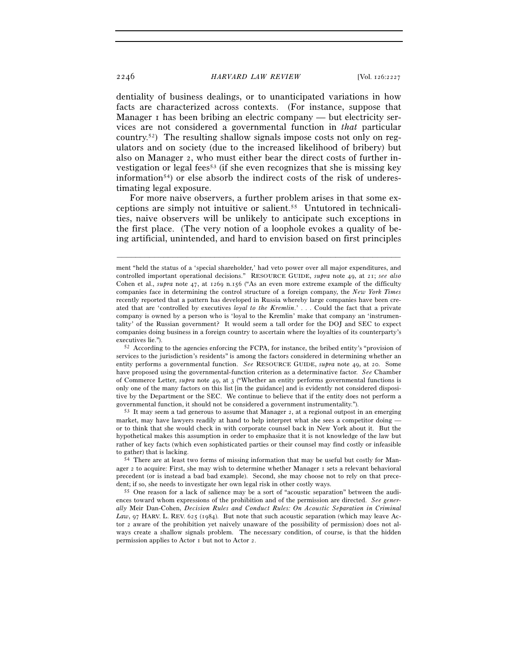dentiality of business dealings, or to unanticipated variations in how facts are characterized across contexts. (For instance, suppose that Manager I has been bribing an electric company — but electricity services are not considered a governmental function in *that* particular country.<sup>52</sup>) The resulting shallow signals impose costs not only on regulators and on society (due to the increased likelihood of bribery) but also on Manager 2, who must either bear the direct costs of further investigation or legal fees<sup>53</sup> (if she even recognizes that she is missing key information<sup>54</sup>) or else absorb the indirect costs of the risk of underestimating legal exposure.

For more naive observers, a further problem arises in that some exceptions are simply not intuitive or salient.55 Untutored in technicalities, naive observers will be unlikely to anticipate such exceptions in the first place. (The very notion of a loophole evokes a quality of being artificial, unintended, and hard to envision based on first principles

–––––––––––––––––––––––––––––––––––––––––––––––––––––––––––––

 $53$  It may seem a tad generous to assume that Manager 2, at a regional outpost in an emerging market, may have lawyers readily at hand to help interpret what she sees a competitor doing or to think that she would check in with corporate counsel back in New York about it. But the hypothetical makes this assumption in order to emphasize that it is not knowledge of the law but rather of key facts (which even sophisticated parties or their counsel may find costly or infeasible to gather) that is lacking.<br>54 There are at least two forms of missing information that may be useful but costly for Man-

ment "held the status of a 'special shareholder,' had veto power over all major expenditures, and controlled important operational decisions." RESOURCE GUIDE, *supra* note 49, at 21; *see also* Cohen et al., *supra* note 47, at 1269 n.156 ("As an even more extreme example of the difficulty companies face in determining the control structure of a foreign company, the *New York Times* recently reported that a pattern has developed in Russia whereby large companies have been created that are 'controlled by executives *loyal to the Kremlin*.' . . . Could the fact that a private company is owned by a person who is 'loyal to the Kremlin' make that company an 'instrumentality' of the Russian government? It would seem a tall order for the DOJ and SEC to expect companies doing business in a foreign country to ascertain where the loyalties of its counterparty's executives lie."). 52 According to the agencies enforcing the FCPA, for instance, the bribed entity's "provision of

services to the jurisdiction's residents" is among the factors considered in determining whether an entity performs a governmental function. *See* RESOURCE GUIDE, *supra* note 49, at 20. Some have proposed using the governmental-function criterion as a determinative factor. *See* Chamber of Commerce Letter, *supra* note 49, at 3 ("Whether an entity performs governmental functions is only one of the many factors on this list [in the guidance] and is evidently not considered dispositive by the Department or the SEC. We continue to believe that if the entity does not perform a governmental function, it should not be considered a government instrumentality.").

ager 2 to acquire: First, she may wish to determine whether Manager 1 sets a relevant behavioral precedent (or is instead a bad bad example). Second, she may choose not to rely on that precedent; if so, she needs to investigate her own legal risk in other costly ways. 55 One reason for a lack of salience may be a sort of "acoustic separation" between the audi-

ences toward whom expressions of the prohibition and of the permission are directed. *See generally* Meir Dan-Cohen, *Decision Rules and Conduct Rules: On Acoustic Separation in Criminal Law*, 97 HARV. L. REV. 625 (1984). But note that such acoustic separation (which may leave Actor 2 aware of the prohibition yet naively unaware of the possibility of permission) does not always create a shallow signals problem. The necessary condition, of course, is that the hidden permission applies to Actor 1 but not to Actor 2.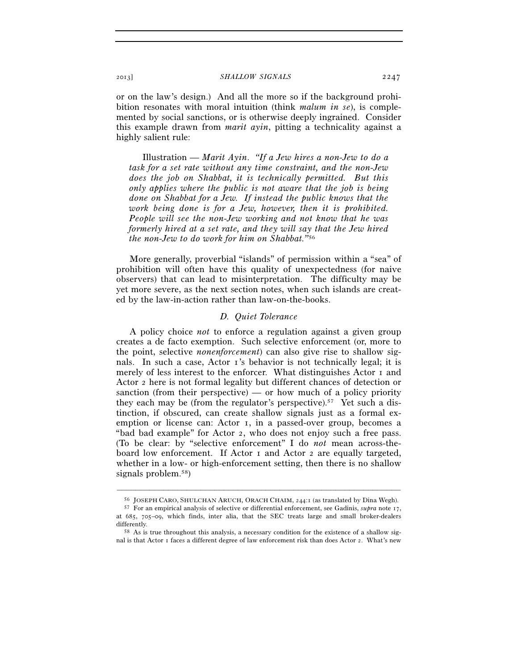or on the law's design.) And all the more so if the background prohibition resonates with moral intuition (think *malum in se*), is complemented by social sanctions, or is otherwise deeply ingrained. Consider this example drawn from *marit ayin*, pitting a technicality against a highly salient rule:

Illustration — *Marit Ayin*. *"If a Jew hires a non-Jew to do a task for a set rate without any time constraint, and the non-Jew does the job on Shabbat, it is technically permitted. But this only applies where the public is not aware that the job is being done on Shabbat for a Jew. If instead the public knows that the work being done is for a Jew, however, then it is prohibited. People will see the non-Jew working and not know that he was formerly hired at a set rate, and they will say that the Jew hired the non-Jew to do work for him on Shabbat."*<sup>56</sup>

More generally, proverbial "islands" of permission within a "sea" of prohibition will often have this quality of unexpectedness (for naive observers) that can lead to misinterpretation. The difficulty may be yet more severe, as the next section notes, when such islands are created by the law-in-action rather than law-on-the-books.

## *D. Quiet Tolerance*

A policy choice *not* to enforce a regulation against a given group creates a de facto exemption. Such selective enforcement (or, more to the point, selective *nonenforcement*) can also give rise to shallow signals. In such a case, Actor 1's behavior is not technically legal; it is merely of less interest to the enforcer. What distinguishes Actor 1 and Actor 2 here is not formal legality but different chances of detection or sanction (from their perspective) — or how much of a policy priority they each may be (from the regulator's perspective).<sup>57</sup> Yet such a distinction, if obscured, can create shallow signals just as a formal exemption or license can: Actor 1, in a passed-over group, becomes a "bad bad example" for Actor 2, who does not enjoy such a free pass. (To be clear: by "selective enforcement" I do *not* mean across-theboard low enforcement. If Actor 1 and Actor 2 are equally targeted, whether in a low- or high-enforcement setting, then there is no shallow signals problem.58)

<sup>–––––––––––––––––––––––––––––––––––––––––––––––––––––––––––––</sup> <sup>56</sup> JOSEPH CARO, SHULCHAN ARUCH, ORACH CHAIM, 244:1 (as translated by Dina Wegh). 57 For an empirical analysis of selective or differential enforcement, see Gadinis, *supra* note 17,

at 685, 705–09, which finds, inter alia, that the SEC treats large and small broker-dealers

 $58$  As is true throughout this analysis, a necessary condition for the existence of a shallow signal is that Actor 1 faces a different degree of law enforcement risk than does Actor 2. What's new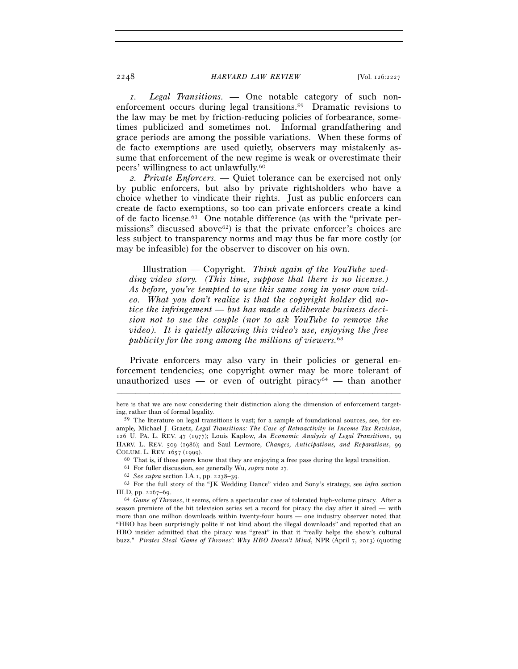*1. Legal Transitions. —* One notable category of such nonenforcement occurs during legal transitions.<sup>59</sup> Dramatic revisions to the law may be met by friction-reducing policies of forbearance, sometimes publicized and sometimes not. Informal grandfathering and grace periods are among the possible variations. When these forms of de facto exemptions are used quietly, observers may mistakenly assume that enforcement of the new regime is weak or overestimate their peers' willingness to act unlawfully.60

*2. Private Enforcers. —* Quiet tolerance can be exercised not only by public enforcers, but also by private rightsholders who have a choice whether to vindicate their rights. Just as public enforcers can create de facto exemptions, so too can private enforcers create a kind of de facto license.61 One notable difference (as with the "private permissions" discussed above<sup>62</sup>) is that the private enforcer's choices are less subject to transparency norms and may thus be far more costly (or may be infeasible) for the observer to discover on his own.

Illustration — Copyright. *Think again of the YouTube wedding video story. (This time, suppose that there is no license.) As before, you're tempted to use this same song in your own video. What you don't realize is that the copyright holder* did *notice the infringement — but has made a deliberate business decision not to sue the couple (nor to ask YouTube to remove the video). It is quietly allowing this video's use, enjoying the free publicity for the song among the millions of viewers.*<sup>63</sup>

Private enforcers may also vary in their policies or general enforcement tendencies; one copyright owner may be more tolerant of unauthorized uses — or even of outright piracy<sup>64</sup> — than another

<sup>–––––––––––––––––––––––––––––––––––––––––––––––––––––––––––––</sup> here is that we are now considering their distinction along the dimension of enforcement targeting, rather than of formal legality.

<sup>59</sup> The literature on legal transitions is vast; for a sample of foundational sources, see, for example*,* Michael J. Graetz, *Legal Transitions: The Case of Retroactivity in Income Tax Revision*, 126 U. PA. L. REV. 47 (1977); Louis Kaplow, *An Economic Analysis of Legal Transitions*, 99 HARV. L. REV. 509 (1986); and Saul Levmore, *Changes, Anticipations, and Reparations*, 99 COLUM. L. REV. 1657 (1999).<br>
<sup>60</sup> That is, if those peers know that they are enjoying a free pass during the legal transition.<br>
<sup>61</sup> For fuller discussion, see generally Wu, *supra* note 27.<br>
<sup>62</sup> *See supra* section I.A.

<sup>63</sup> For the full story of the "JK Wedding Dance" video and Sony's strategy, see *infra* section III.D, pp. 2267–69. 64 *Game of Thrones*, it seems, offers a spectacular case of tolerated high-volume piracy. After a

season premiere of the hit television series set a record for piracy the day after it aired — with more than one million downloads within twenty-four hours — one industry observer noted that "HBO has been surprisingly polite if not kind about the illegal downloads" and reported that an HBO insider admitted that the piracy was "great" in that it "really helps the show's cultural buzz." *Pirates Steal 'Game of Thrones': Why HBO Doesn't Mind*, NPR (April 7, 2013) (quoting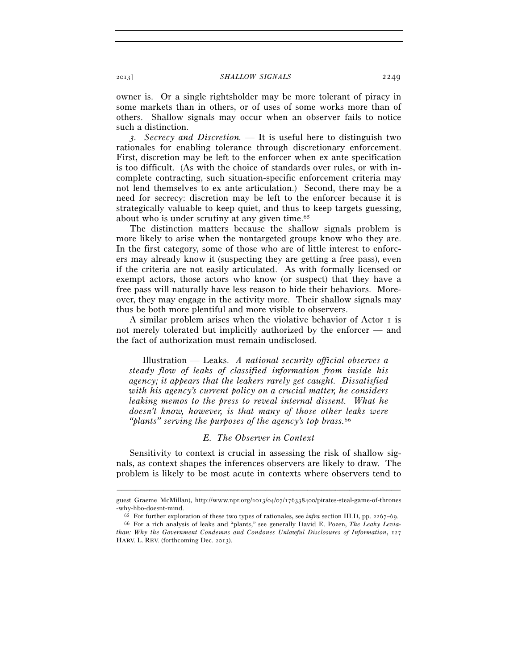owner is. Or a single rightsholder may be more tolerant of piracy in some markets than in others, or of uses of some works more than of others. Shallow signals may occur when an observer fails to notice such a distinction.

*3. Secrecy and Discretion. —* It is useful here to distinguish two rationales for enabling tolerance through discretionary enforcement. First, discretion may be left to the enforcer when ex ante specification is too difficult. (As with the choice of standards over rules, or with incomplete contracting, such situation-specific enforcement criteria may not lend themselves to ex ante articulation.) Second, there may be a need for secrecy: discretion may be left to the enforcer because it is strategically valuable to keep quiet, and thus to keep targets guessing, about who is under scrutiny at any given time.65

The distinction matters because the shallow signals problem is more likely to arise when the nontargeted groups know who they are. In the first category, some of those who are of little interest to enforcers may already know it (suspecting they are getting a free pass), even if the criteria are not easily articulated. As with formally licensed or exempt actors, those actors who know (or suspect) that they have a free pass will naturally have less reason to hide their behaviors. Moreover, they may engage in the activity more. Their shallow signals may thus be both more plentiful and more visible to observers.

A similar problem arises when the violative behavior of Actor 1 is not merely tolerated but implicitly authorized by the enforcer — and the fact of authorization must remain undisclosed.

Illustration — Leaks. *A national security official observes a steady flow of leaks of classified information from inside his agency; it appears that the leakers rarely get caught. Dissatisfied with his agency's current policy on a crucial matter, he considers leaking memos to the press to reveal internal dissent. What he doesn't know, however, is that many of those other leaks were "plants" serving the purposes of the agency's top brass.*<sup>66</sup>

## *E. The Observer in Context*

Sensitivity to context is crucial in assessing the risk of shallow signals, as context shapes the inferences observers are likely to draw. The problem is likely to be most acute in contexts where observers tend to

<sup>–––––––––––––––––––––––––––––––––––––––––––––––––––––––––––––</sup> guest Graeme McMillan), http://www.npr.org/2013/04/07/176338400/pirates-steal-game-of-thrones -why-hbo-doesnt-mind.<br><sup>65</sup> For further exploration of these two types of rationales, see *infra* section III.D, pp. 2267–69.<br><sup>66</sup> For a rich analysis of leaks and "plants," see generally David E. Pozen, *The Leaky Levia*-

*than: Why the Government Condemns and Condones Unlawful Disclosures of Information*, 127 HARV. L. REV. (forthcoming Dec. 2013).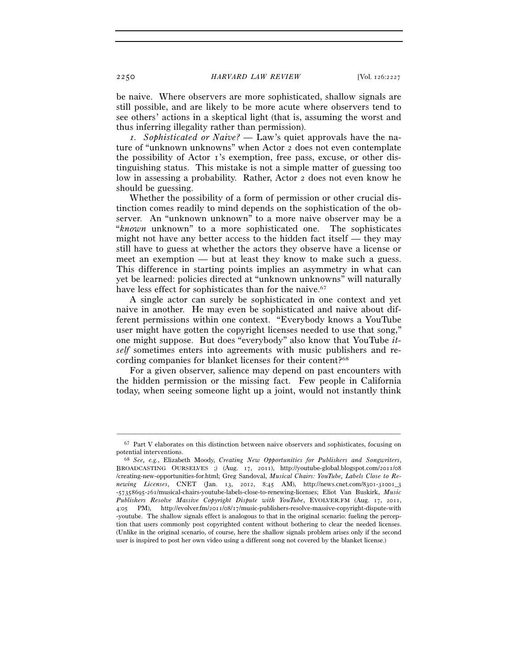be naive. Where observers are more sophisticated, shallow signals are still possible, and are likely to be more acute where observers tend to see others' actions in a skeptical light (that is, assuming the worst and thus inferring illegality rather than permission).

*1. Sophisticated or Naive? —* Law's quiet approvals have the nature of "unknown unknowns" when Actor 2 does not even contemplate the possibility of Actor 1's exemption, free pass, excuse, or other distinguishing status. This mistake is not a simple matter of guessing too low in assessing a probability. Rather, Actor 2 does not even know he should be guessing.

Whether the possibility of a form of permission or other crucial distinction comes readily to mind depends on the sophistication of the observer. An "unknown unknown" to a more naive observer may be a "*known* unknown" to a more sophisticated one. The sophisticates might not have any better access to the hidden fact itself — they may still have to guess at whether the actors they observe have a license or meet an exemption — but at least they know to make such a guess. This difference in starting points implies an asymmetry in what can yet be learned: policies directed at "unknown unknowns" will naturally have less effect for sophisticates than for the naive.<sup>67</sup>

A single actor can surely be sophisticated in one context and yet naive in another. He may even be sophisticated and naive about different permissions within one context. "Everybody knows a YouTube user might have gotten the copyright licenses needed to use that song," one might suppose. But does "everybody" also know that YouTube *itself* sometimes enters into agreements with music publishers and recording companies for blanket licenses for their content?68

For a given observer, salience may depend on past encounters with the hidden permission or the missing fact. Few people in California today, when seeing someone light up a joint, would not instantly think

<sup>–––––––––––––––––––––––––––––––––––––––––––––––––––––––––––––</sup> 67 Part V elaborates on this distinction between naive observers and sophisticates, focusing on

potential interventions. 68 *See, e.g.*, Elizabeth Moody, *Creating New Opportunities for Publishers and Songwriters*, BROADCASTING OURSELVES ;) (Aug. 17, 2011), http://youtube-global.blogspot.com/2011/08 /creating-new-opportunities-for.html; Greg Sandoval, *Musical Chairs: YouTube, Labels Close to Renewing Licenses*, CNET (Jan. 13, 2012, 8:45 AM), http://news.cnet.com/8301-31001\_3 -57358695-261/musical-chairs-youtube-labels-close-to-renewing-licenses; Eliot Van Buskirk, *Music Publishers Resolve Massive Copyright Dispute with YouTube*, EVOLVER.FM (Aug. 17, 2011, 4:05 PM), http://evolver.fm/2011/08/17/music-publishers-resolve-massive-copyright-dispute-with -youtube. The shallow signals effect is analogous to that in the original scenario: fueling the perception that users commonly post copyrighted content without bothering to clear the needed licenses. (Unlike in the original scenario, of course, here the shallow signals problem arises only if the second user is inspired to post her own video using a different song not covered by the blanket license.)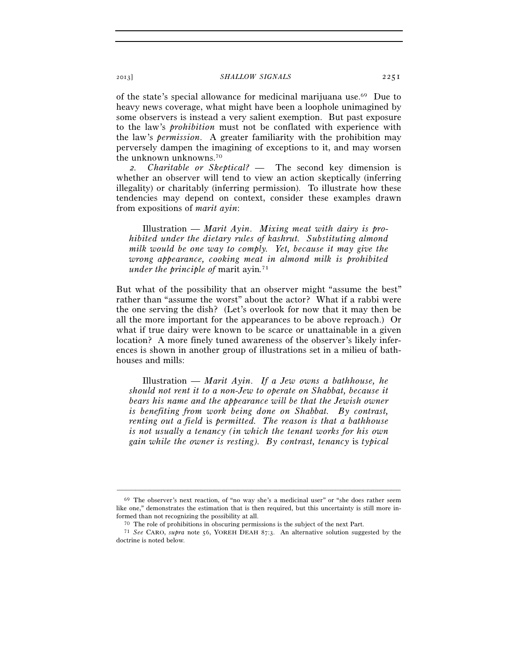of the state's special allowance for medicinal marijuana use.69 Due to heavy news coverage, what might have been a loophole unimagined by some observers is instead a very salient exemption. But past exposure to the law's *prohibition* must not be conflated with experience with the law's *permission*. A greater familiarity with the prohibition may perversely dampen the imagining of exceptions to it, and may worsen the unknown unknowns.<sup>70</sup>

*2. Charitable or Skeptical?* — The second key dimension is whether an observer will tend to view an action skeptically (inferring illegality) or charitably (inferring permission). To illustrate how these tendencies may depend on context, consider these examples drawn from expositions of *marit ayin*:

Illustration — *Marit Ayin*. *Mixing meat with dairy is prohibited under the dietary rules of kashrut. Substituting almond milk would be one way to comply. Yet, because it may give the wrong appearance, cooking meat in almond milk is prohibited under the principle of* marit ayin*.* 71

But what of the possibility that an observer might "assume the best" rather than "assume the worst" about the actor? What if a rabbi were the one serving the dish? (Let's overlook for now that it may then be all the more important for the appearances to be above reproach.) Or what if true dairy were known to be scarce or unattainable in a given location? A more finely tuned awareness of the observer's likely inferences is shown in another group of illustrations set in a milieu of bathhouses and mills:

Illustration — *Marit Ayin*. *If a Jew owns a bathhouse, he should not rent it to a non-Jew to operate on Shabbat, because it bears his name and the appearance will be that the Jewish owner is benefiting from work being done on Shabbat. By contrast, renting out a field* is *permitted. The reason is that a bathhouse is not usually a tenancy (in which the tenant works for his own gain while the owner is resting). By contrast, tenancy* is *typical* 

 $69$  The observer's next reaction, of "no way she's a medicinal user" or "she does rather seem like one," demonstrates the estimation that is then required, but this uncertainty is still more in-

formed than not recognizing the possibility at all.<br>
<sup>70</sup> The role of prohibitions in obscuring permissions is the subject of the next Part.<br>
<sup>71</sup> *See* CARO, *supra* note 56, YOREH DEAH 87:3. An alternative solution sugg doctrine is noted below.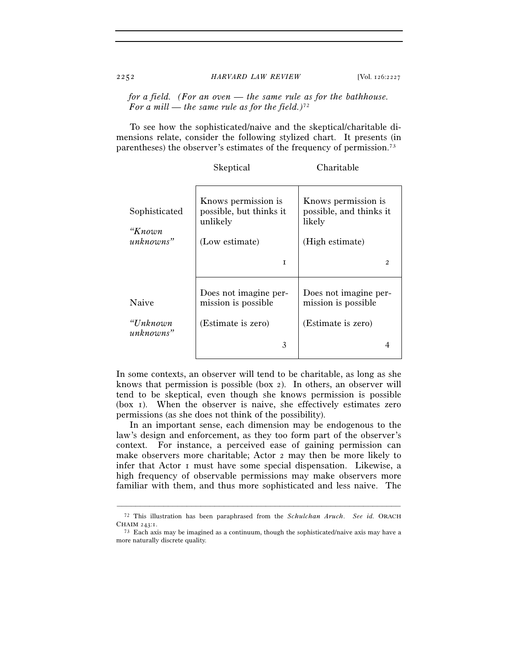*for a field. (For an oven — the same rule as for the bathhouse. For a mill — the same rule as for the field.)*<sup>72</sup>

To see how the sophisticated/naive and the skeptical/charitable dimensions relate, consider the following stylized chart. It presents (in parentheses) the observer's estimates of the frequency of permission.73

|                                      | Skeptical                                                                    | Charitable                                                                  |
|--------------------------------------|------------------------------------------------------------------------------|-----------------------------------------------------------------------------|
| Sophisticated<br>"Кпоwп<br>unknowns" | Knows permission is<br>possible, but thinks it<br>unlikely<br>(Low estimate) | Knows permission is<br>possible, and thinks it<br>likely<br>(High estimate) |
|                                      | T                                                                            | $\mathfrak{D}$                                                              |
| Naive                                | Does not imagine per-<br>mission is possible.                                | Does not imagine per-<br>mission is possible.                               |
| "Unknown<br>unknowns"                | (Estimate is zero)                                                           | (Estimate is zero)                                                          |
|                                      | 3                                                                            |                                                                             |

In some contexts, an observer will tend to be charitable, as long as she knows that permission is possible (box 2). In others, an observer will tend to be skeptical, even though she knows permission is possible (box 1). When the observer is naive, she effectively estimates zero permissions (as she does not think of the possibility).

In an important sense, each dimension may be endogenous to the law's design and enforcement, as they too form part of the observer's context. For instance, a perceived ease of gaining permission can make observers more charitable; Actor 2 may then be more likely to infer that Actor 1 must have some special dispensation. Likewise, a high frequency of observable permissions may make observers more familiar with them, and thus more sophisticated and less naive. The

<sup>–––––––––––––––––––––––––––––––––––––––––––––––––––––––––––––</sup> 72 This illustration has been paraphrased from the *Schulchan Aruch*. *See id.* ORACH

 $73$ : Each axis may be imagined as a continuum, though the sophisticated/naive axis may have a more naturally discrete quality.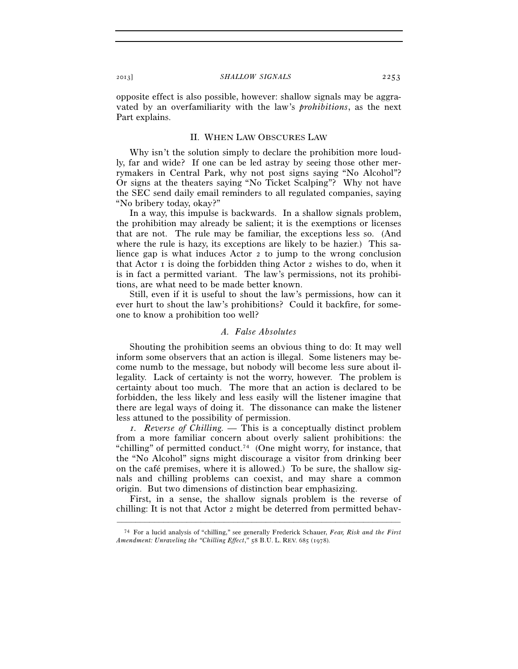opposite effect is also possible, however: shallow signals may be aggravated by an overfamiliarity with the law's *prohibitions*, as the next Part explains.

### II. WHEN LAW OBSCURES LAW

Why isn't the solution simply to declare the prohibition more loudly, far and wide? If one can be led astray by seeing those other merrymakers in Central Park, why not post signs saying "No Alcohol"? Or signs at the theaters saying "No Ticket Scalping"? Why not have the SEC send daily email reminders to all regulated companies, saying "No bribery today, okay?"

In a way, this impulse is backwards. In a shallow signals problem, the prohibition may already be salient; it is the exemptions or licenses that are not. The rule may be familiar, the exceptions less so. (And where the rule is hazy, its exceptions are likely to be hazier.) This salience gap is what induces Actor 2 to jump to the wrong conclusion that Actor  $\bar{1}$  is doing the forbidden thing Actor  $\bar{2}$  wishes to do, when it is in fact a permitted variant. The law's permissions, not its prohibitions, are what need to be made better known.

Still, even if it is useful to shout the law's permissions, how can it ever hurt to shout the law's prohibitions? Could it backfire, for someone to know a prohibition too well?

#### *A. False Absolutes*

Shouting the prohibition seems an obvious thing to do: It may well inform some observers that an action is illegal. Some listeners may become numb to the message, but nobody will become less sure about illegality. Lack of certainty is not the worry, however. The problem is certainty about too much. The more that an action is declared to be forbidden, the less likely and less easily will the listener imagine that there are legal ways of doing it. The dissonance can make the listener less attuned to the possibility of permission.

*1. Reverse of Chilling. —* This is a conceptually distinct problem from a more familiar concern about overly salient prohibitions: the "chilling" of permitted conduct.<sup>74</sup> (One might worry, for instance, that the "No Alcohol" signs might discourage a visitor from drinking beer on the café premises, where it is allowed.) To be sure, the shallow signals and chilling problems can coexist, and may share a common origin. But two dimensions of distinction bear emphasizing.

First, in a sense, the shallow signals problem is the reverse of chilling: It is not that Actor 2 might be deterred from permitted behav-

<sup>–––––––––––––––––––––––––––––––––––––––––––––––––––––––––––––</sup> 74 For a lucid analysis of "chilling," see generally Frederick Schauer, *Fear, Risk and the First Amendment: Unraveling the "Chilling Effect*,*"* 58 B.U. L. REV. 685 (1978).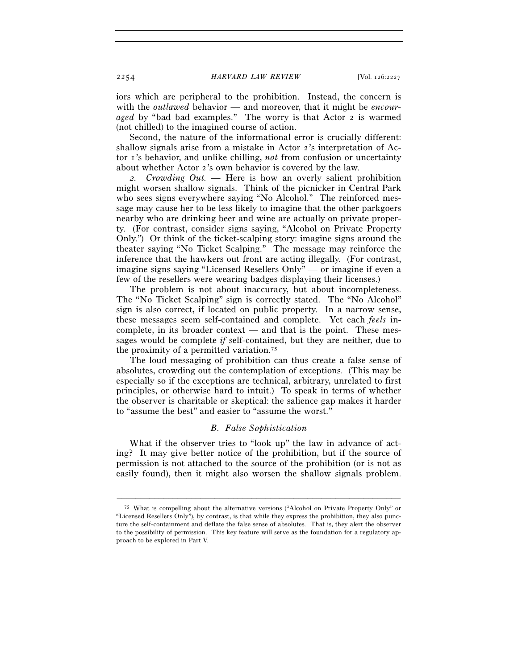iors which are peripheral to the prohibition. Instead, the concern is with the *outlawed* behavior — and moreover, that it might be *encouraged* by "bad bad examples." The worry is that Actor 2 is warmed (not chilled) to the imagined course of action.

Second, the nature of the informational error is crucially different: shallow signals arise from a mistake in Actor 2's interpretation of Actor 1's behavior, and unlike chilling, *not* from confusion or uncertainty about whether Actor 2's own behavior is covered by the law.

*2. Crowding Out. —* Here is how an overly salient prohibition might worsen shallow signals. Think of the picnicker in Central Park who sees signs everywhere saying "No Alcohol." The reinforced message may cause her to be less likely to imagine that the other parkgoers nearby who are drinking beer and wine are actually on private property. (For contrast, consider signs saying, "Alcohol on Private Property Only.") Or think of the ticket-scalping story: imagine signs around the theater saying "No Ticket Scalping." The message may reinforce the inference that the hawkers out front are acting illegally. (For contrast, imagine signs saying "Licensed Resellers Only" — or imagine if even a few of the resellers were wearing badges displaying their licenses.)

The problem is not about inaccuracy, but about incompleteness. The "No Ticket Scalping" sign is correctly stated. The "No Alcohol" sign is also correct, if located on public property. In a narrow sense, these messages seem self-contained and complete. Yet each *feels* incomplete, in its broader context — and that is the point. These messages would be complete *if* self-contained, but they are neither, due to the proximity of a permitted variation.75

The loud messaging of prohibition can thus create a false sense of absolutes, crowding out the contemplation of exceptions. (This may be especially so if the exceptions are technical, arbitrary, unrelated to first principles, or otherwise hard to intuit.) To speak in terms of whether the observer is charitable or skeptical: the salience gap makes it harder to "assume the best" and easier to "assume the worst."

## *B. False Sophistication*

What if the observer tries to "look up" the law in advance of acting? It may give better notice of the prohibition, but if the source of permission is not attached to the source of the prohibition (or is not as easily found), then it might also worsen the shallow signals problem.

<sup>75</sup> What is compelling about the alternative versions ("Alcohol on Private Property Only" or "Licensed Resellers Only"), by contrast, is that while they express the prohibition, they also puncture the self-containment and deflate the false sense of absolutes. That is, they alert the observer to the possibility of permission. This key feature will serve as the foundation for a regulatory approach to be explored in Part V.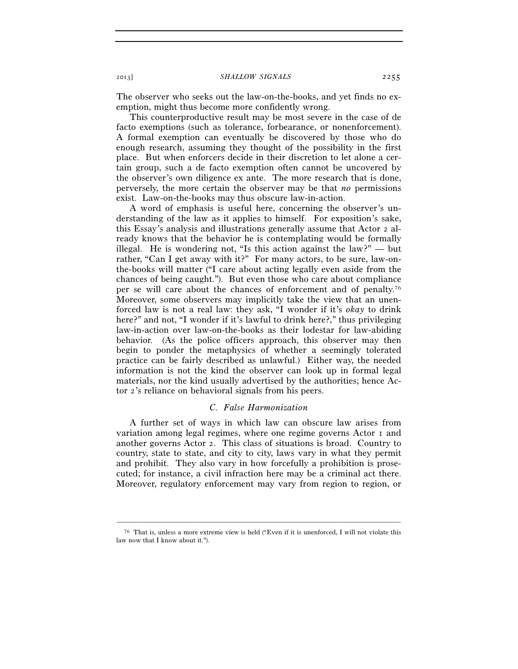The observer who seeks out the law-on-the-books, and yet finds no exemption, might thus become more confidently wrong.

This counterproductive result may be most severe in the case of de facto exemptions (such as tolerance, forbearance, or nonenforcement). A formal exemption can eventually be discovered by those who do enough research, assuming they thought of the possibility in the first place. But when enforcers decide in their discretion to let alone a certain group, such a de facto exemption often cannot be uncovered by the observer's own diligence ex ante. The more research that is done, perversely, the more certain the observer may be that *no* permissions exist. Law-on-the-books may thus obscure law-in-action.

A word of emphasis is useful here, concerning the observer's understanding of the law as it applies to himself. For exposition's sake, this Essay's analysis and illustrations generally assume that Actor 2 already knows that the behavior he is contemplating would be formally illegal. He is wondering not, "Is this action against the law?" — but rather, "Can I get away with it?" For many actors, to be sure, law-onthe-books will matter ("I care about acting legally even aside from the chances of being caught."). But even those who care about compliance per se will care about the chances of enforcement and of penalty.76 Moreover, some observers may implicitly take the view that an unenforced law is not a real law: they ask, "I wonder if it's *okay* to drink here?" and not, "I wonder if it's lawful to drink here?," thus privileging law-in-action over law-on-the-books as their lodestar for law-abiding behavior. (As the police officers approach, this observer may then begin to ponder the metaphysics of whether a seemingly tolerated practice can be fairly described as unlawful.) Either way, the needed information is not the kind the observer can look up in formal legal materials, nor the kind usually advertised by the authorities; hence Actor 2's reliance on behavioral signals from his peers.

### *C. False Harmonization*

A further set of ways in which law can obscure law arises from variation among legal regimes, where one regime governs Actor 1 and another governs Actor 2. This class of situations is broad. Country to country, state to state, and city to city, laws vary in what they permit and prohibit. They also vary in how forcefully a prohibition is prosecuted; for instance, a civil infraction here may be a criminal act there. Moreover, regulatory enforcement may vary from region to region, or

<sup>–––––––––––––––––––––––––––––––––––––––––––––––––––––––––––––</sup> 76 That is, unless a more extreme view is held ("Even if it is unenforced, I will not violate this law now that I know about it.").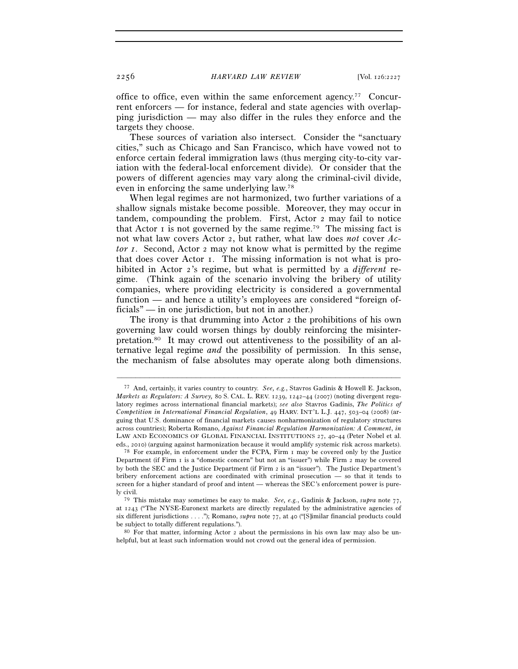office to office, even within the same enforcement agency.77 Concurrent enforcers — for instance, federal and state agencies with overlapping jurisdiction — may also differ in the rules they enforce and the targets they choose.

These sources of variation also intersect. Consider the "sanctuary cities," such as Chicago and San Francisco, which have vowed not to enforce certain federal immigration laws (thus merging city-to-city variation with the federal-local enforcement divide). Or consider that the powers of different agencies may vary along the criminal-civil divide, even in enforcing the same underlying law.78

When legal regimes are not harmonized, two further variations of a shallow signals mistake become possible. Moreover, they may occur in tandem, compounding the problem. First, Actor 2 may fail to notice that Actor  $\bar{I}$  is not governed by the same regime.<sup>79</sup> The missing fact is not what law covers Actor 2, but rather, what law does *not* cover *Actor 1*. Second, Actor 2 may not know what is permitted by the regime that does cover Actor 1. The missing information is not what is prohibited in Actor 2's regime, but what is permitted by a *different* regime. (Think again of the scenario involving the bribery of utility companies, where providing electricity is considered a governmental function — and hence a utility's employees are considered "foreign officials" — in one jurisdiction, but not in another.)

The irony is that drumming into Actor 2 the prohibitions of his own governing law could worsen things by doubly reinforcing the misinterpretation.80 It may crowd out attentiveness to the possibility of an alternative legal regime *and* the possibility of permission. In this sense, the mechanism of false absolutes may operate along both dimensions.

<sup>77</sup> And, certainly, it varies country to country. *See, e.g.*, Stavros Gadinis & Howell E. Jackson, *Markets as Regulators: A Survey,* 80 S. CAL. L. REV. 1239, 1242–44 (2007) (noting divergent regulatory regimes across international financial markets); *see also* Stavros Gadinis, *The Politics of Competition in International Financial Regulation*, 49 HARV. INT'L L.J. 447, 503–04 (2008) (arguing that U.S. dominance of financial markets causes nonharmonization of regulatory structures across countries); Roberta Romano, *Against Financial Regulation Harmonization: A Comment*, *in* LAW AND ECONOMICS OF GLOBAL FINANCIAL INSTITUTIONS 27, 40-44 (Peter Nobel et al.

eds., 2010) (arguing against harmonization because it would amplify systemic risk across markets). 78 For example, in enforcement under the FCPA, Firm 1 may be covered only by the Justice Department (if Firm 1 is a "domestic concern" but not an "issuer") while Firm 2 may be covered by both the SEC and the Justice Department (if Firm 2 is an "issuer"). The Justice Department's bribery enforcement actions are coordinated with criminal prosecution — so that it tends to screen for a higher standard of proof and intent — whereas the SEC's enforcement power is purely civil.

<sup>79</sup> This mistake may sometimes be easy to make. *See, e.g.*, Gadinis & Jackson, *supra* note 77, at 1243 ("The NYSE-Euronext markets are directly regulated by the administrative agencies of six different jurisdictions . . . ."); Romano, *supra* note 77, at 40 ("[S]imilar financial products could be subject to totally different regulations.").

 $80$  For that matter, informing Actor 2 about the permissions in his own law may also be unhelpful, but at least such information would not crowd out the general idea of permission.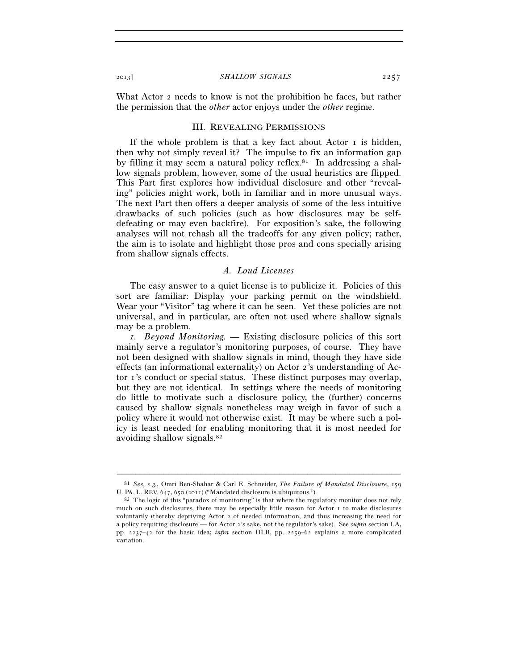What Actor 2 needs to know is not the prohibition he faces, but rather the permission that the *other* actor enjoys under the *other* regime.

#### III. REVEALING PERMISSIONS

If the whole problem is that a key fact about Actor 1 is hidden, then why not simply reveal it? The impulse to fix an information gap by filling it may seem a natural policy reflex.<sup>81</sup> In addressing a shallow signals problem, however, some of the usual heuristics are flipped. This Part first explores how individual disclosure and other "revealing" policies might work, both in familiar and in more unusual ways. The next Part then offers a deeper analysis of some of the less intuitive drawbacks of such policies (such as how disclosures may be selfdefeating or may even backfire). For exposition's sake, the following analyses will not rehash all the tradeoffs for any given policy; rather, the aim is to isolate and highlight those pros and cons specially arising from shallow signals effects.

## *A. Loud Licenses*

The easy answer to a quiet license is to publicize it. Policies of this sort are familiar: Display your parking permit on the windshield. Wear your "Visitor" tag where it can be seen. Yet these policies are not universal, and in particular, are often not used where shallow signals may be a problem.

*1. Beyond Monitoring.* — Existing disclosure policies of this sort mainly serve a regulator's monitoring purposes, of course. They have not been designed with shallow signals in mind, though they have side effects (an informational externality) on Actor 2's understanding of Actor 1's conduct or special status. These distinct purposes may overlap, but they are not identical. In settings where the needs of monitoring do little to motivate such a disclosure policy, the (further) concerns caused by shallow signals nonetheless may weigh in favor of such a policy where it would not otherwise exist. It may be where such a policy is least needed for enabling monitoring that it is most needed for avoiding shallow signals.82

<sup>–––––––––––––––––––––––––––––––––––––––––––––––––––––––––––––</sup> 81 *See, e.g.*, Omri Ben-Shahar & Carl E. Schneider, *The Failure of Mandated Disclosure*, 159 U. PA. L. REV. 647, 650 (2011) ("Mandated disclosure is ubiquitous.").<br><sup>82</sup> The logic of this "paradox of monitoring" is that where the regulatory monitor does not rely

much on such disclosures, there may be especially little reason for Actor 1 to make disclosures voluntarily (thereby depriving Actor 2 of needed information, and thus increasing the need for a policy requiring disclosure — for Actor 2's sake, not the regulator's sake). See *supra* section I.A, pp. 2237–42 for the basic idea; *infra* section III.B, pp. 2259–62 explains a more complicated variation.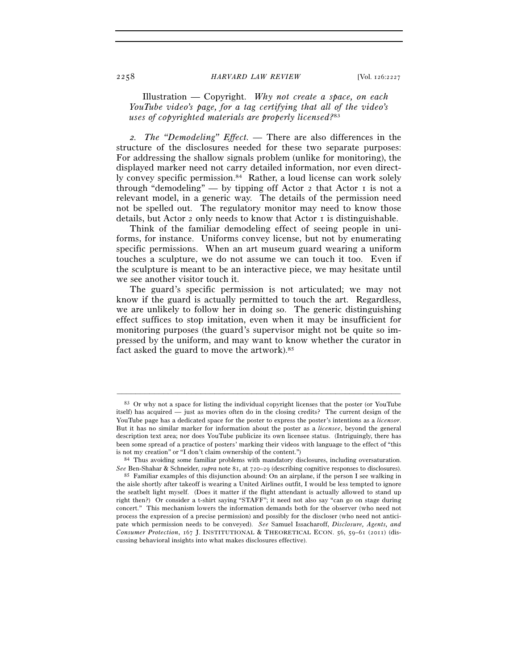Illustration — Copyright. *Why not create a space, on each YouTube video's page, for a tag certifying that all of the video's uses of copyrighted materials are properly licensed?*<sup>83</sup>

*2. The "Demodeling" Effect. —* There are also differences in the structure of the disclosures needed for these two separate purposes: For addressing the shallow signals problem (unlike for monitoring), the displayed marker need not carry detailed information, nor even directly convey specific permission.<sup>84</sup> Rather, a loud license can work solely through "demodeling" — by tipping off Actor  $\alpha$  that Actor  $\alpha$  is not a relevant model, in a generic way. The details of the permission need not be spelled out. The regulatory monitor may need to know those details, but Actor 2 only needs to know that Actor 1 is distinguishable.

Think of the familiar demodeling effect of seeing people in uniforms, for instance. Uniforms convey license, but not by enumerating specific permissions. When an art museum guard wearing a uniform touches a sculpture, we do not assume we can touch it too. Even if the sculpture is meant to be an interactive piece, we may hesitate until we see another visitor touch it.

The guard's specific permission is not articulated; we may not know if the guard is actually permitted to touch the art. Regardless, we are unlikely to follow her in doing so. The generic distinguishing effect suffices to stop imitation, even when it may be insufficient for monitoring purposes (the guard's supervisor might not be quite so impressed by the uniform, and may want to know whether the curator in fact asked the guard to move the artwork).<sup>85</sup>

<sup>83</sup> Or why not a space for listing the individual copyright licenses that the poster (or YouTube itself) has acquired — just as movies often do in the closing credits? The current design of the YouTube page has a dedicated space for the poster to express the poster's intentions as a *licensor*. But it has no similar marker for information about the poster as a *licensee*, beyond the general description text area; nor does YouTube publicize its own licensee status. (Intriguingly, there has been some spread of a practice of posters' marking their videos with language to the effect of "this is not my creation" or "I don't claim ownership of the content.") 84 Thus avoiding some familiar problems with mandatory disclosures, including oversaturation.

*See* Ben-Shahar & Schneider, *supra* note 81, at 720–29 (describing cognitive responses to disclosures). <sup>85</sup> Familiar examples of this disjunction abound: On an airplane, if the person I see walking in the aisle shortly after takeoff is wearing a United Airlines outfit, I would be less tempted to ignore the seatbelt light myself. (Does it matter if the flight attendant is actually allowed to stand up right then?) Or consider a t-shirt saying "STAFF"; it need not also say "can go on stage during concert." This mechanism lowers the information demands both for the observer (who need not process the expression of a precise permission) and possibly for the discloser (who need not anticipate which permission needs to be conveyed). *See* Samuel Issacharoff, *Disclosure, Agents, and Consumer Protection*, 167 J. INSTITUTIONAL & THEORETICAL ECON. 56, 59–61 (2011) (discussing behavioral insights into what makes disclosures effective).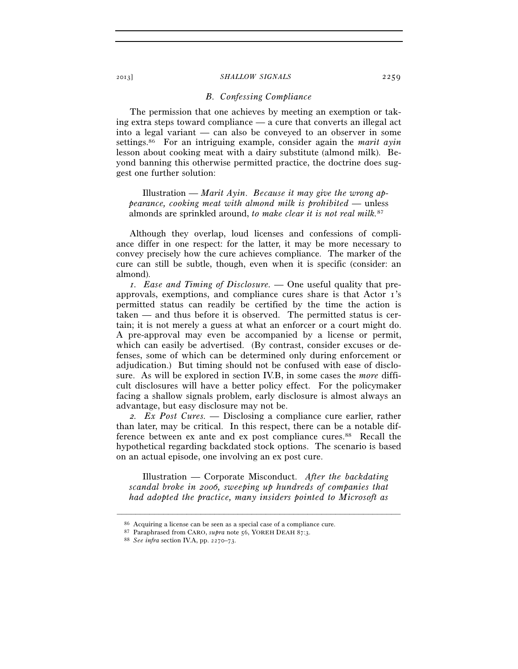## *B. Confessing Compliance*

The permission that one achieves by meeting an exemption or taking extra steps toward compliance — a cure that converts an illegal act into a legal variant — can also be conveyed to an observer in some settings.86 For an intriguing example, consider again the *marit ayin* lesson about cooking meat with a dairy substitute (almond milk). Beyond banning this otherwise permitted practice, the doctrine does suggest one further solution:

Illustration — *Marit Ayin*. *Because it may give the wrong appearance, cooking meat with almond milk is prohibited —* unless almonds are sprinkled around, *to make clear it is not real milk.*<sup>87</sup>

Although they overlap, loud licenses and confessions of compliance differ in one respect: for the latter, it may be more necessary to convey precisely how the cure achieves compliance. The marker of the cure can still be subtle, though, even when it is specific (consider: an almond).

*1. Ease and Timing of Disclosure. —* One useful quality that preapprovals, exemptions, and compliance cures share is that Actor 1's permitted status can readily be certified by the time the action is taken — and thus before it is observed. The permitted status is certain; it is not merely a guess at what an enforcer or a court might do. A pre-approval may even be accompanied by a license or permit, which can easily be advertised. (By contrast, consider excuses or defenses, some of which can be determined only during enforcement or adjudication.) But timing should not be confused with ease of disclosure. As will be explored in section IV.B, in some cases the *more* difficult disclosures will have a better policy effect. For the policymaker facing a shallow signals problem, early disclosure is almost always an advantage, but easy disclosure may not be.

*2. Ex Post Cures. —* Disclosing a compliance cure earlier, rather than later, may be critical. In this respect, there can be a notable difference between ex ante and ex post compliance cures.<sup>88</sup> Recall the hypothetical regarding backdated stock options. The scenario is based on an actual episode, one involving an ex post cure.

Illustration — Corporate Misconduct. *After the backdating scandal broke in 2006, sweeping up hundreds of companies that had adopted the practice, many insiders pointed to Microsoft as* 

<sup>86</sup> Acquiring a license can be seen as a special case of a compliance cure. 87 Paraphrased from CARO, *supra* note 56, YOREH DEAH <sup>87</sup>:3. 88 *See infra* section IV.A, pp. 2270–73.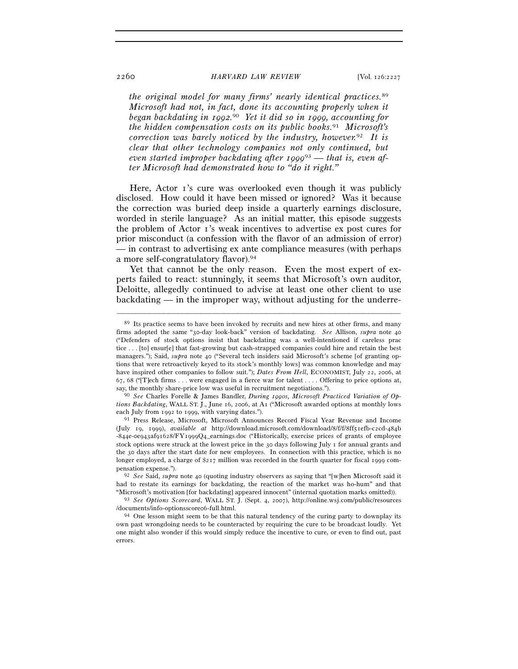*the original model for many firms' nearly identical practices.*<sup>89</sup> *Microsoft had not, in fact, done its accounting properly when it began backdating in 1992.* <sup>90</sup> *Yet it did so in 1999, accounting for the hidden compensation costs on its public books.*91 *Microsoft's correction was barely noticed by the industry, however.*92 *It is clear that other technology companies not only continued, but even started improper backdating after 1999*93 *— that is, even after Microsoft had demonstrated how to "do it right."* 

Here, Actor 1's cure was overlooked even though it was publicly disclosed. How could it have been missed or ignored? Was it because the correction was buried deep inside a quarterly earnings disclosure, worded in sterile language? As an initial matter, this episode suggests the problem of Actor 1's weak incentives to advertise ex post cures for prior misconduct (a confession with the flavor of an admission of error) — in contrast to advertising ex ante compliance measures (with perhaps a more self-congratulatory flavor).94

Yet that cannot be the only reason. Even the most expert of experts failed to react: stunningly, it seems that Microsoft's own auditor, Deloitte, allegedly continued to advise at least one other client to use backdating — in the improper way, without adjusting for the underre-

<sup>89</sup> Its practice seems to have been invoked by recruits and new hires at other firms, and many firms adopted the same "30-day look-back" version of backdating. *See* Allison, *supra* note 40 ("Defenders of stock options insist that backdating was a well-intentioned if careless prac tice . . . [to] ensur[e] that fast-growing but cash-strapped companies could hire and retain the best managers."); Said, *supra* note 40 ("Several tech insiders said Microsoft's scheme [of granting options that were retroactively keyed to its stock's monthly lows] was common knowledge and may have inspired other companies to follow suit."); *Dates From Hell*, ECONOMIST, July 22, 2006, at 67, 68 ("[T]ech firms . . . were engaged in a fierce war for talent . . . . Offering to price options at, say, the monthly share-price low was useful in recruitment negotiations."). 90 *See* Charles Forelle & James Bandler, *During 1990s, Microsoft Practiced Variation of Op-*

*tions Backdating*, WALL ST. J., June 16, 2006, at A1 ("Microsoft awarded options at monthly lows each July from 1992 to 1999, with varying dates."). 91 Press Release, Microsoft, Microsoft Announces Record Fiscal Year Revenue and Income

<sup>(</sup>July 19, 1999), *available at* http://download.microsoft.com/download/8/f/f/8ff51efb-c2cd-484b -844e-0e943af91628/FY1999Q4\_earnings.doc ("Historically, exercise prices of grants of employee stock options were struck at the lowest price in the 30 days following July 1 for annual grants and the 30 days after the start date for new employees. In connection with this practice, which is no longer employed, a charge of \$217 million was recorded in the fourth quarter for fiscal 1999 compensation expense."). 92 *See* Said, *supra* note 40 (quoting industry observers as saying that "[w]hen Microsoft said it

had to restate its earnings for backdating, the reaction of the market was ho-hum" and that

<sup>&</sup>quot;Microsoft's motivation [for backdating] appeared innocent" (internal quotation marks omitted)). 93 *See Options Scorecard*, WALL ST. J. (Sept. 4, 2007), http://online.wsj.com/public/resources /documents/info-optionsscore06-full.html. 94 One lesson might seem to be that this natural tendency of the curing party to downplay its

own past wrongdoing needs to be counteracted by requiring the cure to be broadcast loudly. Yet one might also wonder if this would simply reduce the incentive to cure, or even to find out, past errors.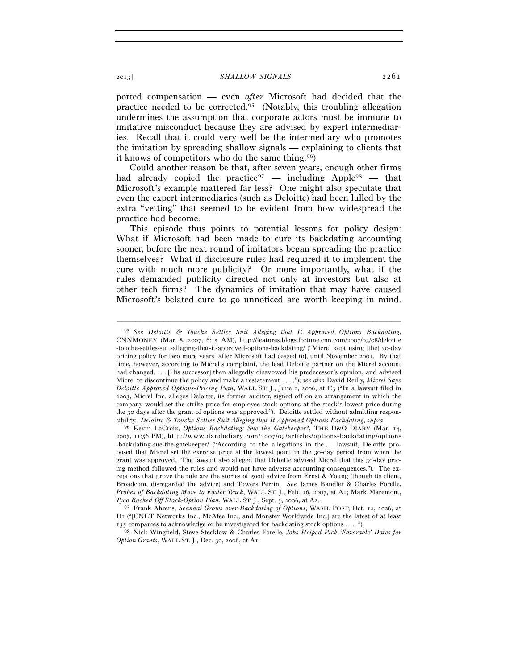ported compensation — even *after* Microsoft had decided that the practice needed to be corrected.95 (Notably, this troubling allegation undermines the assumption that corporate actors must be immune to imitative misconduct because they are advised by expert intermediaries. Recall that it could very well be the intermediary who promotes the imitation by spreading shallow signals — explaining to clients that it knows of competitors who do the same thing.96)

Could another reason be that, after seven years, enough other firms had already copied the practice<sup>97</sup> — including Apple<sup>98</sup> — that Microsoft's example mattered far less? One might also speculate that even the expert intermediaries (such as Deloitte) had been lulled by the extra "vetting" that seemed to be evident from how widespread the practice had become.

This episode thus points to potential lessons for policy design: What if Microsoft had been made to cure its backdating accounting sooner, before the next round of imitators began spreading the practice themselves? What if disclosure rules had required it to implement the cure with much more publicity? Or more importantly, what if the rules demanded publicity directed not only at investors but also at other tech firms? The dynamics of imitation that may have caused Microsoft's belated cure to go unnoticed are worth keeping in mind.

<sup>95</sup> *See Deloitte & Touche Settles Suit Alleging that It Approved Options Backdating*, CNNMONEY (Mar. 8, 2007, 6:15 AM), http://features.blogs.fortune.cnn.com/2007/03/08/deloitte -touche-settles-suit-alleging-that-it-approved-options-backdating/ ("Micrel kept using [the] 30-day pricing policy for two more years [after Microsoft had ceased to], until November 2001. By that time, however, according to Micrel's complaint, the lead Deloitte partner on the Micrel account had changed. . . . [His successor] then allegedly disavowed his predecessor's opinion, and advised Micrel to discontinue the policy and make a restatement . . . ."); *see also* David Reilly, *Micrel Says Deloitte Approved Options-Pricing Plan*, WALL ST. J., June 1, 2006, at C3 ("In a lawsuit filed in 2003, Micrel Inc. alleges Deloitte, its former auditor, signed off on an arrangement in which the company would set the strike price for employee stock options at the stock's lowest price during the 30 days after the grant of options was approved."). Deloitte settled without admitting responsibility. *Deloitte & Touche Settles Suit Alleging that It Approved Options Backdating*, *supra*. 96 Kevin LaCroix, *Options Backdating: Sue the Gatekeeper?*, THE D&O DIARY (Mar. 14,

<sup>2007, 11:56</sup> PM), http://www.dandodiary.com/2007/03/articles/options-backdating/options -backdating-sue-the-gatekeeper/ ("According to the allegations in the . . . lawsuit, Deloitte proposed that Micrel set the exercise price at the lowest point in the 30-day period from when the grant was approved. The lawsuit also alleged that Deloitte advised Micrel that this 30-day pricing method followed the rules and would not have adverse accounting consequences."). The exceptions that prove the rule are the stories of good advice from Ernst & Young (though its client, Broadcom, disregarded the advice) and Towers Perrin. *See* James Bandler & Charles Forelle, *Probes of Backdating Move to Faster Track*, WALL ST. J., Feb. 16, 2007, at A1; Mark Maremont,

<sup>&</sup>lt;sup>97</sup> Frank Ahrens, *Scandal Grows over Backdating of Options*, WASH. POST, Oct. 12, 2006, at D1 ("[CNET Networks Inc., McAfee Inc., and Monster Worldwide Inc.] are the latest of at least 135 companies to acknowledge or be investigated for backdating stock options . . . .").

<sup>98</sup> Nick Wingfield, Steve Stecklow & Charles Forelle, *Jobs Helped Pick 'Favorable' Dates for Option Grants*, WALL ST. J., Dec. 30, 2006, at A1.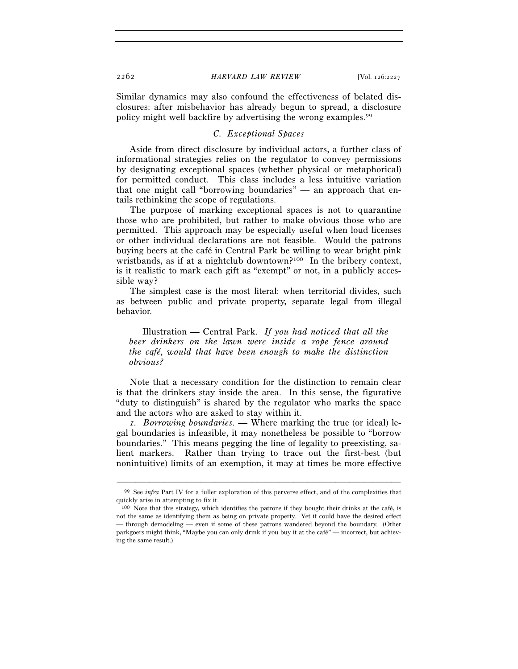Similar dynamics may also confound the effectiveness of belated disclosures: after misbehavior has already begun to spread, a disclosure policy might well backfire by advertising the wrong examples.99

## *C. Exceptional Spaces*

Aside from direct disclosure by individual actors, a further class of informational strategies relies on the regulator to convey permissions by designating exceptional spaces (whether physical or metaphorical) for permitted conduct. This class includes a less intuitive variation that one might call "borrowing boundaries" — an approach that entails rethinking the scope of regulations.

The purpose of marking exceptional spaces is not to quarantine those who are prohibited, but rather to make obvious those who are permitted. This approach may be especially useful when loud licenses or other individual declarations are not feasible. Would the patrons buying beers at the café in Central Park be willing to wear bright pink wristbands, as if at a nightclub downtown?<sup>100</sup> In the bribery context, is it realistic to mark each gift as "exempt" or not, in a publicly accessible way?

The simplest case is the most literal: when territorial divides, such as between public and private property, separate legal from illegal behavior.

Illustration — Central Park. *If you had noticed that all the beer drinkers on the lawn were inside a rope fence around the café, would that have been enough to make the distinction obvious?* 

Note that a necessary condition for the distinction to remain clear is that the drinkers stay inside the area. In this sense, the figurative "duty to distinguish" is shared by the regulator who marks the space and the actors who are asked to stay within it.

*1. Borrowing boundaries. —* Where marking the true (or ideal) legal boundaries is infeasible, it may nonetheless be possible to "borrow boundaries." This means pegging the line of legality to preexisting, salient markers. Rather than trying to trace out the first-best (but nonintuitive) limits of an exemption, it may at times be more effective

<sup>–––––––––––––––––––––––––––––––––––––––––––––––––––––––––––––</sup> <sup>99</sup> See *infra* Part IV for a fuller exploration of this perverse effect, and of the complexities that quickly arise in attempting to fix it.

<sup>100</sup> Note that this strategy, which identifies the patrons if they bought their drinks at the café, is not the same as identifying them as being on private property. Yet it could have the desired effect — through demodeling — even if some of these patrons wandered beyond the boundary. (Other parkgoers might think, "Maybe you can only drink if you buy it at the café" — incorrect, but achieving the same result.)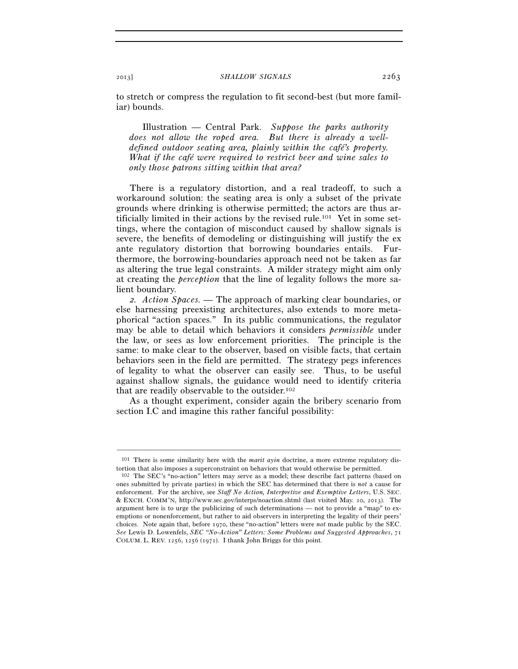to stretch or compress the regulation to fit second-best (but more familiar) bounds.

Illustration — Central Park. *Suppose the parks authority does not allow the roped area. But there is already a welldefined outdoor seating area, plainly within the café's property. What if the café were required to restrict beer and wine sales to only those patrons sitting within that area?* 

There is a regulatory distortion, and a real tradeoff, to such a workaround solution: the seating area is only a subset of the private grounds where drinking is otherwise permitted; the actors are thus artificially limited in their actions by the revised rule.101 Yet in some settings, where the contagion of misconduct caused by shallow signals is severe, the benefits of demodeling or distinguishing will justify the ex ante regulatory distortion that borrowing boundaries entails. Furthermore, the borrowing-boundaries approach need not be taken as far as altering the true legal constraints. A milder strategy might aim only at creating the *perception* that the line of legality follows the more salient boundary.

*2. Action Spaces. —* The approach of marking clear boundaries, or else harnessing preexisting architectures, also extends to more metaphorical "action spaces." In its public communications, the regulator may be able to detail which behaviors it considers *permissible* under the law, or sees as low enforcement priorities. The principle is the same: to make clear to the observer, based on visible facts, that certain behaviors seen in the field are permitted. The strategy pegs inferences of legality to what the observer can easily see. Thus, to be useful against shallow signals, the guidance would need to identify criteria that are readily observable to the outsider.<sup>102</sup>

As a thought experiment, consider again the bribery scenario from section I.C and imagine this rather fanciful possibility:

<sup>–––––––––––––––––––––––––––––––––––––––––––––––––––––––––––––</sup> 101 There is some similarity here with the *marit ayin* doctrine, a more extreme regulatory distortion that also imposes a superconstraint on behaviors that would otherwise be permitted.

<sup>102</sup> The SEC's "no-action" letters may serve as a model; these describe fact patterns (based on ones submitted by private parties) in which the SEC has determined that there is *not* a cause for enforcement. For the archive, see *Staff No Action, Interpretive and Exemptive Letters*, U.S. SEC. & EXCH. COMM'N, http://www.sec.gov/interps/noaction.shtml (last visited May. 10, 2013). The argument here is to urge the publicizing of such determinations — not to provide a "map" to exemptions or nonenforcement, but rather to aid observers in interpreting the legality of their peers' choices. Note again that, before 1970, these "no-action" letters were *not* made public by the SEC. *See* Lewis D. Lowenfels, *SEC "No-Action" Letters: Some Problems and Suggested Approaches*, 71 COLUM. L. REV. 1256, 1256 (1971). I thank John Briggs for this point.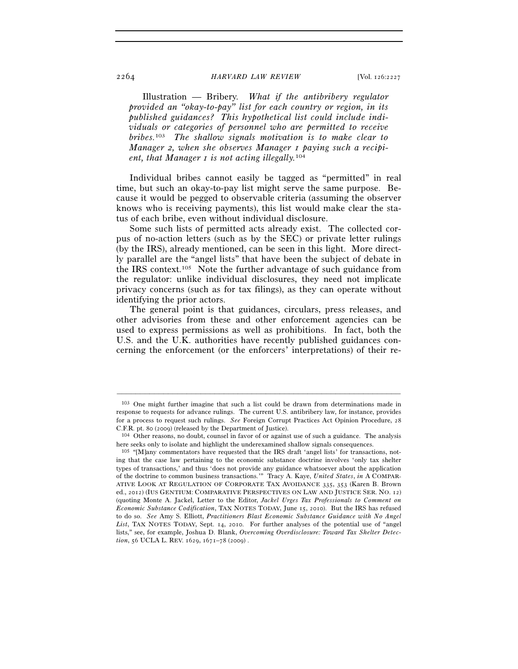Illustration — Bribery. *What if the antibribery regulator provided an "okay-to-pay" list for each country or region, in its published guidances? This hypothetical list could include individuals or categories of personnel who are permitted to receive bribes.*103 *The shallow signals motivation is to make clear to Manager 2, when she observes Manager 1 paying such a recipient, that Manager 1 is not acting illegally.*<sup>104</sup>

Individual bribes cannot easily be tagged as "permitted" in real time, but such an okay-to-pay list might serve the same purpose. Because it would be pegged to observable criteria (assuming the observer knows who is receiving payments), this list would make clear the status of each bribe, even without individual disclosure.

Some such lists of permitted acts already exist. The collected corpus of no-action letters (such as by the SEC) or private letter rulings (by the IRS), already mentioned, can be seen in this light. More directly parallel are the "angel lists" that have been the subject of debate in the IRS context.105 Note the further advantage of such guidance from the regulator: unlike individual disclosures, they need not implicate privacy concerns (such as for tax filings), as they can operate without identifying the prior actors.

The general point is that guidances, circulars, press releases, and other advisories from these and other enforcement agencies can be used to express permissions as well as prohibitions. In fact, both the U.S. and the U.K. authorities have recently published guidances concerning the enforcement (or the enforcers' interpretations) of their re-

<sup>103</sup> One might further imagine that such a list could be drawn from determinations made in response to requests for advance rulings. The current U.S. antibribery law, for instance, provides for a process to request such rulings. *See* Foreign Corrupt Practices Act Opinion Procedure, 28 C.F.R. pt. 80 (2009) (released by the Department of Justice). 104 Other reasons, no doubt, counsel in favor of or against use of such a guidance. The analysis

here seeks only to isolate and highlight the underexamined shallow signals consequences.

<sup>105</sup> "[M]any commentators have requested that the IRS draft 'angel lists' for transactions, noting that the case law pertaining to the economic substance doctrine involves 'only tax shelter types of transactions,' and thus 'does not provide any guidance whatsoever about the application of the doctrine to common business transactions.'" Tracy A. Kaye, *United States*, *in* A COMPAR-ATIVE LOOK AT REGULATION OF CORPORATE TAX AVOIDANCE 335, 353 (Karen B. Brown ed., 2012) (IUS GENTIUM: COMPARATIVE PERSPECTIVES ON LAW AND JUSTICE SER. NO. 12) (quoting Monte A. Jackel, Letter to the Editor, *Jackel Urges Tax Professionals to Comment on Economic Substance Codification*, TAX NOTES TODAY, June 15, 2010). But the IRS has refused to do so. *See* Amy S. Elliott, *Practitioners Blast Economic Substance Guidance with No Angel List*, TAX NOTES TODAY, Sept. 14, 2010. For further analyses of the potential use of "angel lists," see, for example, Joshua D. Blank, *Overcoming Overdisclosure: Toward Tax Shelter Detection*, 56 UCLA L. REV. 1629, 1671–78 (2009) .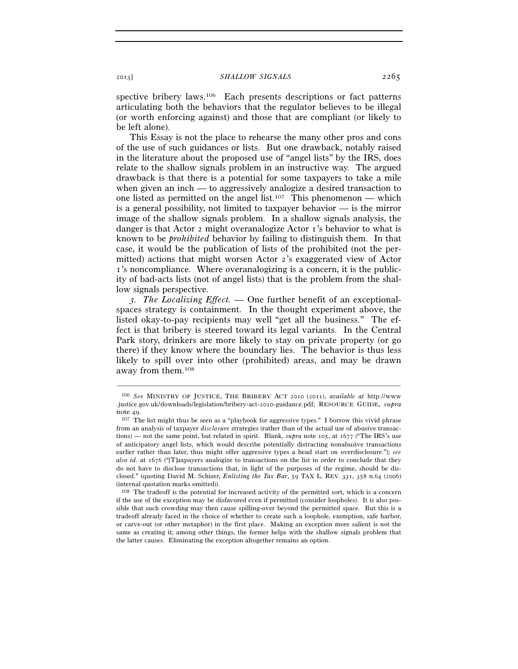spective bribery laws.<sup>106</sup> Each presents descriptions or fact patterns articulating both the behaviors that the regulator believes to be illegal (or worth enforcing against) and those that are compliant (or likely to be left alone).

This Essay is not the place to rehearse the many other pros and cons of the use of such guidances or lists. But one drawback, notably raised in the literature about the proposed use of "angel lists" by the IRS, does relate to the shallow signals problem in an instructive way. The argued drawback is that there is a potential for some taxpayers to take a mile when given an inch — to aggressively analogize a desired transaction to one listed as permitted on the angel list.<sup>107</sup> This phenomenon — which is a general possibility, not limited to taxpayer behavior — is the mirror image of the shallow signals problem. In a shallow signals analysis, the danger is that Actor 2 might overanalogize Actor 1's behavior to what is known to be *prohibited* behavior by failing to distinguish them. In that case, it would be the publication of lists of the prohibited (not the permitted) actions that might worsen Actor 2's exaggerated view of Actor 1's noncompliance. Where overanalogizing is a concern, it is the publicity of bad-acts lists (not of angel lists) that is the problem from the shallow signals perspective.

*3. The Localizing Effect. —* One further benefit of an exceptionalspaces strategy is containment. In the thought experiment above, the listed okay-to-pay recipients may well "get all the business." The effect is that bribery is steered toward its legal variants. In the Central Park story, drinkers are more likely to stay on private property (or go there) if they know where the boundary lies. The behavior is thus less likely to spill over into other (prohibited) areas, and may be drawn away from them.108

<sup>106</sup> *See* MINISTRY OF JUSTICE, THE BRIBERY ACT 2010 (2011), *available at* http://www .justice.gov.uk/downloads/legislation/bribery-act-2010-guidance.pdf; RESOURCE GUIDE, *supra*

note 49.<br><sup>107</sup> The list might thus be seen as a "playbook for aggressive types." I borrow this vivid phrase from an analysis of taxpayer *disclosure* strategies (rather than of the actual use of abusive transactions) — not the same point, but related in spirit. Blank, *supra* note 105, at 1677 ("The IRS's use of anticipatory angel lists, which would describe potentially distracting nonabusive transactions earlier rather than later, thus might offer aggressive types a head start on overdisclosure."); *see also id.* at 1676 ("[T]axpayers analogize to transactions on the list in order to conclude that they do not have to disclose transactions that, in light of the purposes of the regime, should be disclosed." (quoting David M. Schizer, *Enlisting the Tax Bar*, 59 TAX L. REV. 331, 358 n.64 (2006) (internal quotation marks omitted)).

<sup>108</sup> The tradeoff is the potential for increased activity of the permitted sort, which is a concern if the use of the exception may be disfavored even if permitted (consider loopholes). It is also possible that such crowding may then cause spilling-over beyond the permitted space. But this is a tradeoff already faced in the choice of whether to create such a loophole, exemption, safe harbor, or carve-out (or other metaphor) in the first place. Making an exception more salient is not the same as creating it; among other things, the former helps with the shallow signals problem that the latter causes. Eliminating the exception altogether remains an option.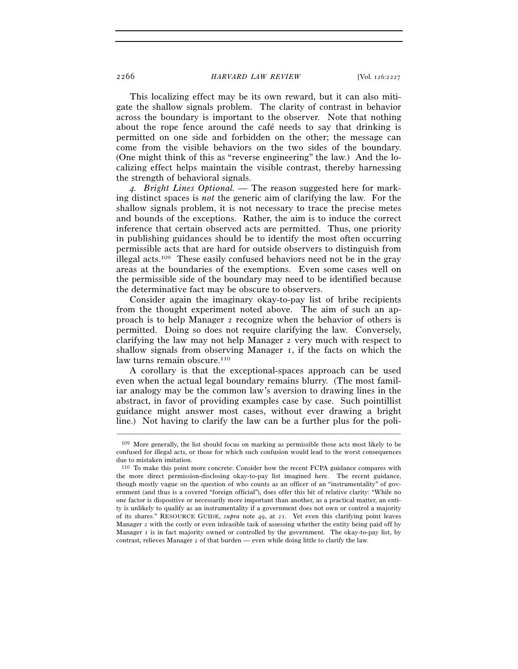This localizing effect may be its own reward, but it can also mitigate the shallow signals problem. The clarity of contrast in behavior across the boundary is important to the observer. Note that nothing about the rope fence around the café needs to say that drinking is permitted on one side and forbidden on the other; the message can come from the visible behaviors on the two sides of the boundary. (One might think of this as "reverse engineering" the law.) And the localizing effect helps maintain the visible contrast, thereby harnessing the strength of behavioral signals.

*4. Bright Lines Optional. —* The reason suggested here for marking distinct spaces is *not* the generic aim of clarifying the law. For the shallow signals problem, it is not necessary to trace the precise metes and bounds of the exceptions. Rather, the aim is to induce the correct inference that certain observed acts are permitted. Thus, one priority in publishing guidances should be to identify the most often occurring permissible acts that are hard for outside observers to distinguish from illegal acts.109 These easily confused behaviors need not be in the gray areas at the boundaries of the exemptions. Even some cases well on the permissible side of the boundary may need to be identified because the determinative fact may be obscure to observers.

Consider again the imaginary okay-to-pay list of bribe recipients from the thought experiment noted above. The aim of such an approach is to help Manager 2 recognize when the behavior of others is permitted. Doing so does not require clarifying the law. Conversely, clarifying the law may not help Manager 2 very much with respect to shallow signals from observing Manager 1, if the facts on which the law turns remain obscure.<sup>110</sup>

A corollary is that the exceptional-spaces approach can be used even when the actual legal boundary remains blurry. (The most familiar analogy may be the common law's aversion to drawing lines in the abstract, in favor of providing examples case by case. Such pointillist guidance might answer most cases, without ever drawing a bright line.) Not having to clarify the law can be a further plus for the poli-

<sup>109</sup> More generally, the list should focus on marking as permissible those acts most likely to be confused for illegal acts, or those for which such confusion would lead to the worst consequences due to mistaken imitation.

<sup>110</sup> To make this point more concrete: Consider how the recent FCPA guidance compares with the more direct permission-disclosing okay-to-pay list imagined here. The recent guidance, though mostly vague on the question of who counts as an officer of an "instrumentality" of government (and thus is a covered "foreign official"), does offer this bit of relative clarity: "While no one factor is dispositive or necessarily more important than another, as a practical matter, an entity is unlikely to qualify as an instrumentality if a government does not own or control a majority of its shares." RESOURCE GUIDE, *supra* note 49, at 21. Yet even this clarifying point leaves Manager 2 with the costly or even infeasible task of assessing whether the entity being paid off by Manager I is in fact majority owned or controlled by the government. The okay-to-pay list, by contrast, relieves Manager 2 of that burden — even while doing little to clarify the law.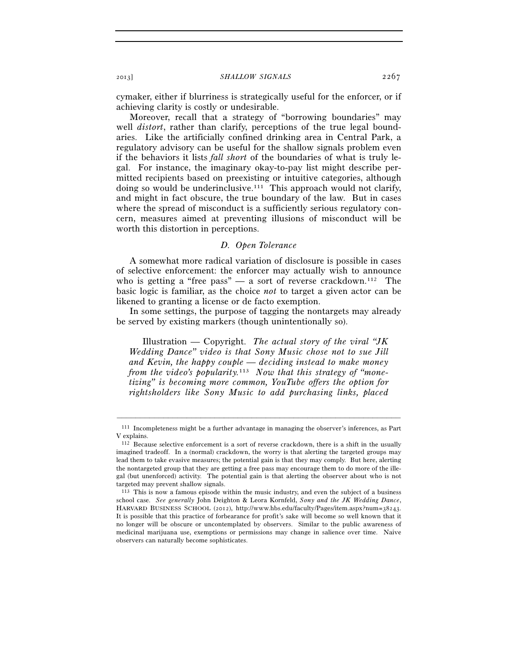cymaker, either if blurriness is strategically useful for the enforcer, or if achieving clarity is costly or undesirable.

Moreover, recall that a strategy of "borrowing boundaries" may well *distort*, rather than clarify, perceptions of the true legal boundaries. Like the artificially confined drinking area in Central Park, a regulatory advisory can be useful for the shallow signals problem even if the behaviors it lists *fall short* of the boundaries of what is truly legal. For instance, the imaginary okay-to-pay list might describe permitted recipients based on preexisting or intuitive categories, although doing so would be underinclusive.<sup>111</sup> This approach would not clarify, and might in fact obscure, the true boundary of the law. But in cases where the spread of misconduct is a sufficiently serious regulatory concern, measures aimed at preventing illusions of misconduct will be worth this distortion in perceptions.

## *D. Open Tolerance*

A somewhat more radical variation of disclosure is possible in cases of selective enforcement: the enforcer may actually wish to announce who is getting a "free pass" — a sort of reverse crackdown.<sup>112</sup> The basic logic is familiar, as the choice *not* to target a given actor can be likened to granting a license or de facto exemption.

In some settings, the purpose of tagging the nontargets may already be served by existing markers (though unintentionally so).

Illustration — Copyright. *The actual story of the viral "JK Wedding Dance" video is that Sony Music chose not to sue Jill and Kevin, the happy couple — deciding instead to make money from the video's popularity.*113 *Now that this strategy of "monetizing" is becoming more common, YouTube offers the option for rightsholders like Sony Music to add purchasing links, placed* 

<sup>–––––––––––––––––––––––––––––––––––––––––––––––––––––––––––––</sup> 111 Incompleteness might be a further advantage in managing the observer's inferences, as Part V explains.

<sup>112</sup> Because selective enforcement is a sort of reverse crackdown, there is a shift in the usually imagined tradeoff. In a (normal) crackdown, the worry is that alerting the targeted groups may lead them to take evasive measures; the potential gain is that they may comply. But here, alerting the nontargeted group that they are getting a free pass may encourage them to do more of the illegal (but unenforced) activity. The potential gain is that alerting the observer about who is not targeted may prevent shallow signals.

<sup>113</sup> This is now a famous episode within the music industry, and even the subject of a business school case. *See generally* John Deighton & Leora Kornfeld, *Sony and the JK Wedding Dance*, HARVARD BUSINESS SCHOOL (2012), http://www.hbs.edu/faculty/Pages/item.aspx?num=38243. It is possible that this practice of forbearance for profit's sake will become so well known that it no longer will be obscure or uncontemplated by observers. Similar to the public awareness of medicinal marijuana use, exemptions or permissions may change in salience over time. Naive observers can naturally become sophisticates.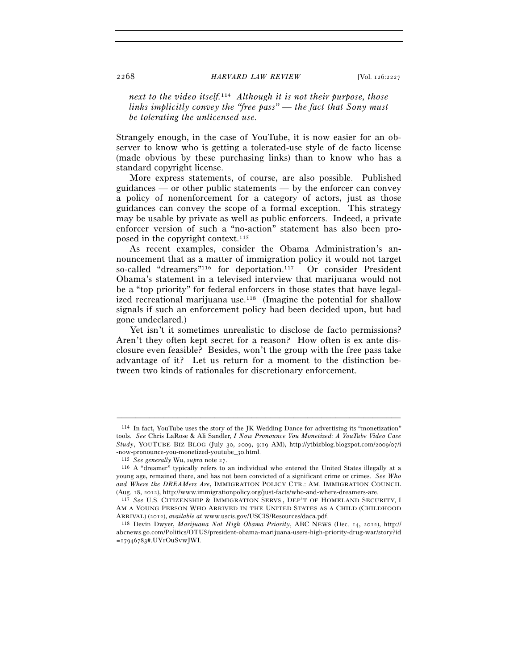*next to the video itself.*114 *Although it is not their purpose, those links implicitly convey the "free pass" — the fact that Sony must be tolerating the unlicensed use.* 

Strangely enough, in the case of YouTube, it is now easier for an observer to know who is getting a tolerated-use style of de facto license (made obvious by these purchasing links) than to know who has a standard copyright license.

More express statements, of course, are also possible. Published guidances — or other public statements — by the enforcer can convey a policy of nonenforcement for a category of actors, just as those guidances can convey the scope of a formal exception. This strategy may be usable by private as well as public enforcers. Indeed, a private enforcer version of such a "no-action" statement has also been proposed in the copyright context.115

As recent examples, consider the Obama Administration's announcement that as a matter of immigration policy it would not target so-called "dreamers"<sup>116</sup> for deportation.<sup>117</sup> Or consider President Obama's statement in a televised interview that marijuana would not be a "top priority" for federal enforcers in those states that have legalized recreational marijuana use.<sup>118</sup> (Imagine the potential for shallow signals if such an enforcement policy had been decided upon, but had gone undeclared.)

Yet isn't it sometimes unrealistic to disclose de facto permissions? Aren't they often kept secret for a reason? How often is ex ante disclosure even feasible? Besides, won't the group with the free pass take advantage of it? Let us return for a moment to the distinction between two kinds of rationales for discretionary enforcement.

<sup>114</sup> In fact, YouTube uses the story of the JK Wedding Dance for advertising its "monetization" tools. *See* Chris LaRose & Ali Sandler, *I Now Pronounce You Monetized: A YouTube Video Case Study*, YOUTUBE BIZ BLOG (July 30, 2009, 9:19 AM), http://ytbizblog.blogspot.com/2009/07/i -now-pronounce-you-monetized-youtube\_30.html. 115 *See generally* Wu, *supra* note 27. 116 A "dreamer" typically refers to an individual who entered the United States illegally at a

young age, remained there, and has not been convicted of a significant crime or crimes. *See Who and Where the DREAMers Are*, IMMIGRATION POLICY CTR.: AM. IMMIGRATION COUNCIL

<sup>(</sup>Aug. 18, 2012), http://www.immigrationpolicy.org/just-facts/who-and-where-dreamers-are. 117 *See* U.S. CITIZENSHIP & IMMIGRATION SERVS., DEP'T OF HOMELAND SECURITY, <sup>I</sup> AM A YOUNG PERSON WHO ARRIVED IN THE UNITED STATES AS A CHILD (CHILDHOOD ARRIVAL) (2012), *available at* www.uscis.gov/USCIS/Resources/daca.pdf. 118 Devin Dwyer, *Marijuana Not High Obama Priority*, ABC NEWS (Dec. 14, 2012), http://

abcnews.go.com/Politics/OTUS/president-obama-marijuana-users-high-priority-drug-war/story?id =17946783#.UYrOuSvwJWI.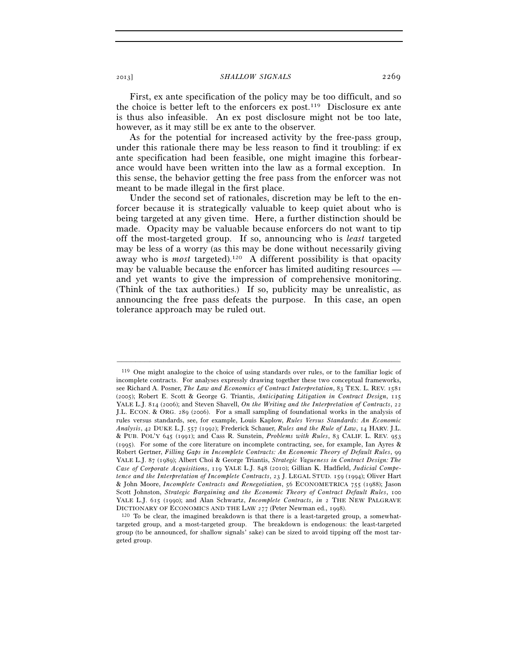First, ex ante specification of the policy may be too difficult, and so the choice is better left to the enforcers ex post.119 Disclosure ex ante is thus also infeasible. An ex post disclosure might not be too late, however, as it may still be ex ante to the observer.

As for the potential for increased activity by the free-pass group, under this rationale there may be less reason to find it troubling: if ex ante specification had been feasible, one might imagine this forbearance would have been written into the law as a formal exception. In this sense, the behavior getting the free pass from the enforcer was not meant to be made illegal in the first place.

Under the second set of rationales, discretion may be left to the enforcer because it is strategically valuable to keep quiet about who is being targeted at any given time. Here, a further distinction should be made. Opacity may be valuable because enforcers do not want to tip off the most-targeted group. If so, announcing who is *least* targeted may be less of a worry (as this may be done without necessarily giving away who is *most* targeted).120 A different possibility is that opacity may be valuable because the enforcer has limited auditing resources and yet wants to give the impression of comprehensive monitoring. (Think of the tax authorities.) If so, publicity may be unrealistic, as announcing the free pass defeats the purpose. In this case, an open tolerance approach may be ruled out.

<sup>119</sup> One might analogize to the choice of using standards over rules, or to the familiar logic of incomplete contracts. For analyses expressly drawing together these two conceptual frameworks, see Richard A. Posner, *The Law and Economics of Contract Interpretation*, 83 TEX. L. REV. 1581 (2005); Robert E. Scott & George G. Triantis, *Anticipating Litigation in Contract Design*, 115 YALE L.J. 814 (2006); and Steven Shavell, *On the Writing and the Interpretation of Contracts*, 22 J.L. ECON. & ORG. 289 (2006). For a small sampling of foundational works in the analysis of rules versus standards, see, for example, Louis Kaplow, *Rules Versus Standards: An Economic Analysis*, 42 DUKE L.J. 557 (1992); Frederick Schauer, *Rules and the Rule of Law*, 14 HARV. J.L. & PUB. POL'Y 645 (1991); and Cass R. Sunstein, *Problems with Rules*, 83 CALIF. L. REV. 953 (1995). For some of the core literature on incomplete contracting, see, for example, Ian Ayres & Robert Gertner, *Filling Gaps in Incomplete Contracts: An Economic Theory of Default Rules*, 99 YALE L.J. 87 (1989); Albert Choi & George Triantis, *Strategic Vagueness in Contract Design: The Case of Corporate Acquisitions*, 119 YALE L.J. 848 (2010); Gillian K. Hadfield, *Judicial Competence and the Interpretation of Incomplete Contracts*, 23 J. LEGAL STUD. 159 (1994); Oliver Hart & John Moore, *Incomplete Contracts and Renegotiation*, 56 ECONOMETRICA 755 (1988); Jason Scott Johnston, *Strategic Bargaining and the Economic Theory of Contract Default Rules*, 100 YALE L.J. 615 (1990); and Alan Schwartz, *Incomplete Contracts*, *in* 2 THE NEW PALGRAVE

DICTIONARY OF ECONOMICS AND THE LAW 277 (Peter Newman ed., 1998).<br><sup>120</sup> To be clear, the imagined breakdown is that there is a least-targeted group, a somewhattargeted group, and a most-targeted group. The breakdown is endogenous: the least-targeted group (to be announced, for shallow signals' sake) can be sized to avoid tipping off the most targeted group.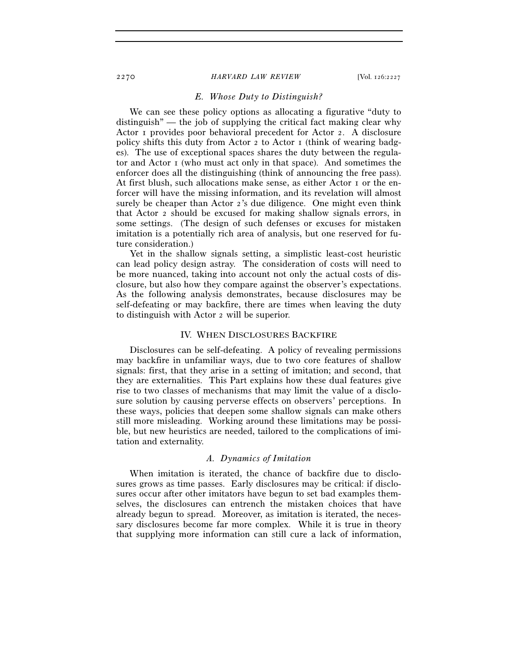## *E. Whose Duty to Distinguish?*

We can see these policy options as allocating a figurative "duty to distinguish" — the job of supplying the critical fact making clear why Actor 1 provides poor behavioral precedent for Actor 2. A disclosure policy shifts this duty from Actor 2 to Actor 1 (think of wearing badges). The use of exceptional spaces shares the duty between the regulator and Actor  $\bar{1}$  (who must act only in that space). And sometimes the enforcer does all the distinguishing (think of announcing the free pass). At first blush, such allocations make sense, as either Actor 1 or the enforcer will have the missing information, and its revelation will almost surely be cheaper than Actor 2's due diligence. One might even think that Actor 2 should be excused for making shallow signals errors, in some settings. (The design of such defenses or excuses for mistaken imitation is a potentially rich area of analysis, but one reserved for future consideration.)

Yet in the shallow signals setting, a simplistic least-cost heuristic can lead policy design astray. The consideration of costs will need to be more nuanced, taking into account not only the actual costs of disclosure, but also how they compare against the observer's expectations. As the following analysis demonstrates, because disclosures may be self-defeating or may backfire, there are times when leaving the duty to distinguish with Actor 2 will be superior.

## IV. WHEN DISCLOSURES BACKFIRE

Disclosures can be self-defeating. A policy of revealing permissions may backfire in unfamiliar ways, due to two core features of shallow signals: first, that they arise in a setting of imitation; and second, that they are externalities. This Part explains how these dual features give rise to two classes of mechanisms that may limit the value of a disclosure solution by causing perverse effects on observers' perceptions. In these ways, policies that deepen some shallow signals can make others still more misleading. Working around these limitations may be possible, but new heuristics are needed, tailored to the complications of imitation and externality.

#### *A. Dynamics of Imitation*

When imitation is iterated, the chance of backfire due to disclosures grows as time passes. Early disclosures may be critical: if disclosures occur after other imitators have begun to set bad examples themselves, the disclosures can entrench the mistaken choices that have already begun to spread. Moreover, as imitation is iterated, the necessary disclosures become far more complex. While it is true in theory that supplying more information can still cure a lack of information,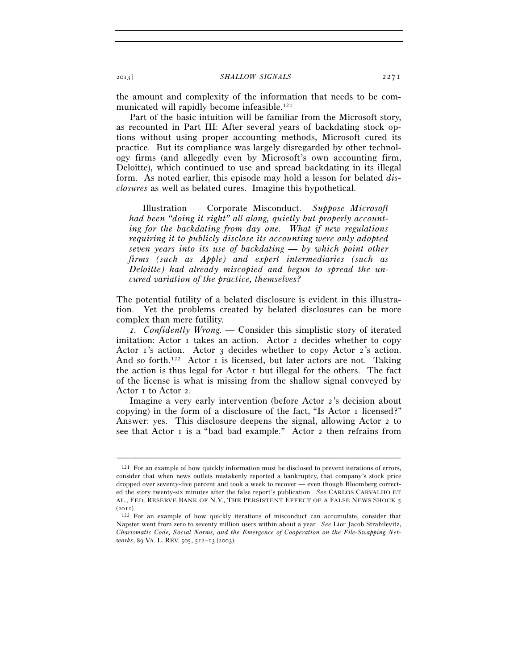the amount and complexity of the information that needs to be communicated will rapidly become infeasible.121

Part of the basic intuition will be familiar from the Microsoft story, as recounted in Part III: After several years of backdating stock options without using proper accounting methods, Microsoft cured its practice. But its compliance was largely disregarded by other technology firms (and allegedly even by Microsoft's own accounting firm, Deloitte), which continued to use and spread backdating in its illegal form. As noted earlier, this episode may hold a lesson for belated *disclosures* as well as belated cures. Imagine this hypothetical.

Illustration — Corporate Misconduct. *Suppose Microsoft had been "doing it right" all along, quietly but properly accounting for the backdating from day one. What if new regulations requiring it to publicly disclose its accounting were only adopted seven years into its use of backdating — by which point other firms (such as Apple) and expert intermediaries (such as Deloitte) had already miscopied and begun to spread the uncured variation of the practice, themselves?* 

The potential futility of a belated disclosure is evident in this illustration. Yet the problems created by belated disclosures can be more complex than mere futility.

*1. Confidently Wrong. —* Consider this simplistic story of iterated imitation: Actor 1 takes an action. Actor 2 decides whether to copy Actor 1's action. Actor 3 decides whether to copy Actor 2's action. And so forth.<sup>122</sup> Actor I is licensed, but later actors are not. Taking the action is thus legal for Actor 1 but illegal for the others. The fact of the license is what is missing from the shallow signal conveyed by Actor 1 to Actor 2.

Imagine a very early intervention (before Actor 2's decision about copying) in the form of a disclosure of the fact, "Is Actor 1 licensed?" Answer: yes. This disclosure deepens the signal, allowing Actor 2 to see that Actor I is a "bad bad example." Actor 2 then refrains from

<sup>121</sup> For an example of how quickly information must be disclosed to prevent iterations of errors, consider that when news outlets mistakenly reported a bankruptcy, that company's stock price dropped over seventy-five percent and took a week to recover — even though Bloomberg corrected the story twenty-six minutes after the false report's publication. *See* CARLOS CARVALHO ET AL., FED. RESERVE BANK OF N.Y., THE PERSISTENT EFFECT OF A FALSE NEWS SHOCK 5

<sup>(2011).&</sup>lt;br> $122$  For an example of how quickly iterations of misconduct can accumulate, consider that Napster went from zero to seventy million users within about a year. *See* Lior Jacob Strahilevitz, *Charismatic Code, Social Norms, and the Emergence of Cooperation on the File-Swapping Networks*, 89 VA. L. REV. 505, 512–13 (2003).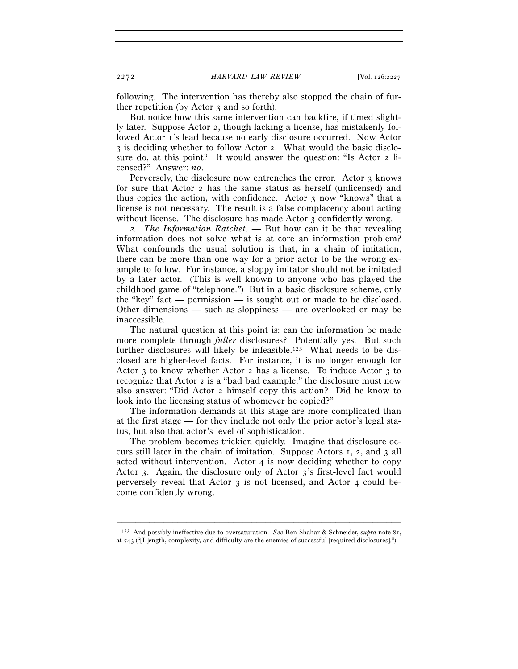following. The intervention has thereby also stopped the chain of further repetition (by Actor 3 and so forth).

But notice how this same intervention can backfire, if timed slightly later. Suppose Actor 2, though lacking a license, has mistakenly followed Actor 1's lead because no early disclosure occurred. Now Actor 3 is deciding whether to follow Actor 2. What would the basic disclosure do, at this point? It would answer the question: "Is Actor 2 licensed?" Answer: *no*.

Perversely, the disclosure now entrenches the error. Actor 3 knows for sure that Actor 2 has the same status as herself (unlicensed) and thus copies the action, with confidence. Actor 3 now "knows" that a license is not necessary. The result is a false complacency about acting without license. The disclosure has made Actor 3 confidently wrong.

*2. The Information Ratchet. —* But how can it be that revealing information does not solve what is at core an information problem? What confounds the usual solution is that, in a chain of imitation, there can be more than one way for a prior actor to be the wrong example to follow. For instance, a sloppy imitator should not be imitated by a later actor. (This is well known to anyone who has played the childhood game of "telephone.") But in a basic disclosure scheme, only the "key" fact — permission — is sought out or made to be disclosed. Other dimensions — such as sloppiness — are overlooked or may be inaccessible.

The natural question at this point is: can the information be made more complete through *fuller* disclosures? Potentially yes. But such further disclosures will likely be infeasible.<sup>123</sup> What needs to be disclosed are higher-level facts. For instance, it is no longer enough for Actor 3 to know whether Actor 2 has a license. To induce Actor 3 to recognize that Actor 2 is a "bad bad example," the disclosure must now also answer: "Did Actor 2 himself copy this action? Did he know to look into the licensing status of whomever he copied?"

The information demands at this stage are more complicated than at the first stage — for they include not only the prior actor's legal status, but also that actor's level of sophistication.

The problem becomes trickier, quickly. Imagine that disclosure occurs still later in the chain of imitation. Suppose Actors 1, 2, and 3 all acted without intervention. Actor 4 is now deciding whether to copy Actor 3. Again, the disclosure only of Actor 3's first-level fact would perversely reveal that Actor 3 is not licensed, and Actor 4 could become confidently wrong.

––––––––––––––––––––––––––––––––––––––––––––––––––––––––––––– 123 And possibly ineffective due to oversaturation. *See* Ben-Shahar & Schneider, *supra* note 81, at 743 ("[L]ength, complexity, and difficulty are the enemies of successful [required disclosures].").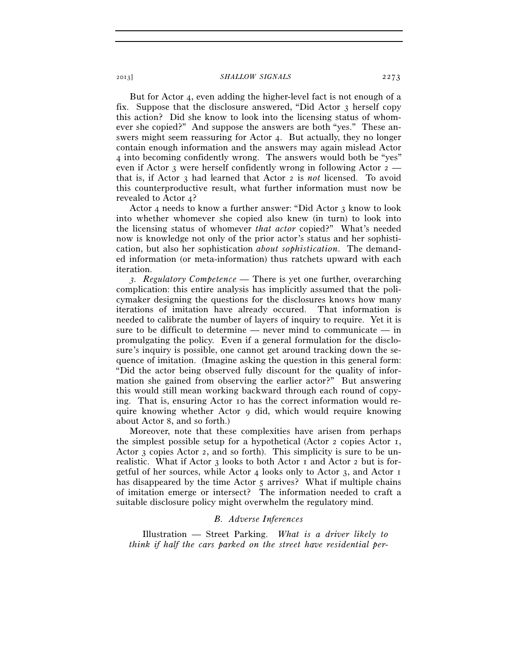But for Actor 4, even adding the higher-level fact is not enough of a fix. Suppose that the disclosure answered, "Did Actor 3 herself copy this action? Did she know to look into the licensing status of whomever she copied?" And suppose the answers are both "yes." These answers might seem reassuring for Actor 4. But actually, they no longer contain enough information and the answers may again mislead Actor 4 into becoming confidently wrong. The answers would both be "yes" even if Actor 3 were herself confidently wrong in following Actor  $2$ that is, if Actor 3 had learned that Actor 2 is *not* licensed. To avoid this counterproductive result, what further information must now be revealed to Actor 4?

Actor 4 needs to know a further answer: "Did Actor 3 know to look into whether whomever she copied also knew (in turn) to look into the licensing status of whomever *that actor* copied?" What's needed now is knowledge not only of the prior actor's status and her sophistication, but also her sophistication *about sophistication*. The demanded information (or meta-information) thus ratchets upward with each iteration.

*3. Regulatory Competence —* There is yet one further, overarching complication: this entire analysis has implicitly assumed that the policymaker designing the questions for the disclosures knows how many iterations of imitation have already occured. That information is needed to calibrate the number of layers of inquiry to require. Yet it is sure to be difficult to determine — never mind to communicate — in promulgating the policy. Even if a general formulation for the disclosure's inquiry is possible, one cannot get around tracking down the sequence of imitation. (Imagine asking the question in this general form: "Did the actor being observed fully discount for the quality of information she gained from observing the earlier actor?" But answering this would still mean working backward through each round of copying. That is, ensuring Actor 10 has the correct information would require knowing whether Actor 9 did, which would require knowing about Actor 8, and so forth.)

Moreover, note that these complexities have arisen from perhaps the simplest possible setup for a hypothetical (Actor 2 copies Actor 1, Actor 3 copies Actor 2, and so forth). This simplicity is sure to be unrealistic. What if Actor 3 looks to both Actor 1 and Actor 2 but is forgetful of her sources, while Actor 4 looks only to Actor 3, and Actor 1 has disappeared by the time Actor 5 arrives? What if multiple chains of imitation emerge or intersect? The information needed to craft a suitable disclosure policy might overwhelm the regulatory mind.

#### *B. Adverse Inferences*

Illustration — Street Parking. *What is a driver likely to think if half the cars parked on the street have residential per-*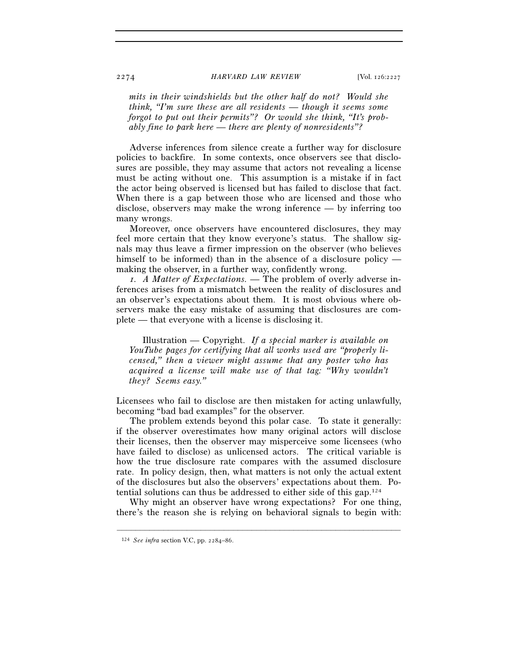*mits in their windshields but the other half do not? Would she think, "I'm sure these are all residents — though it seems some forgot to put out their permits"? Or would she think, "It's probably fine to park here — there are plenty of nonresidents"?*

Adverse inferences from silence create a further way for disclosure policies to backfire. In some contexts, once observers see that disclosures are possible, they may assume that actors not revealing a license must be acting without one. This assumption is a mistake if in fact the actor being observed is licensed but has failed to disclose that fact. When there is a gap between those who are licensed and those who disclose, observers may make the wrong inference — by inferring too many wrongs.

Moreover, once observers have encountered disclosures, they may feel more certain that they know everyone's status. The shallow signals may thus leave a firmer impression on the observer (who believes himself to be informed) than in the absence of a disclosure policy making the observer, in a further way, confidently wrong.

*1. A Matter of Expectations.* — The problem of overly adverse inferences arises from a mismatch between the reality of disclosures and an observer's expectations about them. It is most obvious where observers make the easy mistake of assuming that disclosures are complete — that everyone with a license is disclosing it.

Illustration — Copyright. *If a special marker is available on YouTube pages for certifying that all works used are "properly licensed," then a viewer might assume that any poster who has acquired a license will make use of that tag: "Why wouldn't they? Seems easy."*

Licensees who fail to disclose are then mistaken for acting unlawfully, becoming "bad bad examples" for the observer.

The problem extends beyond this polar case. To state it generally: if the observer overestimates how many original actors will disclose their licenses, then the observer may misperceive some licensees (who have failed to disclose) as unlicensed actors. The critical variable is how the true disclosure rate compares with the assumed disclosure rate. In policy design, then, what matters is not only the actual extent of the disclosures but also the observers' expectations about them. Potential solutions can thus be addressed to either side of this gap.124

Why might an observer have wrong expectations? For one thing, there's the reason she is relying on behavioral signals to begin with:

<sup>124</sup> *See infra* section V.C, pp. 2284–86.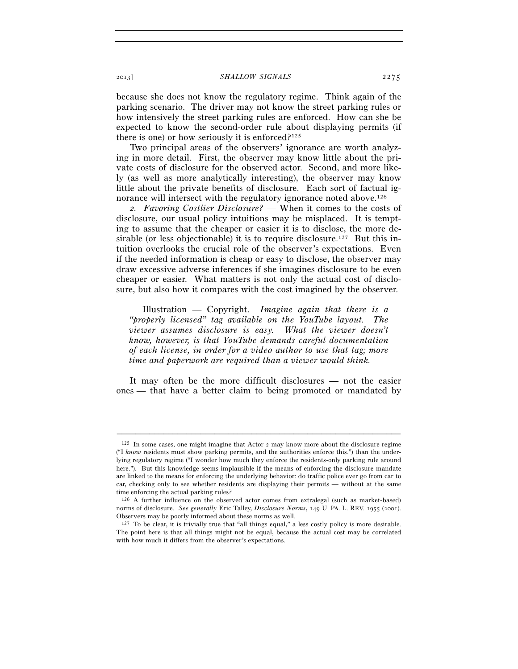because she does not know the regulatory regime. Think again of the parking scenario. The driver may not know the street parking rules or how intensively the street parking rules are enforced. How can she be expected to know the second-order rule about displaying permits (if there is one) or how seriously it is enforced? $125$ 

Two principal areas of the observers' ignorance are worth analyzing in more detail. First, the observer may know little about the private costs of disclosure for the observed actor. Second, and more likely (as well as more analytically interesting), the observer may know little about the private benefits of disclosure. Each sort of factual ignorance will intersect with the regulatory ignorance noted above.<sup>126</sup>

*2. Favoring Costlier Disclosure?* — When it comes to the costs of disclosure, our usual policy intuitions may be misplaced. It is tempting to assume that the cheaper or easier it is to disclose, the more desirable (or less objectionable) it is to require disclosure.<sup>127</sup> But this intuition overlooks the crucial role of the observer's expectations. Even if the needed information is cheap or easy to disclose, the observer may draw excessive adverse inferences if she imagines disclosure to be even cheaper or easier. What matters is not only the actual cost of disclosure, but also how it compares with the cost imagined by the observer.

Illustration — Copyright. *Imagine again that there is a "properly licensed" tag available on the YouTube layout. The viewer assumes disclosure is easy. What the viewer doesn't know, however, is that YouTube demands careful documentation of each license, in order for a video author to use that tag; more time and paperwork are required than a viewer would think.*

It may often be the more difficult disclosures — not the easier ones — that have a better claim to being promoted or mandated by

<sup>125</sup> In some cases, one might imagine that Actor 2 may know more about the disclosure regime ("I *know* residents must show parking permits, and the authorities enforce this.") than the underlying regulatory regime ("I wonder how much they enforce the residents-only parking rule around here."). But this knowledge seems implausible if the means of enforcing the disclosure mandate are linked to the means for enforcing the underlying behavior: do traffic police ever go from car to car, checking only to see whether residents are displaying their permits — without at the same time enforcing the actual parking rules?

<sup>126</sup> A further influence on the observed actor comes from extralegal (such as market-based) norms of disclosure. *See generally* Eric Talley, *Disclosure Norms*, 149 U. PA. L. REV. 1955 (2001). Observers may be poorly informed about these norms as well.

 $127$  To be clear, it is trivially true that "all things equal," a less costly policy is more desirable. The point here is that all things might not be equal, because the actual cost may be correlated with how much it differs from the observer's expectations.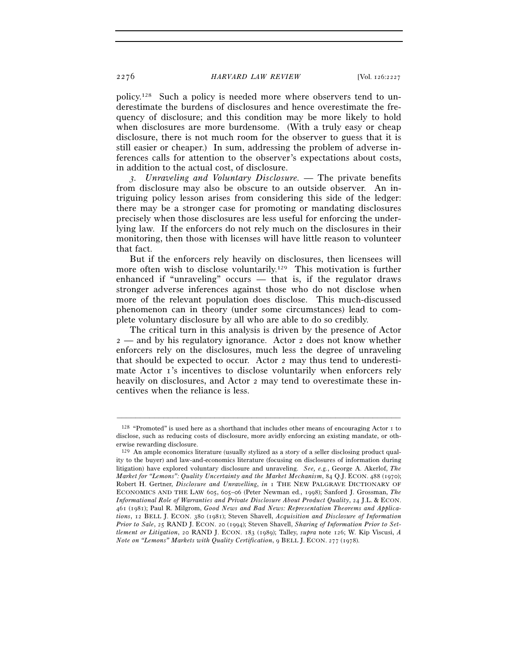policy.128 Such a policy is needed more where observers tend to underestimate the burdens of disclosures and hence overestimate the frequency of disclosure; and this condition may be more likely to hold when disclosures are more burdensome. (With a truly easy or cheap disclosure, there is not much room for the observer to guess that it is still easier or cheaper.) In sum, addressing the problem of adverse inferences calls for attention to the observer's expectations about costs, in addition to the actual cost, of disclosure.

*3. Unraveling and Voluntary Disclosure.* — The private benefits from disclosure may also be obscure to an outside observer. An intriguing policy lesson arises from considering this side of the ledger: there may be a stronger case for promoting or mandating disclosures precisely when those disclosures are less useful for enforcing the underlying law. If the enforcers do not rely much on the disclosures in their monitoring, then those with licenses will have little reason to volunteer that fact.

But if the enforcers rely heavily on disclosures, then licensees will more often wish to disclose voluntarily.<sup>129</sup> This motivation is further enhanced if "unraveling" occurs — that is, if the regulator draws stronger adverse inferences against those who do not disclose when more of the relevant population does disclose. This much-discussed phenomenon can in theory (under some circumstances) lead to complete voluntary disclosure by all who are able to do so credibly.

The critical turn in this analysis is driven by the presence of Actor 2 — and by his regulatory ignorance. Actor 2 does not know whether enforcers rely on the disclosures, much less the degree of unraveling that should be expected to occur. Actor 2 may thus tend to underestimate Actor 1's incentives to disclose voluntarily when enforcers rely heavily on disclosures, and Actor 2 may tend to overestimate these incentives when the reliance is less.

<sup>128</sup> "Promoted" is used here as a shorthand that includes other means of encouraging Actor 1 to disclose, such as reducing costs of disclosure, more avidly enforcing an existing mandate, or otherwise rewarding disclosure.

<sup>129</sup> An ample economics literature (usually stylized as a story of a seller disclosing product quality to the buyer) and law-and-economics literature (focusing on disclosures of information during litigation) have explored voluntary disclosure and unraveling. *See, e.g.*, George A. Akerlof, *The Market for "Lemons": Quality Uncertainty and the Market Mechanism*, 84 Q.J. ECON. 488 (1970); Robert H. Gertner, *Disclosure and Unravelling*, *in* 1 THE NEW PALGRAVE DICTIONARY OF ECONOMICS AND THE LAW 605, 605–06 (Peter Newman ed., 1998); Sanford J. Grossman, *The Informational Role of Warranties and Private Disclosure About Product Quality*, 24 J.L. & ECON. 461 (1981); Paul R. Milgrom, *Good News and Bad News: Representation Theorems and Applications*, 12 BELL J. ECON. 380 (1981); Steven Shavell, *Acquisition and Disclosure of Information Prior to Sale*, 25 RAND J. ECON. 20 (1994); Steven Shavell, *Sharing of Information Prior to Settlement or Litigation*, 20 RAND J. ECON. 183 (1989); Talley, *supra* note 126; W. Kip Viscusi, *A Note on "Lemons" Markets with Quality Certification*, 9 BELL J. ECON. 277 (1978).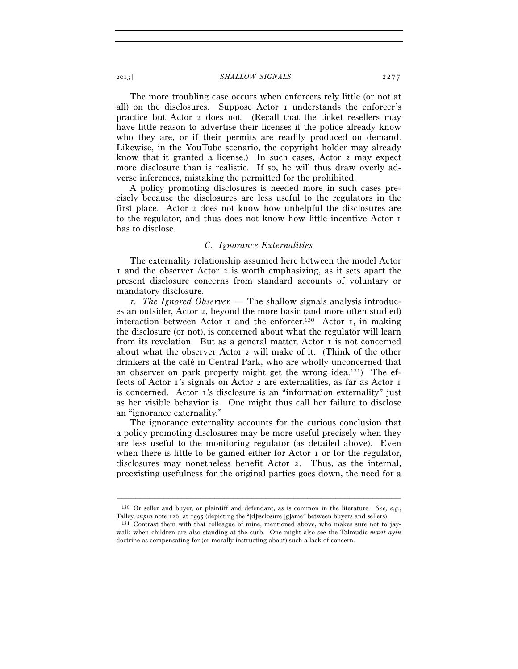The more troubling case occurs when enforcers rely little (or not at all) on the disclosures. Suppose Actor 1 understands the enforcer's practice but Actor 2 does not. (Recall that the ticket resellers may have little reason to advertise their licenses if the police already know who they are, or if their permits are readily produced on demand. Likewise, in the YouTube scenario, the copyright holder may already know that it granted a license.) In such cases, Actor 2 may expect more disclosure than is realistic. If so, he will thus draw overly adverse inferences, mistaking the permitted for the prohibited.

A policy promoting disclosures is needed more in such cases precisely because the disclosures are less useful to the regulators in the first place. Actor 2 does not know how unhelpful the disclosures are to the regulator, and thus does not know how little incentive Actor 1 has to disclose.

## *C. Ignorance Externalities*

The externality relationship assumed here between the model Actor 1 and the observer Actor 2 is worth emphasizing, as it sets apart the present disclosure concerns from standard accounts of voluntary or mandatory disclosure.

*1. The Ignored Observer. —* The shallow signals analysis introduces an outsider, Actor 2, beyond the more basic (and more often studied) interaction between Actor  $I$  and the enforcer.<sup>130</sup> Actor  $I$ , in making the disclosure (or not), is concerned about what the regulator will learn from its revelation. But as a general matter, Actor  $\bar{I}$  is not concerned about what the observer Actor 2 will make of it. (Think of the other drinkers at the café in Central Park, who are wholly unconcerned that an observer on park property might get the wrong idea.131) The effects of Actor 1's signals on Actor 2 are externalities, as far as Actor 1 is concerned. Actor 1's disclosure is an "information externality" just as her visible behavior is. One might thus call her failure to disclose an "ignorance externality."

The ignorance externality accounts for the curious conclusion that a policy promoting disclosures may be more useful precisely when they are less useful to the monitoring regulator (as detailed above). Even when there is little to be gained either for Actor 1 or for the regulator, disclosures may nonetheless benefit Actor 2. Thus, as the internal, preexisting usefulness for the original parties goes down, the need for a

<sup>–––––––––––––––––––––––––––––––––––––––––––––––––––––––––––––</sup> 130 Or seller and buyer, or plaintiff and defendant, as is common in the literature. *See, e.g.*, Talley, *supra* note 126, at 1995 (depicting the "[d]isclosure [g]ame" between buyers and sellers).<br><sup>131</sup> Contrast them with that colleague of mine, mentioned above, who makes sure not to jay-

walk when children are also standing at the curb. One might also see the Talmudic *marit ayin* doctrine as compensating for (or morally instructing about) such a lack of concern.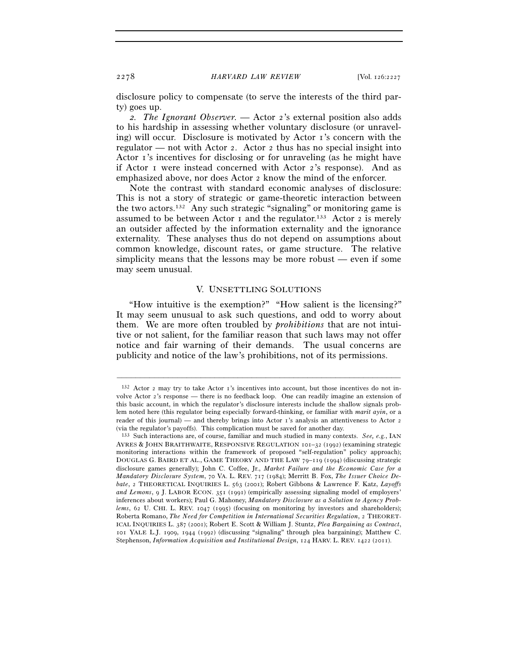disclosure policy to compensate (to serve the interests of the third party) goes up.

*2. The Ignorant Observer. —* Actor 2's external position also adds to his hardship in assessing whether voluntary disclosure (or unraveling) will occur. Disclosure is motivated by Actor 1's concern with the regulator — not with Actor 2. Actor 2 thus has no special insight into Actor 1's incentives for disclosing or for unraveling (as he might have if Actor 1 were instead concerned with Actor 2's response). And as emphasized above, nor does Actor 2 know the mind of the enforcer.

Note the contrast with standard economic analyses of disclosure: This is not a story of strategic or game-theoretic interaction between the two actors.132 Any such strategic "signaling" or monitoring game is assumed to be between Actor 1 and the regulator.<sup>133</sup> Actor 2 is merely an outsider affected by the information externality and the ignorance externality. These analyses thus do not depend on assumptions about common knowledge, discount rates, or game structure. The relative simplicity means that the lessons may be more robust — even if some may seem unusual.

## V. UNSETTLING SOLUTIONS

"How intuitive is the exemption?" "How salient is the licensing?" It may seem unusual to ask such questions, and odd to worry about them. We are more often troubled by *prohibitions* that are not intuitive or not salient, for the familiar reason that such laws may not offer notice and fair warning of their demands. The usual concerns are publicity and notice of the law's prohibitions, not of its permissions.

<sup>132</sup> Actor 2 may try to take Actor 1's incentives into account, but those incentives do not involve Actor 2's response — there is no feedback loop. One can readily imagine an extension of this basic account, in which the regulator's disclosure interests include the shallow signals problem noted here (this regulator being especially forward-thinking, or familiar with *marit ayin*, or a reader of this journal) — and thereby brings into Actor 1's analysis an attentiveness to Actor 2

<sup>(</sup>via the regulator's payoffs). This complication must be saved for another day. 133 Such interactions are, of course, familiar and much studied in many contexts. *See, e.g.*, IAN AYRES & JOHN BRAITHWAITE, RESPONSIVE REGULATION 101–32 (1992) (examining strategic monitoring interactions within the framework of proposed "self-regulation" policy approach); DOUGLAS G. BAIRD ET AL., GAME THEORY AND THE LAW 79–119 (1994) (discussing strategic disclosure games generally); John C. Coffee, Jr., *Market Failure and the Economic Case for a Mandatory Disclosure System*, 70 VA. L. REV. 717 (1984); Merritt B. Fox, *The Issuer Choice Debate*, 2 THEORETICAL INQUIRIES L. 563 (2001); Robert Gibbons & Lawrence F. Katz, *Layoffs and Lemons*, 9 J. LABOR ECON. 351 (1991) (empirically assessing signaling model of employers' inferences about workers); Paul G. Mahoney, *Mandatory Disclosure as a Solution to Agency Problems*, 62 U. CHI. L. REV. 1047 (1995) (focusing on monitoring by investors and shareholders); Roberta Romano, *The Need for Competition in International Securities Regulation*, 2 THEORET-ICAL INQUIRIES L. 387 (2001); Robert E. Scott & William J. Stuntz, *Plea Bargaining as Contract*, 101 YALE L.J. 1909, 1944 (1992) (discussing "signaling" through plea bargaining); Matthew C. Stephenson, *Information Acquisition and Institutional Design*, 124 HARV. L. REV. 1422 (2011).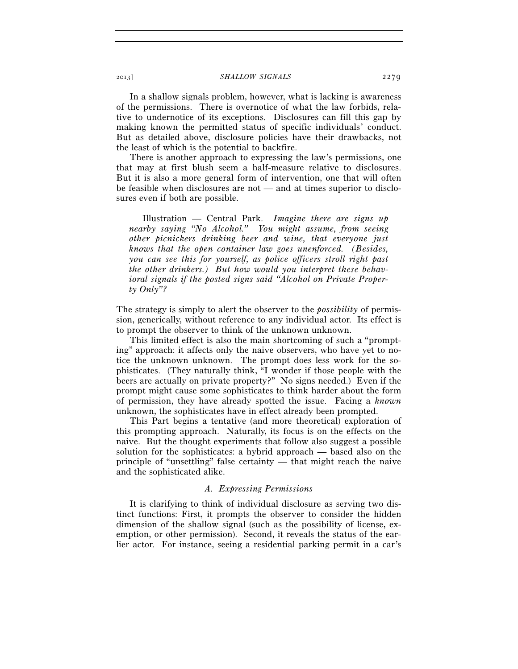In a shallow signals problem, however, what is lacking is awareness of the permissions. There is overnotice of what the law forbids, relative to undernotice of its exceptions. Disclosures can fill this gap by making known the permitted status of specific individuals' conduct. But as detailed above, disclosure policies have their drawbacks, not the least of which is the potential to backfire.

There is another approach to expressing the law's permissions, one that may at first blush seem a half-measure relative to disclosures. But it is also a more general form of intervention, one that will often be feasible when disclosures are not — and at times superior to disclosures even if both are possible.

Illustration — Central Park. *Imagine there are signs up nearby saying "No Alcohol." You might assume, from seeing other picnickers drinking beer and wine, that everyone just knows that the open container law goes unenforced. (Besides, you can see this for yourself, as police officers stroll right past the other drinkers.) But how would you interpret these behavioral signals if the posted signs said "Alcohol on Private Property Only"?* 

The strategy is simply to alert the observer to the *possibility* of permission, generically, without reference to any individual actor. Its effect is to prompt the observer to think of the unknown unknown.

This limited effect is also the main shortcoming of such a "prompting" approach: it affects only the naive observers, who have yet to notice the unknown unknown. The prompt does less work for the sophisticates. (They naturally think, "I wonder if those people with the beers are actually on private property?" No signs needed.) Even if the prompt might cause some sophisticates to think harder about the form of permission, they have already spotted the issue. Facing a *known* unknown, the sophisticates have in effect already been prompted.

This Part begins a tentative (and more theoretical) exploration of this prompting approach. Naturally, its focus is on the effects on the naive. But the thought experiments that follow also suggest a possible solution for the sophisticates: a hybrid approach — based also on the principle of "unsettling" false certainty — that might reach the naive and the sophisticated alike.

## *A. Expressing Permissions*

It is clarifying to think of individual disclosure as serving two distinct functions: First, it prompts the observer to consider the hidden dimension of the shallow signal (such as the possibility of license, exemption, or other permission). Second, it reveals the status of the earlier actor. For instance, seeing a residential parking permit in a car's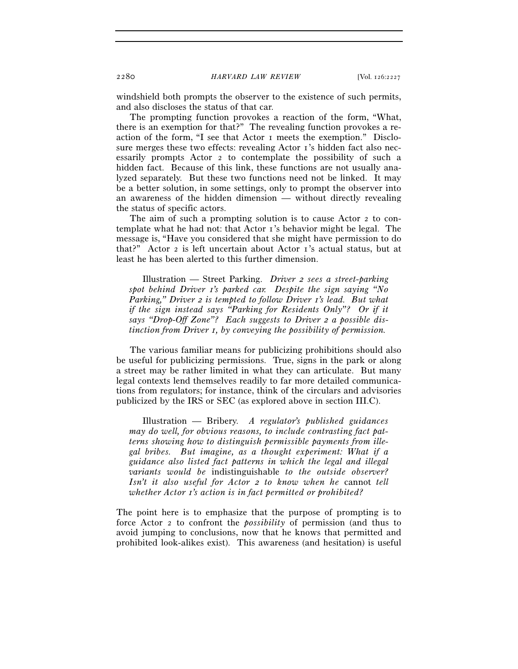windshield both prompts the observer to the existence of such permits, and also discloses the status of that car.

The prompting function provokes a reaction of the form, "What, there is an exemption for that?" The revealing function provokes a reaction of the form, "I see that Actor 1 meets the exemption." Disclosure merges these two effects: revealing Actor 1's hidden fact also necessarily prompts Actor 2 to contemplate the possibility of such a hidden fact. Because of this link, these functions are not usually analyzed separately. But these two functions need not be linked. It may be a better solution, in some settings, only to prompt the observer into an awareness of the hidden dimension — without directly revealing the status of specific actors.

The aim of such a prompting solution is to cause Actor 2 to contemplate what he had not: that Actor 1's behavior might be legal. The message is, "Have you considered that she might have permission to do that?" Actor 2 is left uncertain about Actor 1's actual status, but at least he has been alerted to this further dimension.

Illustration — Street Parking. *Driver 2 sees a street-parking spot behind Driver 1's parked car. Despite the sign saying "No Parking," Driver 2 is tempted to follow Driver 1's lead. But what if the sign instead says "Parking for Residents Only"? Or if it says "Drop-Off Zone"? Each suggests to Driver 2 a possible distinction from Driver 1, by conveying the possibility of permission.* 

The various familiar means for publicizing prohibitions should also be useful for publicizing permissions. True, signs in the park or along a street may be rather limited in what they can articulate. But many legal contexts lend themselves readily to far more detailed communications from regulators; for instance, think of the circulars and advisories publicized by the IRS or SEC (as explored above in section III.C).

Illustration — Bribery. *A regulator's published guidances may do well, for obvious reasons, to include contrasting fact patterns showing how to distinguish permissible payments from illegal bribes. But imagine, as a thought experiment: What if a guidance also listed fact patterns in which the legal and illegal variants would be* indistinguishable *to the outside observer? Isn't it also useful for Actor 2 to know when he* cannot *tell whether Actor 1's action is in fact permitted or prohibited?* 

The point here is to emphasize that the purpose of prompting is to force Actor 2 to confront the *possibility* of permission (and thus to avoid jumping to conclusions, now that he knows that permitted and prohibited look-alikes exist). This awareness (and hesitation) is useful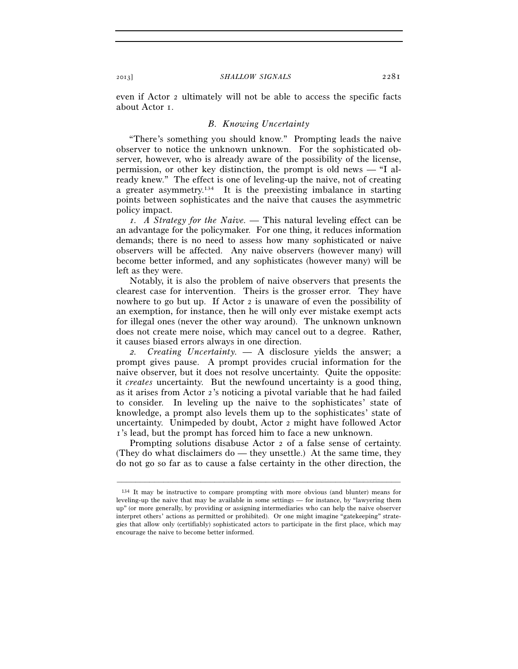even if Actor 2 ultimately will not be able to access the specific facts about Actor 1.

#### *B. Knowing Uncertainty*

"There's something you should know." Prompting leads the naive observer to notice the unknown unknown. For the sophisticated observer, however, who is already aware of the possibility of the license, permission, or other key distinction, the prompt is old news — "I already knew." The effect is one of leveling-up the naive, not of creating a greater asymmetry.134 It is the preexisting imbalance in starting points between sophisticates and the naive that causes the asymmetric policy impact.

*1. A Strategy for the Naive. —* This natural leveling effect can be an advantage for the policymaker. For one thing, it reduces information demands; there is no need to assess how many sophisticated or naive observers will be affected. Any naive observers (however many) will become better informed, and any sophisticates (however many) will be left as they were.

Notably, it is also the problem of naive observers that presents the clearest case for intervention. Theirs is the grosser error. They have nowhere to go but up. If Actor 2 is unaware of even the possibility of an exemption, for instance, then he will only ever mistake exempt acts for illegal ones (never the other way around). The unknown unknown does not create mere noise, which may cancel out to a degree. Rather, it causes biased errors always in one direction.

*2. Creating Uncertainty. —* A disclosure yields the answer; a prompt gives pause. A prompt provides crucial information for the naive observer, but it does not resolve uncertainty. Quite the opposite: it *creates* uncertainty. But the newfound uncertainty is a good thing, as it arises from Actor 2's noticing a pivotal variable that he had failed to consider. In leveling up the naive to the sophisticates' state of knowledge, a prompt also levels them up to the sophisticates' state of uncertainty. Unimpeded by doubt, Actor 2 might have followed Actor 1's lead, but the prompt has forced him to face a new unknown.

Prompting solutions disabuse Actor 2 of a false sense of certainty. (They do what disclaimers do — they unsettle.) At the same time, they do not go so far as to cause a false certainty in the other direction, the

<sup>134</sup> It may be instructive to compare prompting with more obvious (and blunter) means for leveling-up the naive that may be available in some settings — for instance, by "lawyering them up" (or more generally, by providing or assigning intermediaries who can help the naive observer interpret others' actions as permitted or prohibited). Or one might imagine "gatekeeping" strategies that allow only (certifiably) sophisticated actors to participate in the first place, which may encourage the naive to become better informed.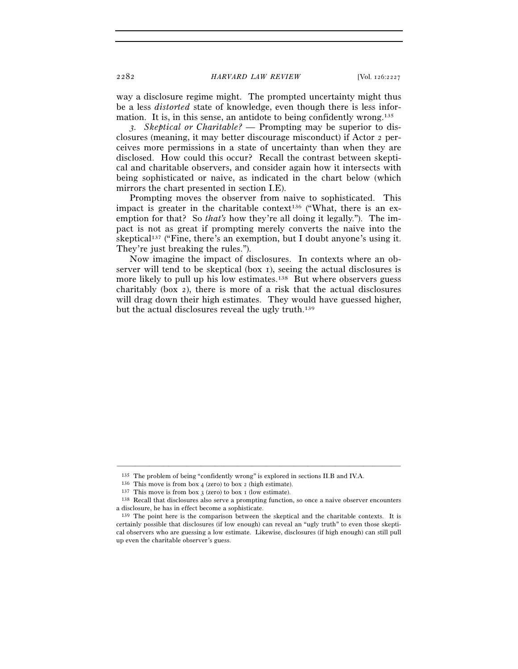way a disclosure regime might. The prompted uncertainty might thus be a less *distorted* state of knowledge, even though there is less information. It is, in this sense, an antidote to being confidently wrong.135

*3. Skeptical or Charitable? —* Prompting may be superior to disclosures (meaning, it may better discourage misconduct) if Actor 2 perceives more permissions in a state of uncertainty than when they are disclosed. How could this occur? Recall the contrast between skeptical and charitable observers, and consider again how it intersects with being sophisticated or naive, as indicated in the chart below (which mirrors the chart presented in section I.E).

Prompting moves the observer from naive to sophisticated. This impact is greater in the charitable context<sup>136</sup> ("What, there is an exemption for that? So *that's* how they're all doing it legally."). The impact is not as great if prompting merely converts the naive into the skeptical137 ("Fine, there's an exemption, but I doubt anyone's using it. They're just breaking the rules.").

Now imagine the impact of disclosures. In contexts where an observer will tend to be skeptical (box 1), seeing the actual disclosures is more likely to pull up his low estimates.<sup>138</sup> But where observers guess charitably (box 2), there is more of a risk that the actual disclosures will drag down their high estimates. They would have guessed higher, but the actual disclosures reveal the ugly truth.139

<sup>&</sup>lt;sup>135</sup> The problem of being "confidently wrong" is explored in sections II.B and IV.A.<br><sup>136</sup> This move is from box 4 (zero) to box 2 (high estimate).<br><sup>137</sup> This move is from box 3 (zero) to box 1 (low estimate).<br><sup>137</sup> Exca a disclosure, he has in effect become a sophisticate.

<sup>139</sup> The point here is the comparison between the skeptical and the charitable contexts. It is certainly possible that disclosures (if low enough) can reveal an "ugly truth" to even those skeptical observers who are guessing a low estimate. Likewise, disclosures (if high enough) can still pull up even the charitable observer's guess.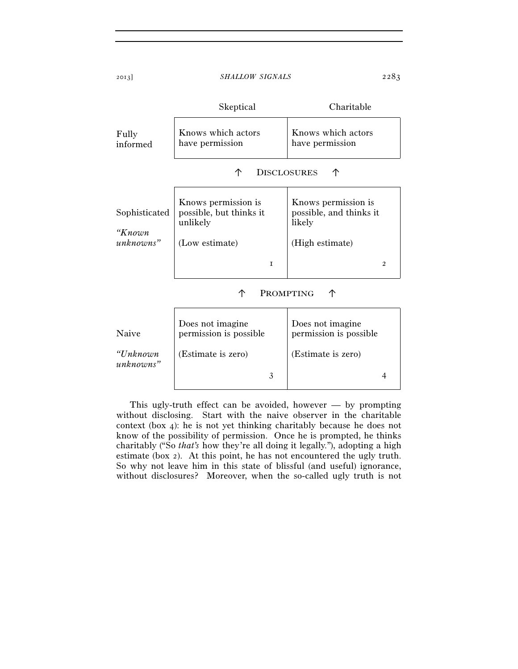Skeptical Charitable Fully informed Knows which actors have permission Knows which actors have permission ↑ DISCLOSURES ↑ Sophisticated *"Known unknowns"*  Knows permission is possible, but thinks it unlikely (Low estimate) 1 Knows permission is possible, and thinks it likely (High estimate) 2 ↑ PROMPTING ↑ Does not imagine Does not imagine

| Naive                 | permission is possible. | permission is possible |
|-----------------------|-------------------------|------------------------|
| "Unknown<br>unknowns" | (Estimate is zero)      | (Estimate is zero)     |
|                       |                         |                        |

This ugly-truth effect can be avoided, however — by prompting without disclosing. Start with the naive observer in the charitable context (box 4): he is not yet thinking charitably because he does not know of the possibility of permission. Once he is prompted, he thinks charitably ("So *that's* how they're all doing it legally."), adopting a high estimate (box 2). At this point, he has not encountered the ugly truth. So why not leave him in this state of blissful (and useful) ignorance, without disclosures? Moreover, when the so-called ugly truth is not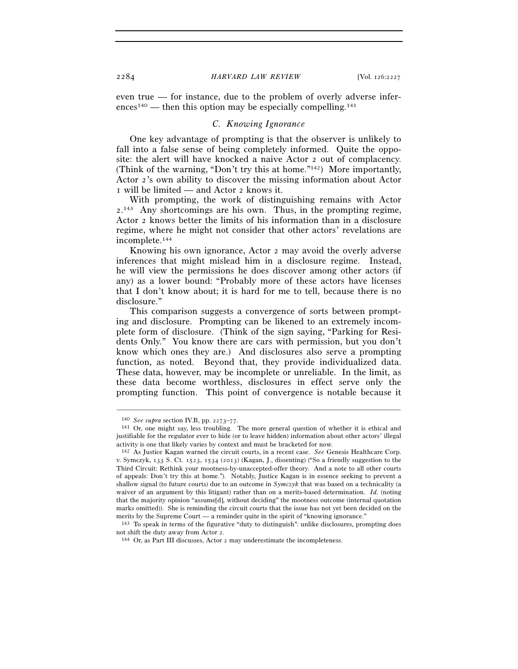even true — for instance, due to the problem of overly adverse inferences<sup>140</sup> — then this option may be especially compelling.<sup>141</sup>

#### *C. Knowing Ignorance*

One key advantage of prompting is that the observer is unlikely to fall into a false sense of being completely informed. Quite the opposite: the alert will have knocked a naive Actor 2 out of complacency. (Think of the warning, "Don't try this at home."142) More importantly, Actor 2's own ability to discover the missing information about Actor 1 will be limited — and Actor 2 knows it.

With prompting, the work of distinguishing remains with Actor 2. 143 Any shortcomings are his own. Thus, in the prompting regime, Actor 2 knows better the limits of his information than in a disclosure regime, where he might not consider that other actors' revelations are incomplete.144

Knowing his own ignorance, Actor 2 may avoid the overly adverse inferences that might mislead him in a disclosure regime. Instead, he will view the permissions he does discover among other actors (if any) as a lower bound: "Probably more of these actors have licenses that I don't know about; it is hard for me to tell, because there is no disclosure."

This comparison suggests a convergence of sorts between prompting and disclosure. Prompting can be likened to an extremely incomplete form of disclosure. (Think of the sign saying, "Parking for Residents Only." You know there are cars with permission, but you don't know which ones they are.) And disclosures also serve a prompting function, as noted. Beyond that, they provide individualized data. These data, however, may be incomplete or unreliable. In the limit, as these data become worthless, disclosures in effect serve only the prompting function. This point of convergence is notable because it

<sup>140</sup> *See supra* section IV.B, pp. 2273–77. 141 Or, one might say, less troubling. The more general question of whether it is ethical and justifiable for the regulator ever to hide (or to leave hidden) information about other actors' illegal activity is one that likely varies by context and must be bracketed for now. 142 As Justice Kagan warned the circuit courts, in a recent case. *See* Genesis Healthcare Corp.

v. Symczyk, 133 S. Ct. 1523, 1534 (2013) (Kagan, J., dissenting) ("So a friendly suggestion to the Third Circuit: Rethink your mootness-by-unaccepted-offer theory. And a note to all other courts of appeals: Don't try this at home."). Notably, Justice Kagan is in essence seeking to prevent a shallow signal (to future courts) due to an outcome in *Symczyk* that was based on a technicality (a waiver of an argument by this litigant) rather than on a merits-based determination. *Id.* (noting that the majority opinion "assume[d], without deciding" the mootness outcome (internal quotation marks omitted)). She is reminding the circuit courts that the issue has not yet been decided on the merits by the Supreme Court — a reminder quite in the spirit of "knowing ignorance."

<sup>143</sup> To speak in terms of the figurative "duty to distinguish": unlike disclosures, prompting does not shift the duty away from Actor 2. 144 Or, as Part III discusses, Actor 2 may underestimate the incompleteness.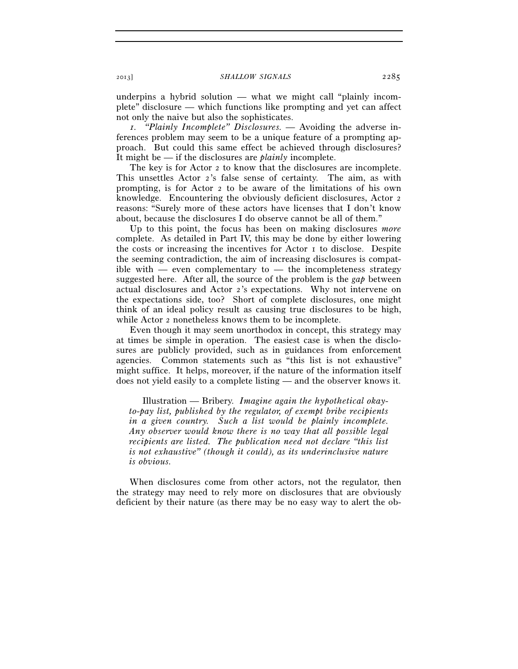underpins a hybrid solution — what we might call "plainly incomplete" disclosure — which functions like prompting and yet can affect not only the naive but also the sophisticates.

*1. "Plainly Incomplete" Disclosures. —* Avoiding the adverse inferences problem may seem to be a unique feature of a prompting approach. But could this same effect be achieved through disclosures? It might be — if the disclosures are *plainly* incomplete.

The key is for Actor 2 to know that the disclosures are incomplete. This unsettles Actor 2's false sense of certainty. The aim, as with prompting, is for Actor 2 to be aware of the limitations of his own knowledge. Encountering the obviously deficient disclosures, Actor 2 reasons: "Surely more of these actors have licenses that I don't know about, because the disclosures I do observe cannot be all of them."

Up to this point, the focus has been on making disclosures *more* complete. As detailed in Part IV, this may be done by either lowering the costs or increasing the incentives for Actor 1 to disclose. Despite the seeming contradiction, the aim of increasing disclosures is compatible with — even complementary to — the incompleteness strategy suggested here. After all, the source of the problem is the *gap* between actual disclosures and Actor 2's expectations. Why not intervene on the expectations side, too? Short of complete disclosures, one might think of an ideal policy result as causing true disclosures to be high, while Actor 2 nonetheless knows them to be incomplete.

Even though it may seem unorthodox in concept, this strategy may at times be simple in operation. The easiest case is when the disclosures are publicly provided, such as in guidances from enforcement agencies. Common statements such as "this list is not exhaustive" might suffice. It helps, moreover, if the nature of the information itself does not yield easily to a complete listing — and the observer knows it.

Illustration — Bribery. *Imagine again the hypothetical okayto-pay list, published by the regulator, of exempt bribe recipients in a given country. Such a list would be plainly incomplete. Any observer would know there is no way that all possible legal recipients are listed. The publication need not declare "this list is not exhaustive" (though it could), as its underinclusive nature is obvious.* 

When disclosures come from other actors, not the regulator, then the strategy may need to rely more on disclosures that are obviously deficient by their nature (as there may be no easy way to alert the ob-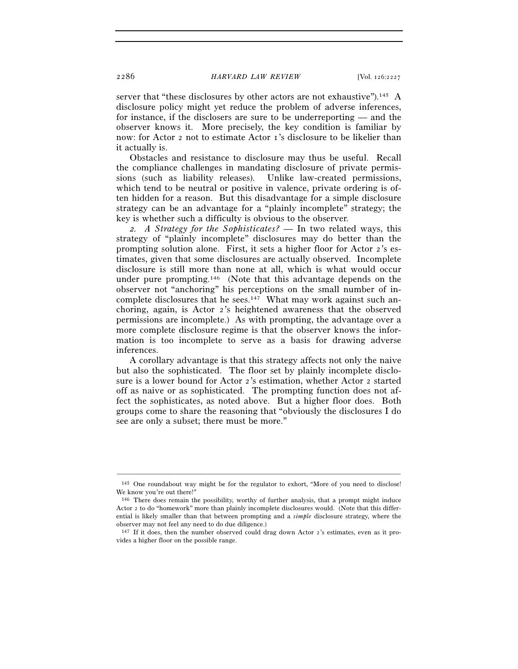server that "these disclosures by other actors are not exhaustive").<sup>145</sup> A disclosure policy might yet reduce the problem of adverse inferences, for instance, if the disclosers are sure to be underreporting — and the observer knows it. More precisely, the key condition is familiar by now: for Actor 2 not to estimate Actor 1's disclosure to be likelier than it actually is.

Obstacles and resistance to disclosure may thus be useful. Recall the compliance challenges in mandating disclosure of private permissions (such as liability releases). Unlike law-created permissions, which tend to be neutral or positive in valence, private ordering is often hidden for a reason. But this disadvantage for a simple disclosure strategy can be an advantage for a "plainly incomplete" strategy; the key is whether such a difficulty is obvious to the observer.

*2. A Strategy for the Sophisticates? —* In two related ways, this strategy of "plainly incomplete" disclosures may do better than the prompting solution alone. First, it sets a higher floor for Actor 2's estimates, given that some disclosures are actually observed. Incomplete disclosure is still more than none at all, which is what would occur under pure prompting.146 (Note that this advantage depends on the observer not "anchoring" his perceptions on the small number of incomplete disclosures that he sees.<sup>147</sup> What may work against such anchoring, again, is Actor 2's heightened awareness that the observed permissions are incomplete.) As with prompting, the advantage over a more complete disclosure regime is that the observer knows the information is too incomplete to serve as a basis for drawing adverse inferences.

A corollary advantage is that this strategy affects not only the naive but also the sophisticated. The floor set by plainly incomplete disclosure is a lower bound for Actor 2's estimation, whether Actor 2 started off as naive or as sophisticated. The prompting function does not affect the sophisticates, as noted above. But a higher floor does. Both groups come to share the reasoning that "obviously the disclosures I do see are only a subset; there must be more."

<sup>–––––––––––––––––––––––––––––––––––––––––––––––––––––––––––––</sup> 145 One roundabout way might be for the regulator to exhort, "More of you need to disclose! We know you're out there!"

<sup>146</sup> There does remain the possibility, worthy of further analysis, that a prompt might induce Actor 2 to do "homework" more than plainly incomplete disclosures would. (Note that this differential is likely smaller than that between prompting and a *simple* disclosure strategy, where the observer may not feel any need to do due diligence.)

<sup>147</sup> If it does, then the number observed could drag down Actor 2's estimates, even as it provides a higher floor on the possible range.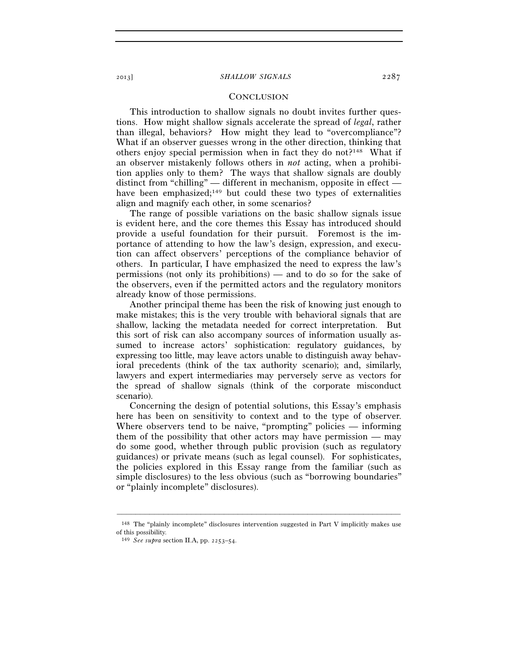## **CONCLUSION**

This introduction to shallow signals no doubt invites further questions. How might shallow signals accelerate the spread of *legal*, rather than illegal, behaviors? How might they lead to "overcompliance"? What if an observer guesses wrong in the other direction, thinking that others enjoy special permission when in fact they do not?148 What if an observer mistakenly follows others in *not* acting, when a prohibition applies only to them? The ways that shallow signals are doubly distinct from "chilling" — different in mechanism, opposite in effect have been emphasized;<sup>149</sup> but could these two types of externalities align and magnify each other, in some scenarios?

The range of possible variations on the basic shallow signals issue is evident here, and the core themes this Essay has introduced should provide a useful foundation for their pursuit. Foremost is the importance of attending to how the law's design, expression, and execution can affect observers' perceptions of the compliance behavior of others. In particular, I have emphasized the need to express the law's permissions (not only its prohibitions) — and to do so for the sake of the observers, even if the permitted actors and the regulatory monitors already know of those permissions.

Another principal theme has been the risk of knowing just enough to make mistakes; this is the very trouble with behavioral signals that are shallow, lacking the metadata needed for correct interpretation. But this sort of risk can also accompany sources of information usually assumed to increase actors' sophistication: regulatory guidances, by expressing too little, may leave actors unable to distinguish away behavioral precedents (think of the tax authority scenario); and, similarly, lawyers and expert intermediaries may perversely serve as vectors for the spread of shallow signals (think of the corporate misconduct scenario).

Concerning the design of potential solutions, this Essay's emphasis here has been on sensitivity to context and to the type of observer. Where observers tend to be naive, "prompting" policies — informing them of the possibility that other actors may have permission — may do some good, whether through public provision (such as regulatory guidances) or private means (such as legal counsel). For sophisticates, the policies explored in this Essay range from the familiar (such as simple disclosures) to the less obvious (such as "borrowing boundaries" or "plainly incomplete" disclosures).

<sup>–––––––––––––––––––––––––––––––––––––––––––––––––––––––––––––</sup> 148 The "plainly incomplete" disclosures intervention suggested in Part V implicitly makes use of this possibility.

<sup>149</sup> *See supra* section II.A, pp. 2253–54.